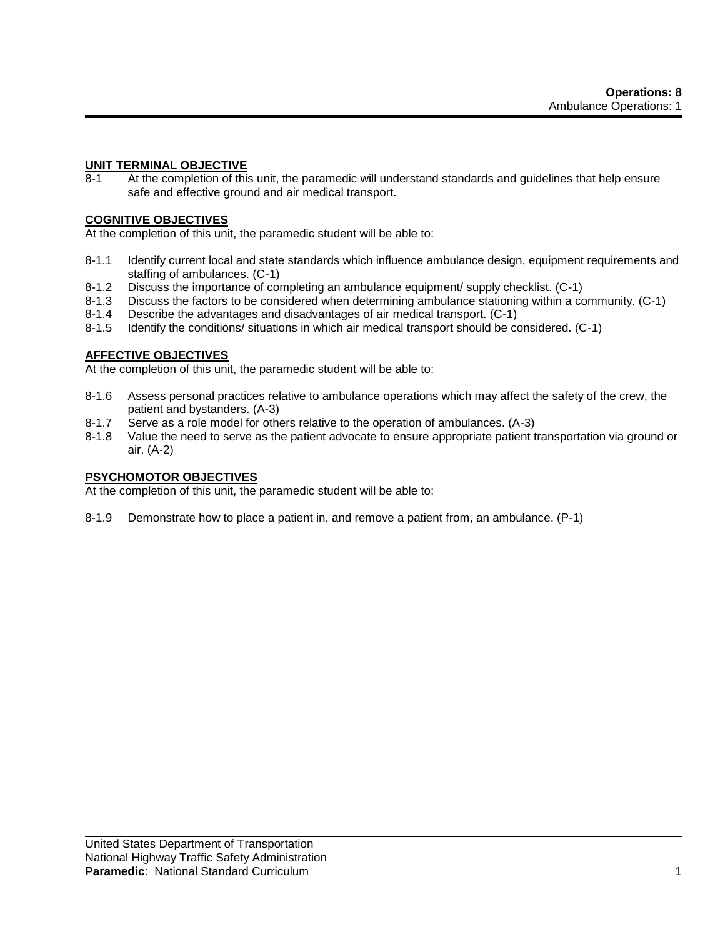#### **UNIT TERMINAL OBJECTIVE**

8-1 At the completion of this unit, the paramedic will understand standards and guidelines that help ensure safe and effective ground and air medical transport.

#### **COGNITIVE OBJECTIVES**

At the completion of this unit, the paramedic student will be able to:

- 8-1.1 Identify current local and state standards which influence ambulance design, equipment requirements and staffing of ambulances. (C-1)
- 8-1.2 Discuss the importance of completing an ambulance equipment/ supply checklist. (C-1)
- 8-1.3 Discuss the factors to be considered when determining ambulance stationing within a community. (C-1)
- 8-1.4 Describe the advantages and disadvantages of air medical transport. (C-1)
- 8-1.5 Identify the conditions/ situations in which air medical transport should be considered. (C-1)

#### **AFFECTIVE OBJECTIVES**

At the completion of this unit, the paramedic student will be able to:

- 8-1.6 Assess personal practices relative to ambulance operations which may affect the safety of the crew, the patient and bystanders. (A-3)
- 8-1.7 Serve as a role model for others relative to the operation of ambulances. (A-3)
- 8-1.8 Value the need to serve as the patient advocate to ensure appropriate patient transportation via ground or air. (A-2)

#### **PSYCHOMOTOR OBJECTIVES**

At the completion of this unit, the paramedic student will be able to:

8-1.9 Demonstrate how to place a patient in, and remove a patient from, an ambulance. (P-1)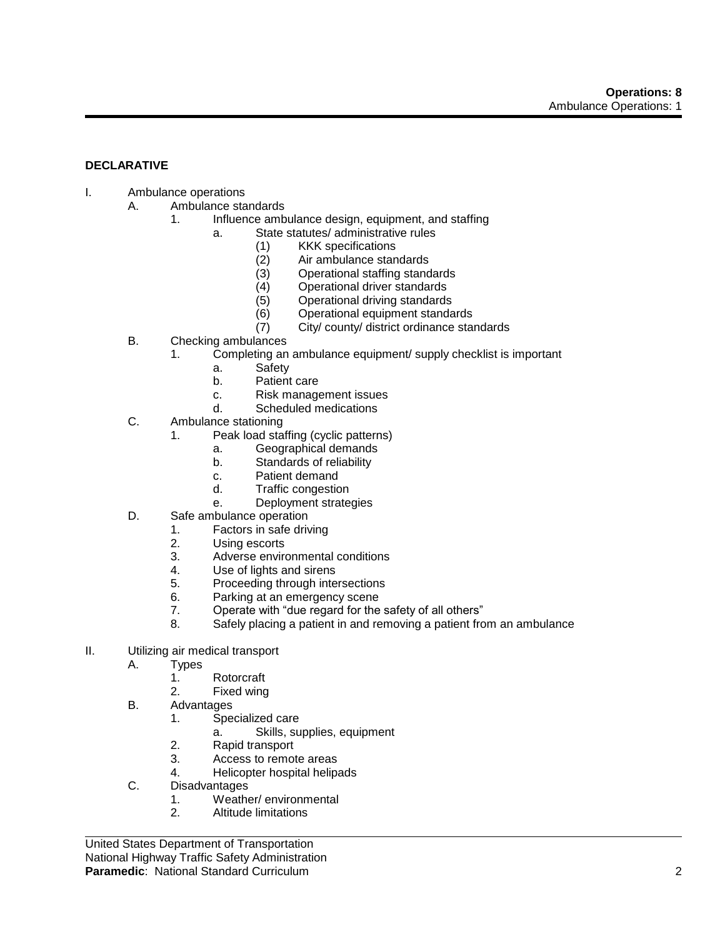# **DECLARATIVE**

- I. Ambulance operations
	- A. Ambulance standards
		- 1. Influence ambulance design, equipment, and staffing
			- a. State statutes/ administrative rules
				- (1) KKK specifications
				- (2) Air ambulance standards
				- (3) Operational staffing standards<br>(4) Operational driver standards
				- Operational driver standards
				- (5) Operational driving standards
				- (6) Operational equipment standards
				- (7) City/ county/ district ordinance standards
	- B. Checking ambulances
		- 1. Completing an ambulance equipment/ supply checklist is important
			- a. Safety
			- b. Patient care
			- c. Risk management issues
			- d. Scheduled medications
	- C. Ambulance stationing
		- 1. Peak load staffing (cyclic patterns)
			- a. Geographical demands
			- b. Standards of reliability
			- c. Patient demand
			- d. Traffic congestion
			- e. Deployment strategies
	- D. Safe ambulance operation
		- 1. Factors in safe driving
		- 2. Using escorts
		- 3. Adverse environmental conditions
		- 4. Use of lights and sirens
		- 5. Proceeding through intersections
		- 6. Parking at an emergency scene
		- 7. Operate with "due regard for the safety of all others"
		- 8. Safely placing a patient in and removing a patient from an ambulance
- II. Utilizing air medical transport
	- A. Types
		- 1. Rotorcraft
		- 2. Fixed wing
	- B. Advantages
		- 1. Specialized care
			- a. Skills, supplies, equipment
		- 2. Rapid transport
		- 3. Access to remote areas
		- 4. Helicopter hospital helipads
	- C. Disadvantages
		- 1. Weather/ environmental
		- 2. Altitude limitations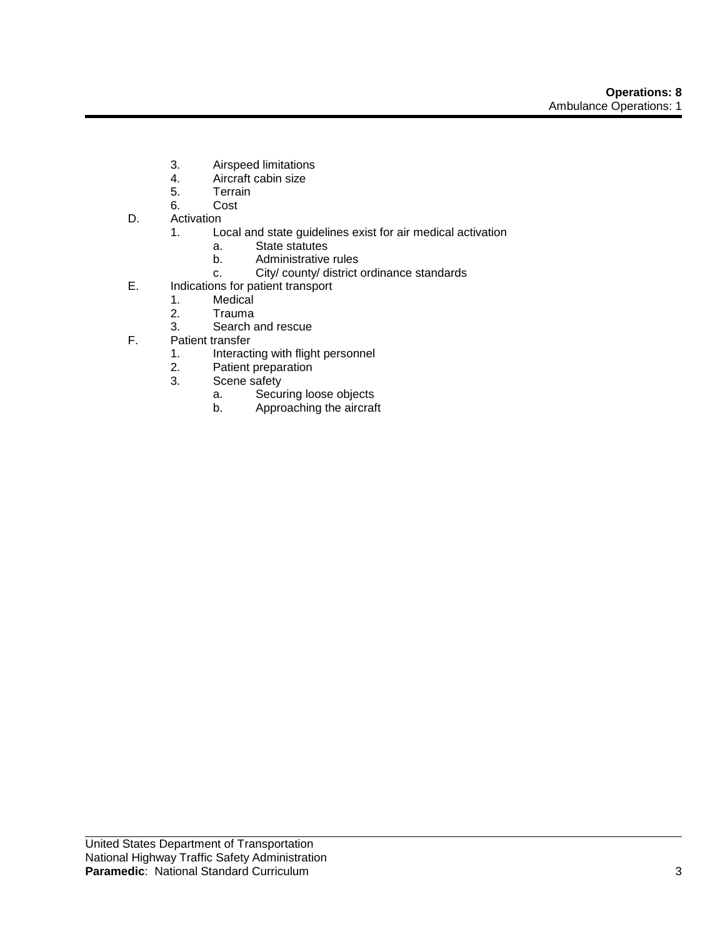- 3. Airspeed limitations
- 4. Aircraft cabin size<br>5. Terrain
- **Terrain**
- 6. Cost
- D. Activation
	- 1. Local and state guidelines exist for air medical activation
		- a. State statutes
		- b. Administrative rules
		- c. City/ county/ district ordinance standards
- E. Indications for patient transport
	- 1. Medical
	- 2. Trauma
	- 3. Search and rescue
- F. Patient transfer
	- 1. Interacting with flight personnel<br>2. Patient preparation
	- Patient preparation
	- 3. Scene safety
		- a. Securing loose objects
		- b. Approaching the aircraft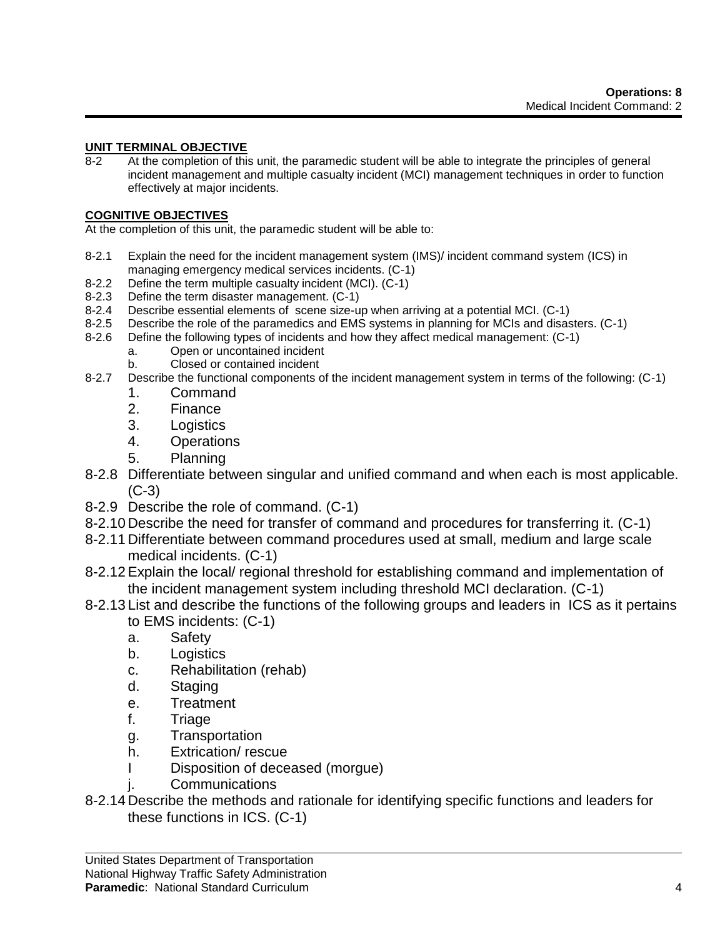## **UNIT TERMINAL OBJECTIVE**

8-2 At the completion of this unit, the paramedic student will be able to integrate the principles of general incident management and multiple casualty incident (MCI) management techniques in order to function effectively at major incidents.

## **COGNITIVE OBJECTIVES**

At the completion of this unit, the paramedic student will be able to:

- 8-2.1 Explain the need for the incident management system (IMS)/ incident command system (ICS) in managing emergency medical services incidents. (C-1)
- 8-2.2 Define the term multiple casualty incident (MCI). (C-1)
- 8-2.3 Define the term disaster management. (C-1)
- 8-2.4 Describe essential elements of scene size-up when arriving at a potential MCI. (C-1)
- 8-2.5 Describe the role of the paramedics and EMS systems in planning for MCIs and disasters. (C-1)
- 8-2.6 Define the following types of incidents and how they affect medical management: (C-1)
	- a. Open or uncontained incident
	- b. Closed or contained incident
- 8-2.7 Describe the functional components of the incident management system in terms of the following: (C-1)
	- 1. Command
	- 2. Finance
	- 3. Logistics
	- 4. Operations
	- 5. Planning
- 8-2.8 Differentiate between singular and unified command and when each is most applicable.  $(C-3)$
- 8-2.9 Describe the role of command. (C-1)
- 8-2.10 Describe the need for transfer of command and procedures for transferring it. (C-1)
- 8-2.11 Differentiate between command procedures used at small, medium and large scale medical incidents. (C-1)
- 8-2.12Explain the local/ regional threshold for establishing command and implementation of the incident management system including threshold MCI declaration. (C-1)
- 8-2.13 List and describe the functions of the following groups and leaders in ICS as it pertains
	- to EMS incidents: (C-1)
	- a. Safety
	- b. Logistics
	- c. Rehabilitation (rehab)
	- d. Staging
	- e. Treatment
	- f. Triage
	- g. Transportation
	- h. Extrication/ rescue
	- I Disposition of deceased (morgue)
	- j. Communications
- 8-2.14 Describe the methods and rationale for identifying specific functions and leaders for these functions in ICS. (C-1)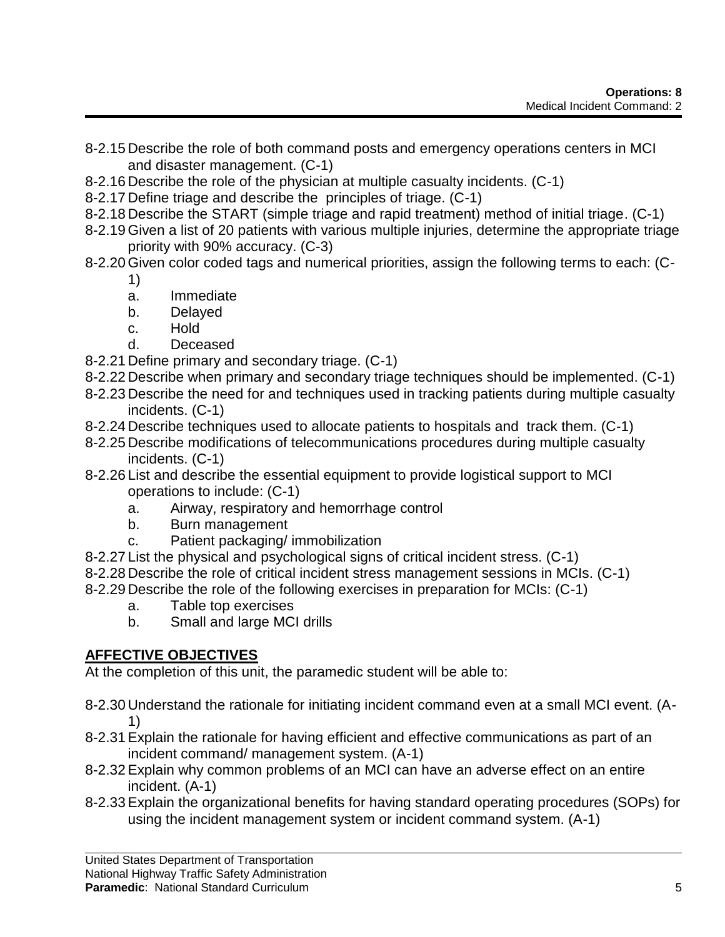- 8-2.15 Describe the role of both command posts and emergency operations centers in MCI and disaster management. (C-1)
- 8-2.16 Describe the role of the physician at multiple casualty incidents. (C-1)
- 8-2.17 Define triage and describe the principles of triage. (C-1)
- 8-2.18 Describe the START (simple triage and rapid treatment) method of initial triage. (C-1)
- 8-2.19 Given a list of 20 patients with various multiple injuries, determine the appropriate triage priority with 90% accuracy. (C-3)
- 8-2.20 Given color coded tags and numerical priorities, assign the following terms to each: (C-1)
	- a. Immediate
	- b. Delayed
	- c. Hold
	- d. Deceased
- 8-2.21 Define primary and secondary triage. (C-1)
- 8-2.22 Describe when primary and secondary triage techniques should be implemented. (C-1)
- 8-2.23 Describe the need for and techniques used in tracking patients during multiple casualty incidents. (C-1)
- 8-2.24 Describe techniques used to allocate patients to hospitals and track them. (C-1)
- 8-2.25 Describe modifications of telecommunications procedures during multiple casualty incidents. (C-1)
- 8-2.26 List and describe the essential equipment to provide logistical support to MCI operations to include: (C-1)
	- a. Airway, respiratory and hemorrhage control
	- b. Burn management
	- c. Patient packaging/ immobilization
- 8-2.27 List the physical and psychological signs of critical incident stress. (C-1)
- 8-2.28 Describe the role of critical incident stress management sessions in MCIs. (C-1)
- 8-2.29 Describe the role of the following exercises in preparation for MCIs: (C-1)
	- a. Table top exercises
	- b. Small and large MCI drills

# **AFFECTIVE OBJECTIVES**

At the completion of this unit, the paramedic student will be able to:

- 8-2.30 Understand the rationale for initiating incident command even at a small MCI event. (A-1)
- 8-2.31Explain the rationale for having efficient and effective communications as part of an incident command/ management system. (A-1)
- 8-2.32Explain why common problems of an MCI can have an adverse effect on an entire incident. (A-1)
- 8-2.33Explain the organizational benefits for having standard operating procedures (SOPs) for using the incident management system or incident command system. (A-1)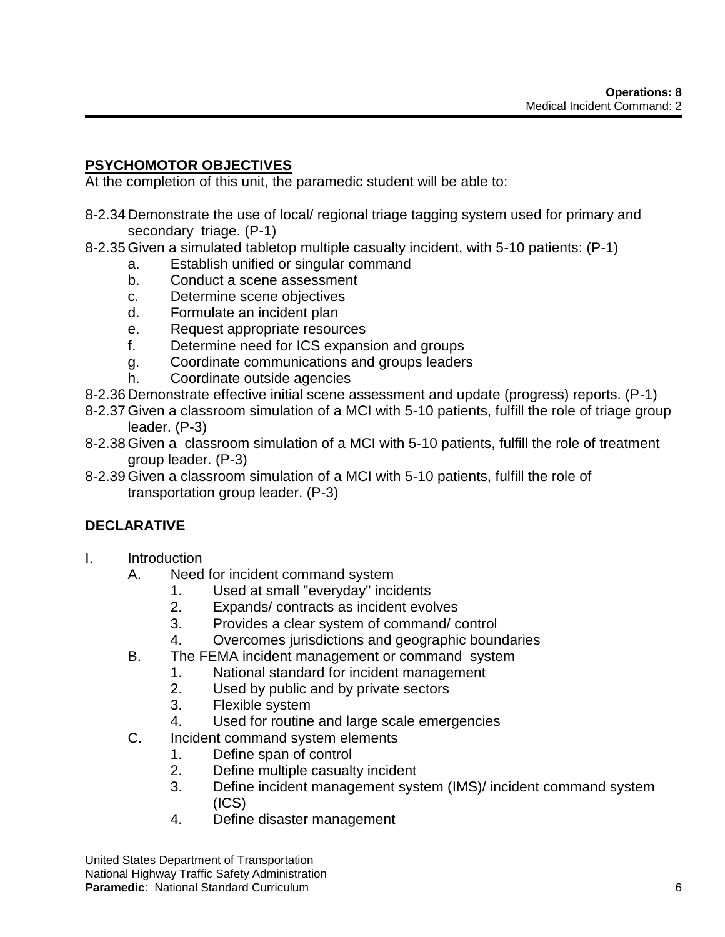# **PSYCHOMOTOR OBJECTIVES**

At the completion of this unit, the paramedic student will be able to:

- 8-2.34 Demonstrate the use of local/ regional triage tagging system used for primary and secondary triage. (P-1)
- 8-2.35 Given a simulated tabletop multiple casualty incident, with 5-10 patients: (P-1)
	- a. Establish unified or singular command
	- b. Conduct a scene assessment
	- c. Determine scene objectives
	- d. Formulate an incident plan
	- e. Request appropriate resources
	- f. Determine need for ICS expansion and groups
	- g. Coordinate communications and groups leaders
	- h. Coordinate outside agencies
- 8-2.36 Demonstrate effective initial scene assessment and update (progress) reports. (P-1)
- 8-2.37 Given a classroom simulation of a MCI with 5-10 patients, fulfill the role of triage group leader. (P-3)
- 8-2.38 Given a classroom simulation of a MCI with 5-10 patients, fulfill the role of treatment group leader. (P-3)
- 8-2.39 Given a classroom simulation of a MCI with 5-10 patients, fulfill the role of transportation group leader. (P-3)

# **DECLARATIVE**

- I. Introduction
	- A. Need for incident command system
		- 1. Used at small "everyday" incidents
		- 2. Expands/ contracts as incident evolves
		- 3. Provides a clear system of command/ control
		- 4. Overcomes jurisdictions and geographic boundaries
	- B. The FEMA incident management or command system
		- 1. National standard for incident management
		- 2. Used by public and by private sectors
		- 3. Flexible system
		- 4. Used for routine and large scale emergencies
	- C. Incident command system elements
		- 1. Define span of control
			- 2. Define multiple casualty incident
			- 3. Define incident management system (IMS)/ incident command system (ICS)
			- 4. Define disaster management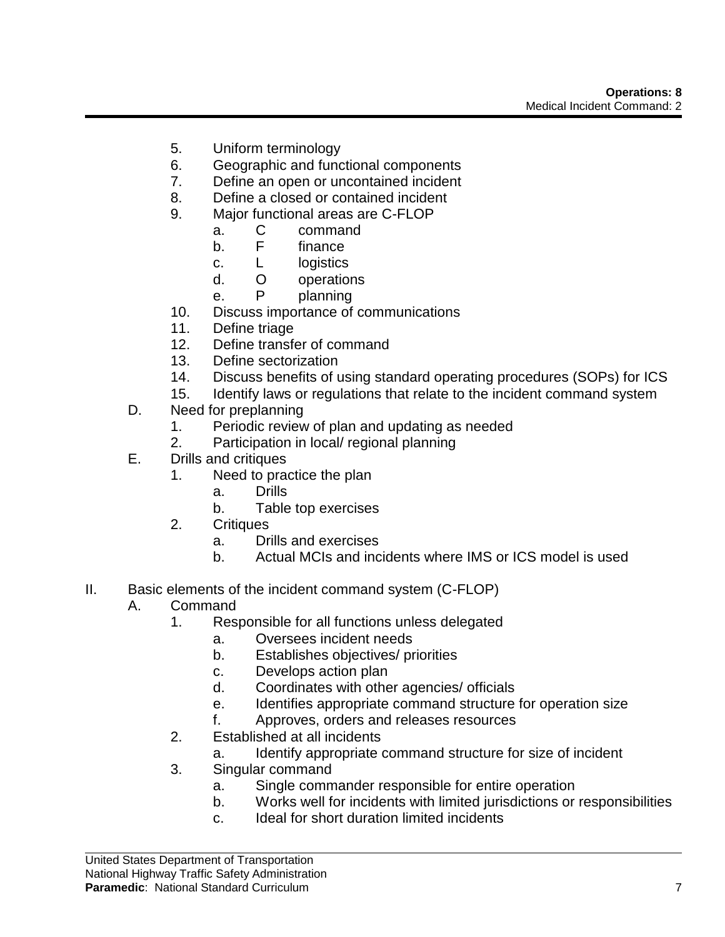- 5. Uniform terminology
- 6. Geographic and functional components
- 7. Define an open or uncontained incident
- 8. Define a closed or contained incident
- 9. Major functional areas are C-FLOP
	- a. C command
	- b. F finance
	- c. L logistics
	- d. O operations
	- e. P planning
- 10. Discuss importance of communications
- 11. Define triage
- 12. Define transfer of command
- 13. Define sectorization
- 14. Discuss benefits of using standard operating procedures (SOPs) for ICS
- 15. Identify laws or regulations that relate to the incident command system
- D. Need for preplanning
	- 1. Periodic review of plan and updating as needed
	- 2. Participation in local/ regional planning
- E. Drills and critiques
	- 1. Need to practice the plan
		- a. Drills
		- b. Table top exercises
	- 2. Critiques
		- a. Drills and exercises
		- b. Actual MCIs and incidents where IMS or ICS model is used
- II. Basic elements of the incident command system (C-FLOP)
	- A. Command
		- 1. Responsible for all functions unless delegated
			- a. Oversees incident needs
				- b. Establishes objectives/ priorities
				- c. Develops action plan
				- d. Coordinates with other agencies/ officials
				- e. Identifies appropriate command structure for operation size
				- f. Approves, orders and releases resources
		- 2. Established at all incidents
			- a. Identify appropriate command structure for size of incident
		- 3. Singular command
			- a. Single commander responsible for entire operation
			- b. Works well for incidents with limited jurisdictions or responsibilities
			- c. Ideal for short duration limited incidents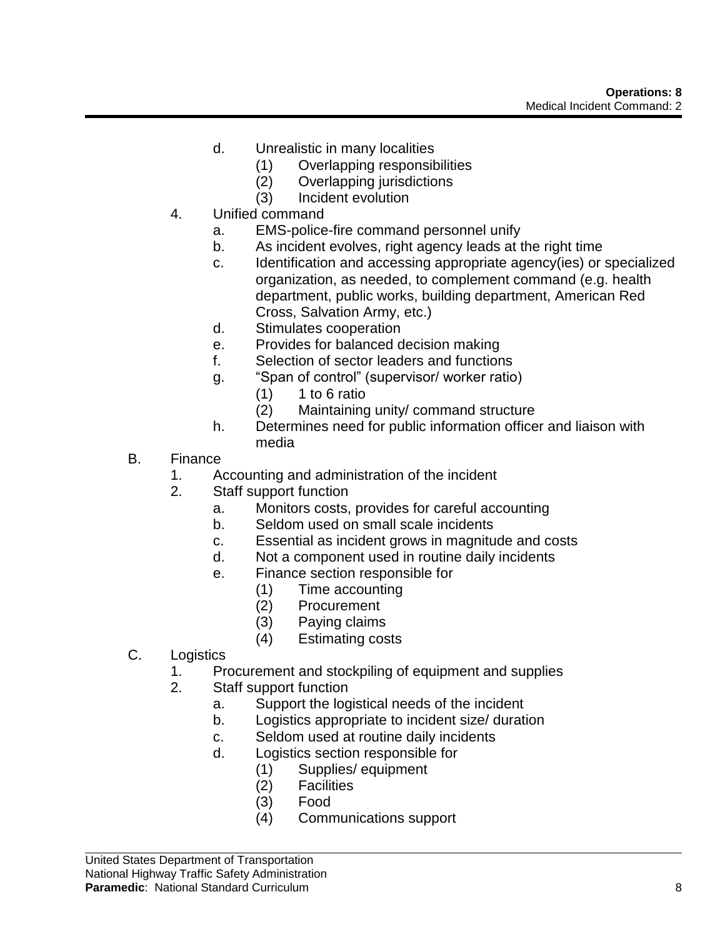- d. Unrealistic in many localities
	- (1) Overlapping responsibilities
	- (2) Overlapping jurisdictions
	- (3) Incident evolution
- 4. Unified command
	- a. EMS-police-fire command personnel unify
	- b. As incident evolves, right agency leads at the right time
	- c. Identification and accessing appropriate agency(ies) or specialized organization, as needed, to complement command (e.g. health department, public works, building department, American Red Cross, Salvation Army, etc.)
	- d. Stimulates cooperation
	- e. Provides for balanced decision making
	- f. Selection of sector leaders and functions
	- g. "Span of control" (supervisor/ worker ratio)
		- $(1)$  1 to 6 ratio
		- (2) Maintaining unity/ command structure
	- h. Determines need for public information officer and liaison with media
- B. Finance
	- 1. Accounting and administration of the incident
	- 2. Staff support function
		- a. Monitors costs, provides for careful accounting
		- b. Seldom used on small scale incidents
		- c. Essential as incident grows in magnitude and costs
		- d. Not a component used in routine daily incidents
		- e. Finance section responsible for
			- (1) Time accounting
			- **Procurement**
			- (3) Paying claims
			- (4) Estimating costs
- C. Logistics
	- 1. Procurement and stockpiling of equipment and supplies
	- 2. Staff support function
		- a. Support the logistical needs of the incident
		- b. Logistics appropriate to incident size/ duration
		- c. Seldom used at routine daily incidents
		- d. Logistics section responsible for
			- (1) Supplies/ equipment
			- (2) Facilities
			- (3) Food
			- (4) Communications support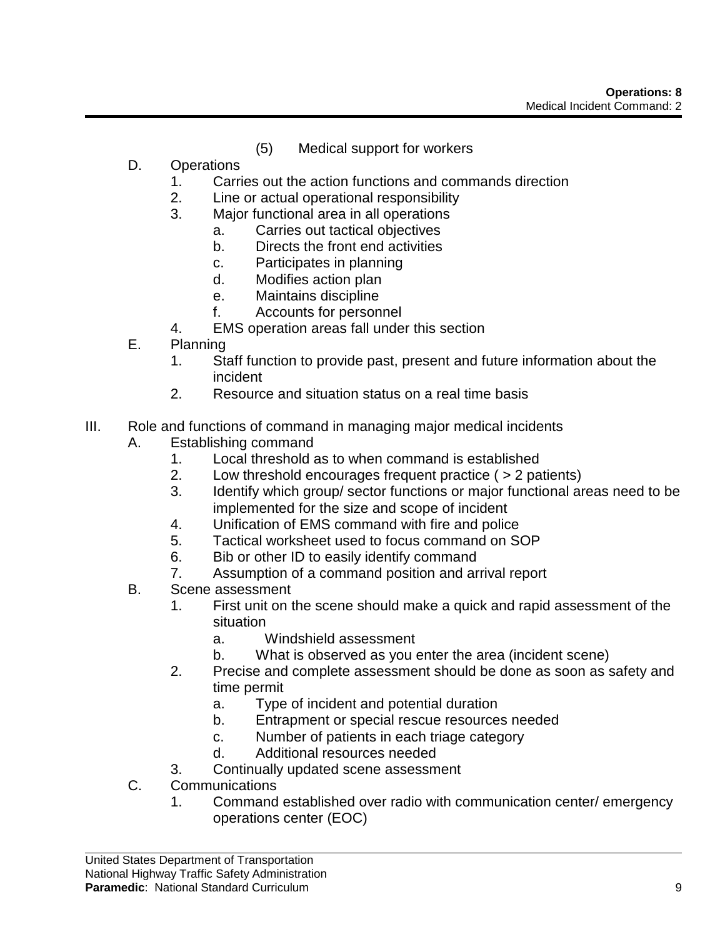- (5) Medical support for workers
- D. Operations
	- 1. Carries out the action functions and commands direction
	- 2. Line or actual operational responsibility
	- 3. Major functional area in all operations
		- a. Carries out tactical objectives
		- b. Directs the front end activities
		- c. Participates in planning
		- d. Modifies action plan
		- e. Maintains discipline
		- f. Accounts for personnel
	- 4. EMS operation areas fall under this section
- E. Planning
	- 1. Staff function to provide past, present and future information about the incident
	- 2. Resource and situation status on a real time basis
- III. Role and functions of command in managing major medical incidents
	- A. Establishing command
		- 1. Local threshold as to when command is established
		- 2. Low threshold encourages frequent practice ( > 2 patients)
		- 3. Identify which group/ sector functions or major functional areas need to be implemented for the size and scope of incident
		- 4. Unification of EMS command with fire and police
		- 5. Tactical worksheet used to focus command on SOP
		- 6. Bib or other ID to easily identify command
		- 7. Assumption of a command position and arrival report
	- B. Scene assessment
		- 1. First unit on the scene should make a quick and rapid assessment of the situation
			- a. Windshield assessment
			- b. What is observed as you enter the area (incident scene)
		- 2. Precise and complete assessment should be done as soon as safety and time permit
			- a. Type of incident and potential duration
			- b. Entrapment or special rescue resources needed
			- c. Number of patients in each triage category
			- d. Additional resources needed
		- 3. Continually updated scene assessment
	- C. Communications
		- 1. Command established over radio with communication center/ emergency operations center (EOC)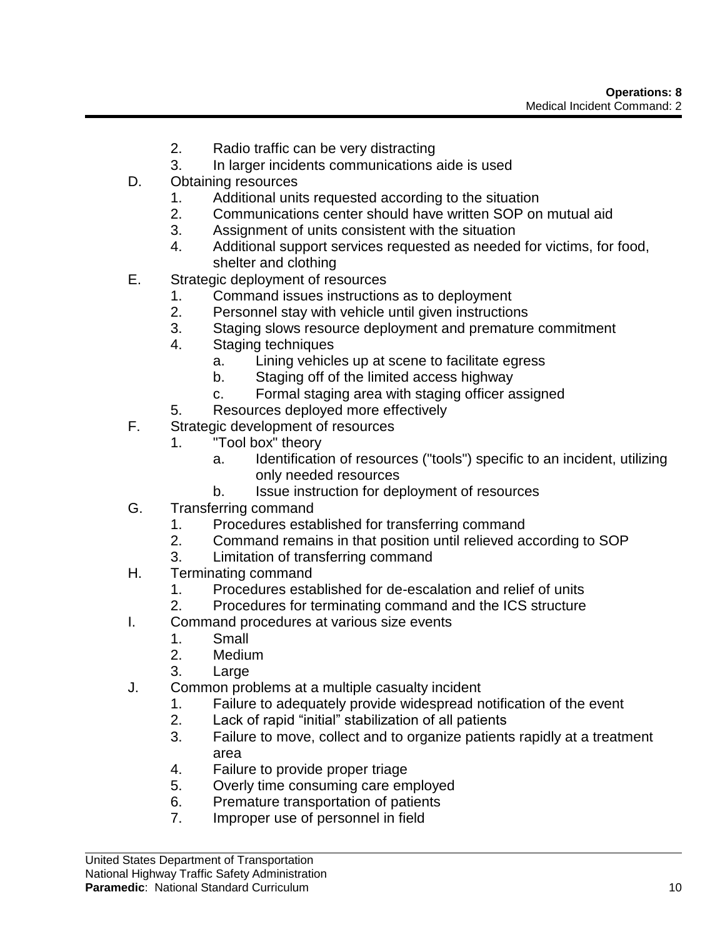- 2. Radio traffic can be very distracting
- 3. In larger incidents communications aide is used
- D. Obtaining resources
	- 1. Additional units requested according to the situation
	- 2. Communications center should have written SOP on mutual aid
	- 3. Assignment of units consistent with the situation
	- 4. Additional support services requested as needed for victims, for food, shelter and clothing
- E. Strategic deployment of resources
	- 1. Command issues instructions as to deployment
	- 2. Personnel stay with vehicle until given instructions
	- 3. Staging slows resource deployment and premature commitment
	- 4. Staging techniques
		- a. Lining vehicles up at scene to facilitate egress
		- b. Staging off of the limited access highway
		- c. Formal staging area with staging officer assigned
	- 5. Resources deployed more effectively
- F. Strategic development of resources
	- 1. "Tool box" theory
		- a. Identification of resources ("tools") specific to an incident, utilizing only needed resources
		- b. Issue instruction for deployment of resources
- G. Transferring command
	- 1. Procedures established for transferring command
	- 2. Command remains in that position until relieved according to SOP
	- 3. Limitation of transferring command
- H. Terminating command
	- 1. Procedures established for de-escalation and relief of units
	- 2. Procedures for terminating command and the ICS structure
- I. Command procedures at various size events
	- 1. Small
		- 2. Medium
	- 3. Large
- J. Common problems at a multiple casualty incident
	- 1. Failure to adequately provide widespread notification of the event
	- 2. Lack of rapid "initial" stabilization of all patients
	- 3. Failure to move, collect and to organize patients rapidly at a treatment area
	- 4. Failure to provide proper triage
	- 5. Overly time consuming care employed
	- 6. Premature transportation of patients
	- 7. Improper use of personnel in field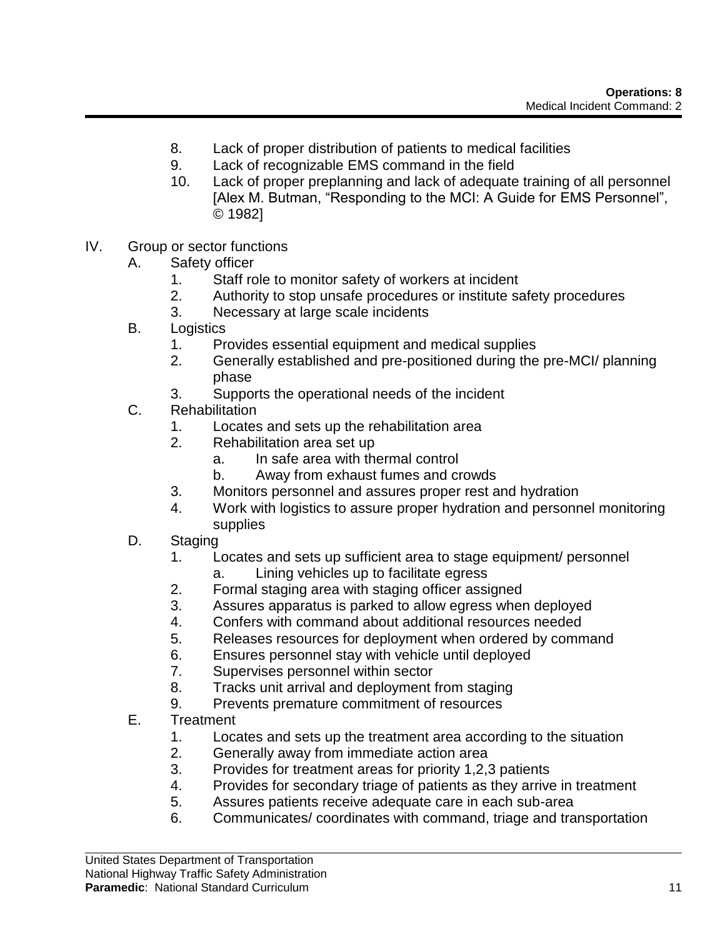- 8. Lack of proper distribution of patients to medical facilities
- 9. Lack of recognizable EMS command in the field
- 10. Lack of proper preplanning and lack of adequate training of all personnel [Alex M. Butman, "Responding to the MCI: A Guide for EMS Personnel", © 1982]
- IV. Group or sector functions
	- A. Safety officer
		- 1. Staff role to monitor safety of workers at incident
		- 2. Authority to stop unsafe procedures or institute safety procedures
		- 3. Necessary at large scale incidents
	- B. Logistics
		- 1. Provides essential equipment and medical supplies
		- 2. Generally established and pre-positioned during the pre-MCI/ planning phase
		- 3. Supports the operational needs of the incident
	- C. Rehabilitation
		- 1. Locates and sets up the rehabilitation area
		- 2. Rehabilitation area set up
			- a. In safe area with thermal control
			- b. Away from exhaust fumes and crowds
		- 3. Monitors personnel and assures proper rest and hydration
		- 4. Work with logistics to assure proper hydration and personnel monitoring supplies
	- D. Staging
		- 1. Locates and sets up sufficient area to stage equipment/ personnel
			- a. Lining vehicles up to facilitate egress
		- 2. Formal staging area with staging officer assigned
		- 3. Assures apparatus is parked to allow egress when deployed
		- 4. Confers with command about additional resources needed
		- 5. Releases resources for deployment when ordered by command
		- 6. Ensures personnel stay with vehicle until deployed
		- 7. Supervises personnel within sector
		- 8. Tracks unit arrival and deployment from staging
		- 9. Prevents premature commitment of resources
	- E. Treatment
		- 1. Locates and sets up the treatment area according to the situation
		- 2. Generally away from immediate action area
		- 3. Provides for treatment areas for priority 1,2,3 patients
		- 4. Provides for secondary triage of patients as they arrive in treatment
		- 5. Assures patients receive adequate care in each sub-area
		- 6. Communicates/ coordinates with command, triage and transportation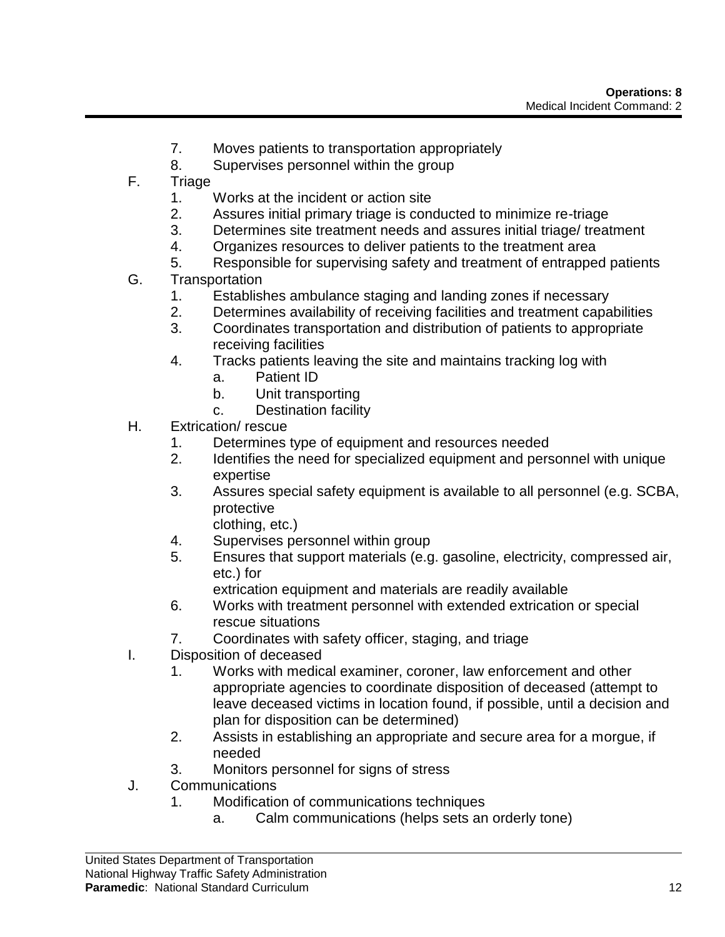- 7. Moves patients to transportation appropriately
- 8. Supervises personnel within the group
- F. Triage
	- 1. Works at the incident or action site
	- 2. Assures initial primary triage is conducted to minimize re-triage
	- 3. Determines site treatment needs and assures initial triage/ treatment
	- 4. Organizes resources to deliver patients to the treatment area
	- 5. Responsible for supervising safety and treatment of entrapped patients
- G. Transportation
	- 1. Establishes ambulance staging and landing zones if necessary
	- 2. Determines availability of receiving facilities and treatment capabilities
	- 3. Coordinates transportation and distribution of patients to appropriate receiving facilities
	- 4. Tracks patients leaving the site and maintains tracking log with
		- a. Patient ID
		- b. Unit transporting
		- c. Destination facility
- H. Extrication/ rescue
	- 1. Determines type of equipment and resources needed
	- 2. Identifies the need for specialized equipment and personnel with unique expertise
	- 3. Assures special safety equipment is available to all personnel (e.g. SCBA, protective
		- clothing, etc.)
	- 4. Supervises personnel within group
	- 5. Ensures that support materials (e.g. gasoline, electricity, compressed air, etc.) for
		- extrication equipment and materials are readily available
	- 6. Works with treatment personnel with extended extrication or special rescue situations
	- 7. Coordinates with safety officer, staging, and triage
- I. Disposition of deceased
	- 1. Works with medical examiner, coroner, law enforcement and other appropriate agencies to coordinate disposition of deceased (attempt to leave deceased victims in location found, if possible, until a decision and plan for disposition can be determined)
	- 2. Assists in establishing an appropriate and secure area for a morgue, if needed
	- 3. Monitors personnel for signs of stress
- J. Communications
	- 1. Modification of communications techniques
		- a. Calm communications (helps sets an orderly tone)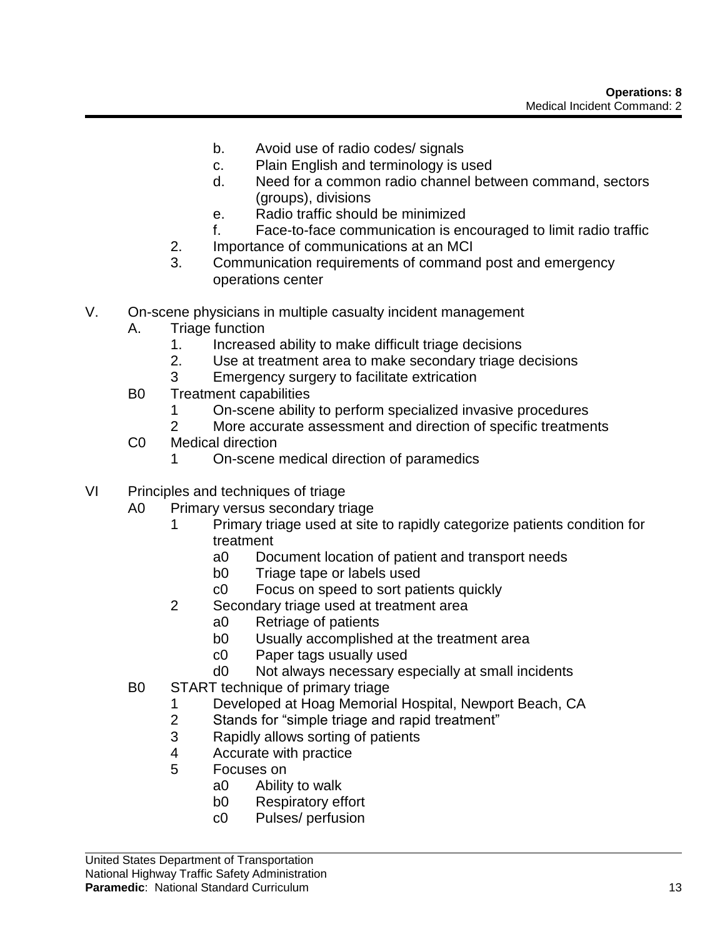- b. Avoid use of radio codes/ signals
- c. Plain English and terminology is used
- d. Need for a common radio channel between command, sectors (groups), divisions
- e. Radio traffic should be minimized
- f. Face-to-face communication is encouraged to limit radio traffic
- 2. Importance of communications at an MCI
- 3. Communication requirements of command post and emergency operations center
- V. On-scene physicians in multiple casualty incident management
	- A. Triage function
		- 1. Increased ability to make difficult triage decisions
		- 2. Use at treatment area to make secondary triage decisions
		- 3 Emergency surgery to facilitate extrication
	- B0 Treatment capabilities
		- 1 On-scene ability to perform specialized invasive procedures
		- 2 More accurate assessment and direction of specific treatments
	- C0 Medical direction
		- 1 On-scene medical direction of paramedics
- VI Principles and techniques of triage
	- A0 Primary versus secondary triage
		- 1 Primary triage used at site to rapidly categorize patients condition for treatment
			- a0 Document location of patient and transport needs
			- b0 Triage tape or labels used
			- c0 Focus on speed to sort patients quickly
		- 2 Secondary triage used at treatment area
			- a0 Retriage of patients
			- b0 Usually accomplished at the treatment area
			- c0 Paper tags usually used
			- d0 Not always necessary especially at small incidents
	- B0 START technique of primary triage
		- 1 Developed at Hoag Memorial Hospital, Newport Beach, CA
		- 2 Stands for "simple triage and rapid treatment"
		- 3 Rapidly allows sorting of patients
		- 4 Accurate with practice
		- 5 Focuses on
			- a0 Ability to walk
			- b0 Respiratory effort
			- c0 Pulses/ perfusion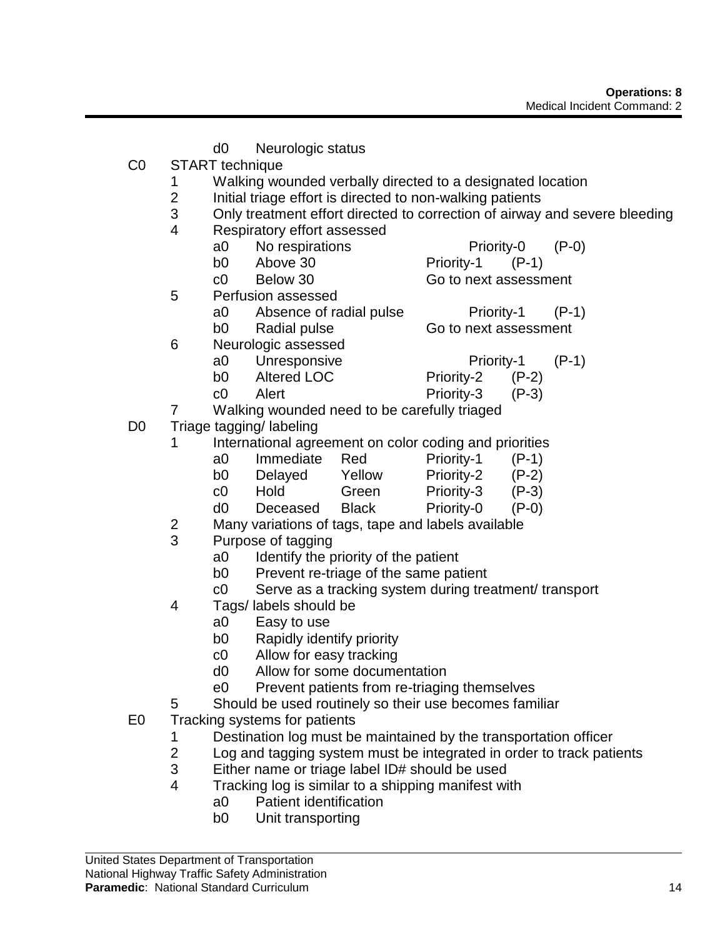- d0 Neurologic status C0 START technique 1 Walking wounded verbally directed to a designated location 2 Initial triage effort is directed to non-walking patients 3 Only treatment effort directed to correction of airway and severe bleeding 4 Respiratory effort assessed a0 No respirations Priority-0 (P-0) b0 Above 30 Priority-1 (P-1) c0 Below 30 Go to next assessment 5 Perfusion assessed a0 Absence of radial pulse Priority-1 (P-1) b0 Radial pulse Go to next assessment 6 Neurologic assessed a0 Unresponsive Priority-1 (P-1) b0 Altered LOC Priority-2 (P-2) c0 Alert Priority-3 (P-3) 7 Walking wounded need to be carefully triaged D0 Triage tagging/ labeling 1 International agreement on color coding and priorities a0 Immediate Red Priority-1 (P-1) b0 Delayed Yellow Priority-2 (P-2) c0 Hold Green Priority-3 (P-3) d0 Deceased Black Priority-0 (P-0) 2 Many variations of tags, tape and labels available 3 Purpose of tagging a0 Identify the priority of the patient b0 Prevent re-triage of the same patient c0 Serve as a tracking system during treatment/ transport 4 Tags/ labels should be a0 Easy to use b0 Rapidly identify priority c0 Allow for easy tracking d0 Allow for some documentation e0 Prevent patients from re-triaging themselves 5 Should be used routinely so their use becomes familiar E0 Tracking systems for patients 1 Destination log must be maintained by the transportation officer 2 Log and tagging system must be integrated in order to track patients 3 Either name or triage label ID# should be used 4 Tracking log is similar to a shipping manifest with a0 Patient identification
	- b0 Unit transporting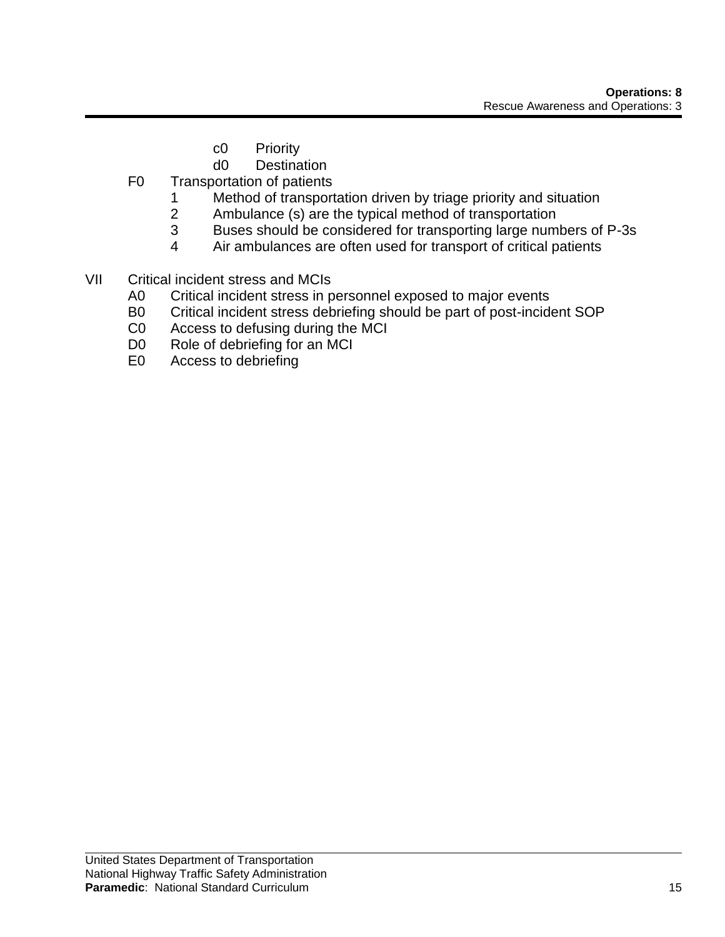- c0 Priority
- d0 Destination
- F0 Transportation of patients
	- 1 Method of transportation driven by triage priority and situation
	- 2 Ambulance (s) are the typical method of transportation
	- 3 Buses should be considered for transporting large numbers of P-3s
	- 4 Air ambulances are often used for transport of critical patients
- VII Critical incident stress and MCIs
	- A0 Critical incident stress in personnel exposed to major events
	- B0 Critical incident stress debriefing should be part of post-incident SOP
	- C0 Access to defusing during the MCI
	- D0 Role of debriefing for an MCI
	- E0 Access to debriefing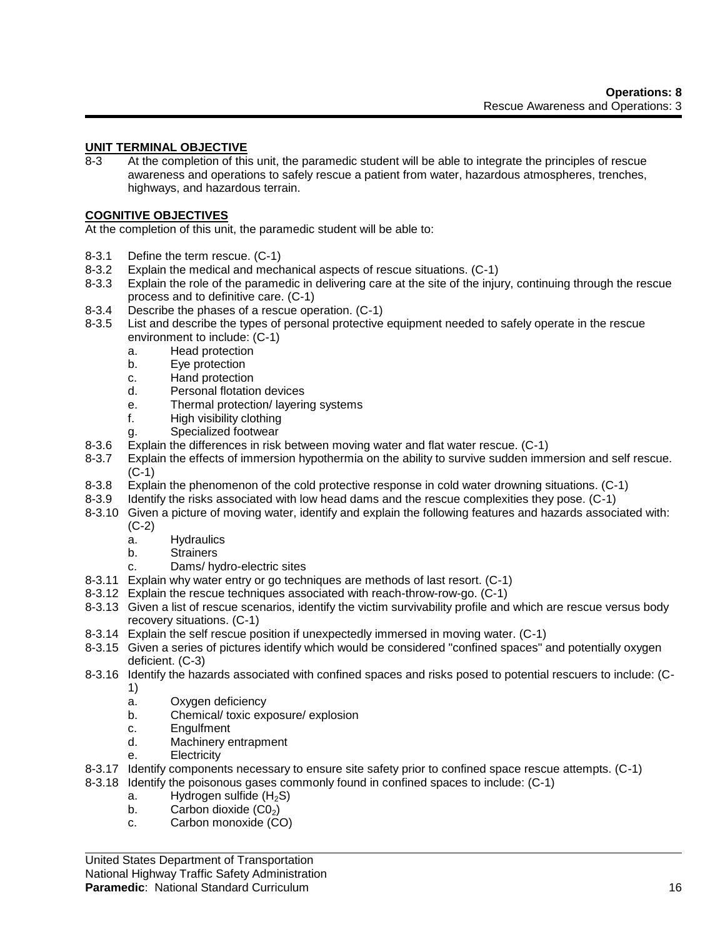# **UNIT TERMINAL OBJECTIVE**

8-3 At the completion of this unit, the paramedic student will be able to integrate the principles of rescue awareness and operations to safely rescue a patient from water, hazardous atmospheres, trenches, highways, and hazardous terrain.

#### **COGNITIVE OBJECTIVES**

At the completion of this unit, the paramedic student will be able to:

- 8-3.1 Define the term rescue. (C-1)
- 8-3.2 Explain the medical and mechanical aspects of rescue situations. (C-1)
- 8-3.3 Explain the role of the paramedic in delivering care at the site of the injury, continuing through the rescue process and to definitive care. (C-1)
- 8-3.4 Describe the phases of a rescue operation. (C-1)
- 8-3.5 List and describe the types of personal protective equipment needed to safely operate in the rescue environment to include: (C-1)
	- a. Head protection
	- b. Eye protection
	- c. Hand protection
	- d. Personal flotation devices
	- e. Thermal protection/ layering systems
	- f. High visibility clothing
	- g. Specialized footwear
- 8-3.6 Explain the differences in risk between moving water and flat water rescue. (C-1)
- 8-3.7 Explain the effects of immersion hypothermia on the ability to survive sudden immersion and self rescue. (C-1)
- 8-3.8 Explain the phenomenon of the cold protective response in cold water drowning situations. (C-1)
- 8-3.9 Identify the risks associated with low head dams and the rescue complexities they pose. (C-1)
- 8-3.10 Given a picture of moving water, identify and explain the following features and hazards associated with: (C-2)
	- a. Hydraulics
	- b. Strainers
	- c. Dams/ hydro-electric sites
- 8-3.11 Explain why water entry or go techniques are methods of last resort. (C-1)
- 8-3.12 Explain the rescue techniques associated with reach-throw-row-go. (C-1)
- 8-3.13 Given a list of rescue scenarios, identify the victim survivability profile and which are rescue versus body recovery situations. (C-1)
- 8-3.14 Explain the self rescue position if unexpectedly immersed in moving water. (C-1)
- 8-3.15 Given a series of pictures identify which would be considered "confined spaces" and potentially oxygen deficient. (C-3)
- 8-3.16 Identify the hazards associated with confined spaces and risks posed to potential rescuers to include: (C-1)
	- a. Oxygen deficiency
	- b. Chemical/ toxic exposure/ explosion
	- c. Engulfment
	- d. Machinery entrapment
	- e. Electricity
- 8-3.17 Identify components necessary to ensure site safety prior to confined space rescue attempts. (C-1)
- 8-3.18 Identify the poisonous gases commonly found in confined spaces to include: (C-1)
	- a. Hydrogen sulfide  $(H<sub>2</sub>S)$
	- b. Carbon dioxide  $(C_0)$
	- c. Carbon monoxide (CO)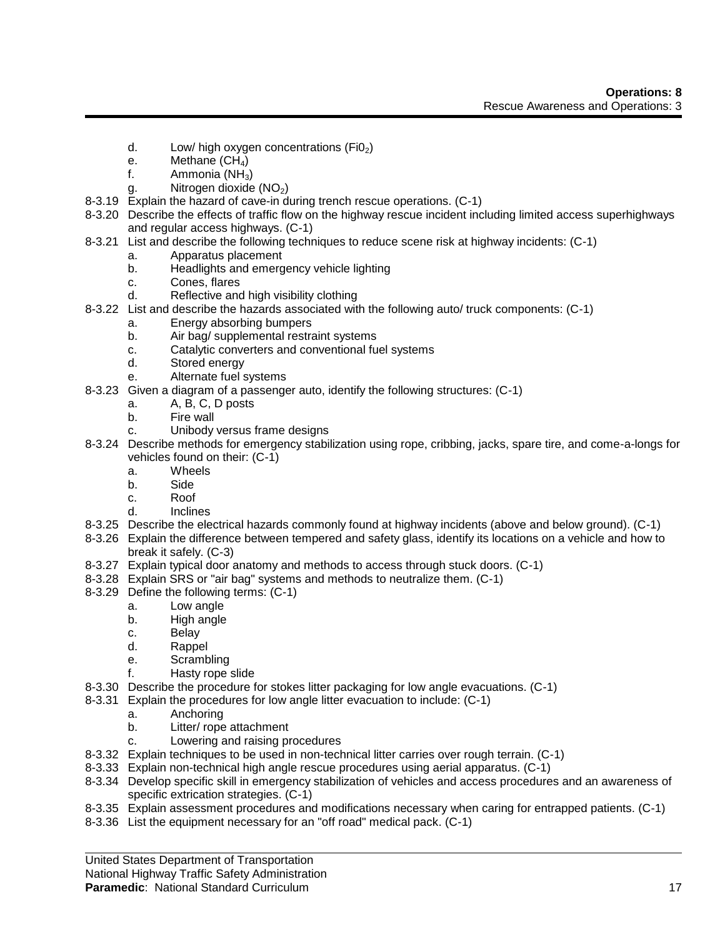- d. Low/ high oxygen concentrations  $(FiO<sub>2</sub>)$
- e. Methane  $(CH_4)$
- f. Ammonia  $(NH_3)$
- g. Nitrogen dioxide  $(NO<sub>2</sub>)$
- 8-3.19 Explain the hazard of cave-in during trench rescue operations. (C-1)
- 8-3.20 Describe the effects of traffic flow on the highway rescue incident including limited access superhighways and regular access highways. (C-1)
- 8-3.21 List and describe the following techniques to reduce scene risk at highway incidents: (C-1)
	- a. Apparatus placement
	- b. Headlights and emergency vehicle lighting
	- c. Cones, flares
	- d. Reflective and high visibility clothing
- 8-3.22 List and describe the hazards associated with the following auto/ truck components: (C-1)
	- a. Energy absorbing bumpers
		- b. Air bag/ supplemental restraint systems
		- c. Catalytic converters and conventional fuel systems
		- d. Stored energy
		- e. Alternate fuel systems
- 8-3.23 Given a diagram of a passenger auto, identify the following structures: (C-1)
	- a. A, B, C, D posts
	- b. Fire wall
	- c. Unibody versus frame designs
- 8-3.24 Describe methods for emergency stabilization using rope, cribbing, jacks, spare tire, and come-a-longs for vehicles found on their: (C-1)
	- a. Wheels
	- b. Side
	- c. Roof
	- d. Inclines
- 8-3.25 Describe the electrical hazards commonly found at highway incidents (above and below ground). (C-1)
- 8-3.26 Explain the difference between tempered and safety glass, identify its locations on a vehicle and how to break it safely. (C-3)
- 8-3.27 Explain typical door anatomy and methods to access through stuck doors. (C-1)
- 8-3.28 Explain SRS or "air bag" systems and methods to neutralize them. (C-1)
- 8-3.29 Define the following terms: (C-1)
	- a. Low angle
	- b. High angle
	- c. Belay
	- d. Rappel
	- e. Scrambling
	- f. Hasty rope slide
- 8-3.30 Describe the procedure for stokes litter packaging for low angle evacuations. (C-1)
- 8-3.31 Explain the procedures for low angle litter evacuation to include: (C-1)
	- a. Anchoring
	- b. Litter/ rope attachment
	- c. Lowering and raising procedures
- 8-3.32 Explain techniques to be used in non-technical litter carries over rough terrain. (C-1)
- 8-3.33 Explain non-technical high angle rescue procedures using aerial apparatus. (C-1)
- 8-3.34 Develop specific skill in emergency stabilization of vehicles and access procedures and an awareness of specific extrication strategies. (C-1)
- 8-3.35 Explain assessment procedures and modifications necessary when caring for entrapped patients. (C-1)
- 8-3.36 List the equipment necessary for an "off road" medical pack. (C-1)

United States Department of Transportation

National Highway Traffic Safety Administration

#### **Paramedic:** National Standard Curriculum 17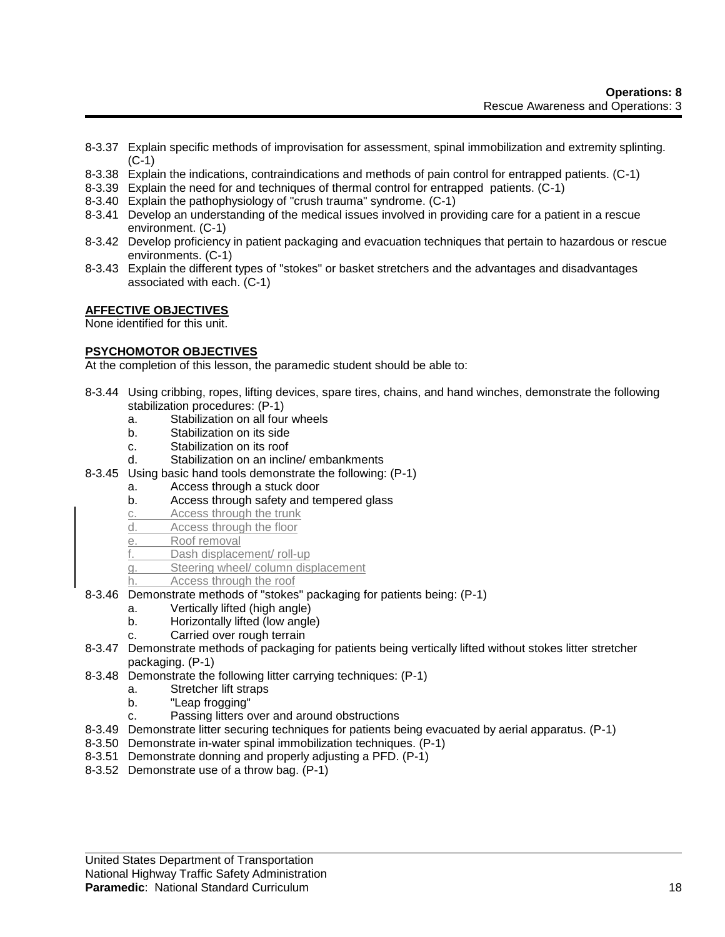- 8-3.37 Explain specific methods of improvisation for assessment, spinal immobilization and extremity splinting. (C-1)
- 8-3.38 Explain the indications, contraindications and methods of pain control for entrapped patients. (C-1)
- 8-3.39 Explain the need for and techniques of thermal control for entrapped patients. (C-1)
- 8-3.40 Explain the pathophysiology of "crush trauma" syndrome. (C-1)
- 8-3.41 Develop an understanding of the medical issues involved in providing care for a patient in a rescue environment. (C-1)
- 8-3.42 Develop proficiency in patient packaging and evacuation techniques that pertain to hazardous or rescue environments. (C-1)
- 8-3.43 Explain the different types of "stokes" or basket stretchers and the advantages and disadvantages associated with each. (C-1)

## **AFFECTIVE OBJECTIVES**

None identified for this unit.

#### **PSYCHOMOTOR OBJECTIVES**

At the completion of this lesson, the paramedic student should be able to:

- 8-3.44 Using cribbing, ropes, lifting devices, spare tires, chains, and hand winches, demonstrate the following stabilization procedures: (P-1)
	- a. Stabilization on all four wheels
	- b. Stabilization on its side
	- c. Stabilization on its roof
	- d. Stabilization on an incline/ embankments
- 8-3.45 Using basic hand tools demonstrate the following: (P-1)
	- a. Access through a stuck door
	- b. Access through safety and tempered glass
	- c. Access through the trunk
	- d. Access through the floor
	- e. Roof removal
	- f. Dash displacement/ roll-up
	- g. Steering wheel/ column displacement
	- h. Access through the roof
- 8-3.46 Demonstrate methods of "stokes" packaging for patients being: (P-1)
	- a. Vertically lifted (high angle)
	- b. Horizontally lifted (low angle)
	- c. Carried over rough terrain
- 8-3.47 Demonstrate methods of packaging for patients being vertically lifted without stokes litter stretcher packaging. (P-1)
- 8-3.48 Demonstrate the following litter carrying techniques: (P-1)
	- a. Stretcher lift straps
	- b. "Leap frogging"
	- c. Passing litters over and around obstructions
- 8-3.49 Demonstrate litter securing techniques for patients being evacuated by aerial apparatus. (P-1)
- 8-3.50 Demonstrate in-water spinal immobilization techniques. (P-1)
- 8-3.51 Demonstrate donning and properly adjusting a PFD. (P-1)
- 8-3.52 Demonstrate use of a throw bag. (P-1)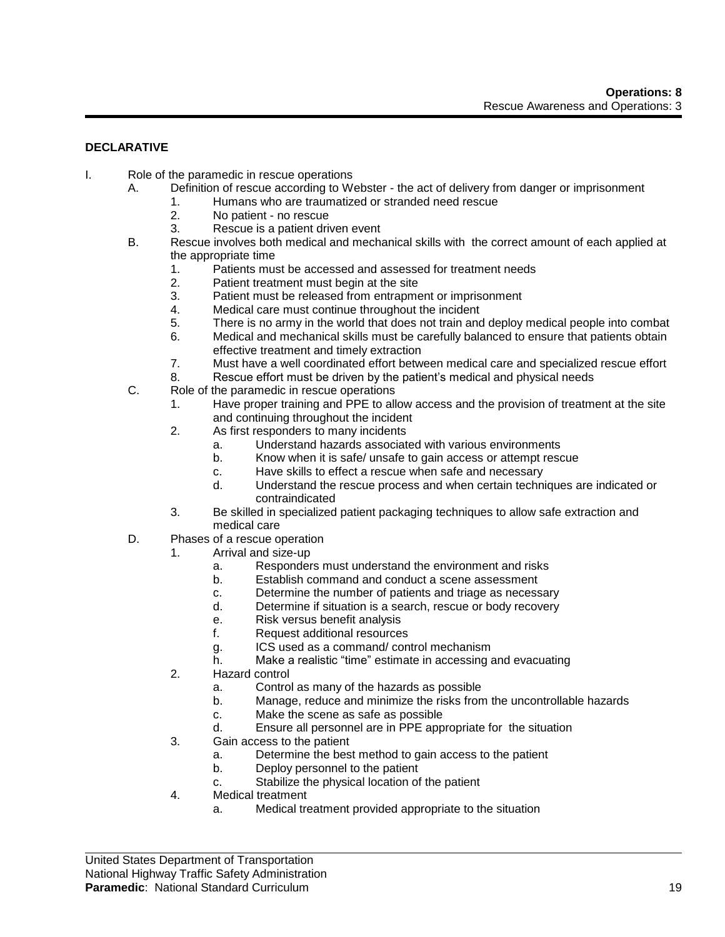# **DECLARATIVE**

- I. Role of the paramedic in rescue operations
	- A. Definition of rescue according to Webster the act of delivery from danger or imprisonment
		- 1. Humans who are traumatized or stranded need rescue
		- 2. No patient no rescue
		- 3. Rescue is a patient driven event
	- B. Rescue involves both medical and mechanical skills with the correct amount of each applied at the appropriate time
		- 1. Patients must be accessed and assessed for treatment needs
		- 2. Patient treatment must begin at the site
		- 3. Patient must be released from entrapment or imprisonment
		- 4. Medical care must continue throughout the incident
		- 5. There is no army in the world that does not train and deploy medical people into combat
		- 6. Medical and mechanical skills must be carefully balanced to ensure that patients obtain effective treatment and timely extraction
		- 7. Must have a well coordinated effort between medical care and specialized rescue effort
		- 8. Rescue effort must be driven by the patient's medical and physical needs
	- C. Role of the paramedic in rescue operations
		- 1. Have proper training and PPE to allow access and the provision of treatment at the site and continuing throughout the incident
			- 2. As first responders to many incidents
				- a. Understand hazards associated with various environments
				- b. Know when it is safe/ unsafe to gain access or attempt rescue
				- c. Have skills to effect a rescue when safe and necessary
				- d. Understand the rescue process and when certain techniques are indicated or contraindicated
			- 3. Be skilled in specialized patient packaging techniques to allow safe extraction and medical care
	- D. Phases of a rescue operation
		- 1. Arrival and size-up
			- a. Responders must understand the environment and risks
			- b. Establish command and conduct a scene assessment
			- c. Determine the number of patients and triage as necessary
			- d. Determine if situation is a search, rescue or body recovery
			- e. Risk versus benefit analysis
			- f. Request additional resources
			- g. ICS used as a command/ control mechanism
			- h. Make a realistic "time" estimate in accessing and evacuating
		- 2. Hazard control
			- a. Control as many of the hazards as possible
			- b. Manage, reduce and minimize the risks from the uncontrollable hazards
			- c. Make the scene as safe as possible
			- d. Ensure all personnel are in PPE appropriate for the situation
		- 3. Gain access to the patient
			- a. Determine the best method to gain access to the patient
			- b. Deploy personnel to the patient
			- c. Stabilize the physical location of the patient
		- 4. Medical treatment
			- a. Medical treatment provided appropriate to the situation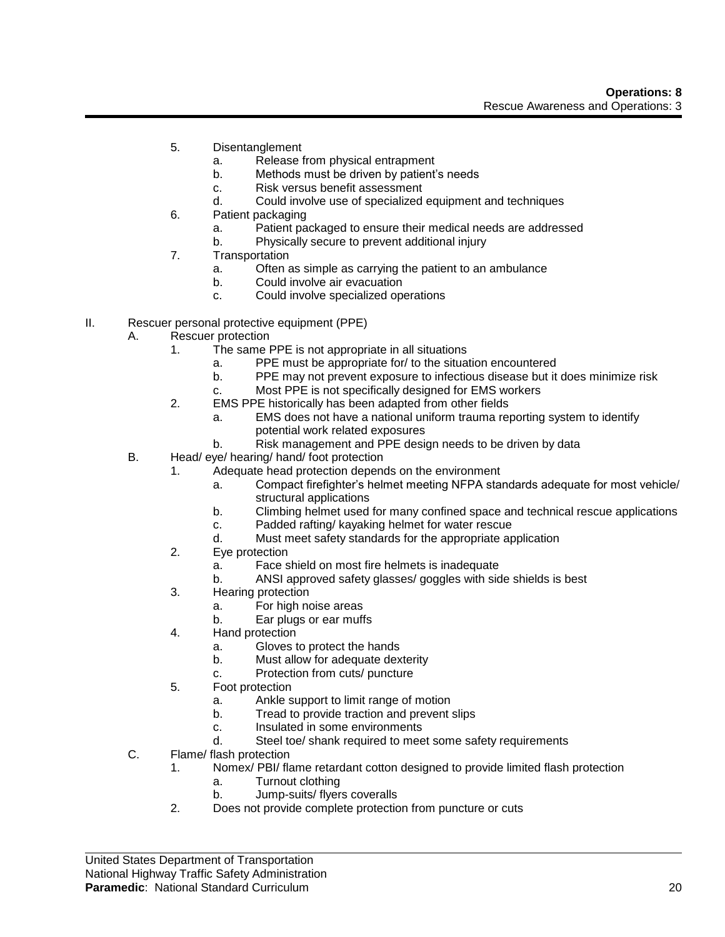- 5. Disentanglement
	- a. Release from physical entrapment
	- b. Methods must be driven by patient's needs
	- c. Risk versus benefit assessment
	- d. Could involve use of specialized equipment and techniques
- 6. Patient packaging
	- a. Patient packaged to ensure their medical needs are addressed
	- b. Physically secure to prevent additional injury
- 7. Transportation
	- a. Often as simple as carrying the patient to an ambulance
	- b. Could involve air evacuation
	- c. Could involve specialized operations
- II. Rescuer personal protective equipment (PPE)
	- A. Rescuer protection
		- 1. The same PPE is not appropriate in all situations
			- a. PPE must be appropriate for/ to the situation encountered
			- b. PPE may not prevent exposure to infectious disease but it does minimize risk
			- c. Most PPE is not specifically designed for EMS workers
		- 2. EMS PPE historically has been adapted from other fields
			- a. EMS does not have a national uniform trauma reporting system to identify potential work related exposures
			- b. Risk management and PPE design needs to be driven by data
	- B. Head/ eye/ hearing/ hand/ foot protection
		- 1. Adequate head protection depends on the environment
			- a. Compact firefighter's helmet meeting NFPA standards adequate for most vehicle/ structural applications
			- b. Climbing helmet used for many confined space and technical rescue applications
			- c. Padded rafting/ kayaking helmet for water rescue
			- d. Must meet safety standards for the appropriate application
		- 2. Eye protection
			- a. Face shield on most fire helmets is inadequate
			- b. ANSI approved safety glasses/ goggles with side shields is best
		- 3. Hearing protection
			- a. For high noise areas
			- b. Ear plugs or ear muffs
		- 4. Hand protection
			- a. Gloves to protect the hands
			- b. Must allow for adequate dexterity
			- c. Protection from cuts/ puncture
		- 5. Foot protection
			- a. Ankle support to limit range of motion
			- b. Tread to provide traction and prevent slips
			- c. Insulated in some environments
			- d. Steel toe/ shank required to meet some safety requirements
	- C. Flame/ flash protection
		- 1. Nomex/ PBI/ flame retardant cotton designed to provide limited flash protection
			- a. Turnout clothing
			- b. Jump-suits/ flyers coveralls
		- 2. Does not provide complete protection from puncture or cuts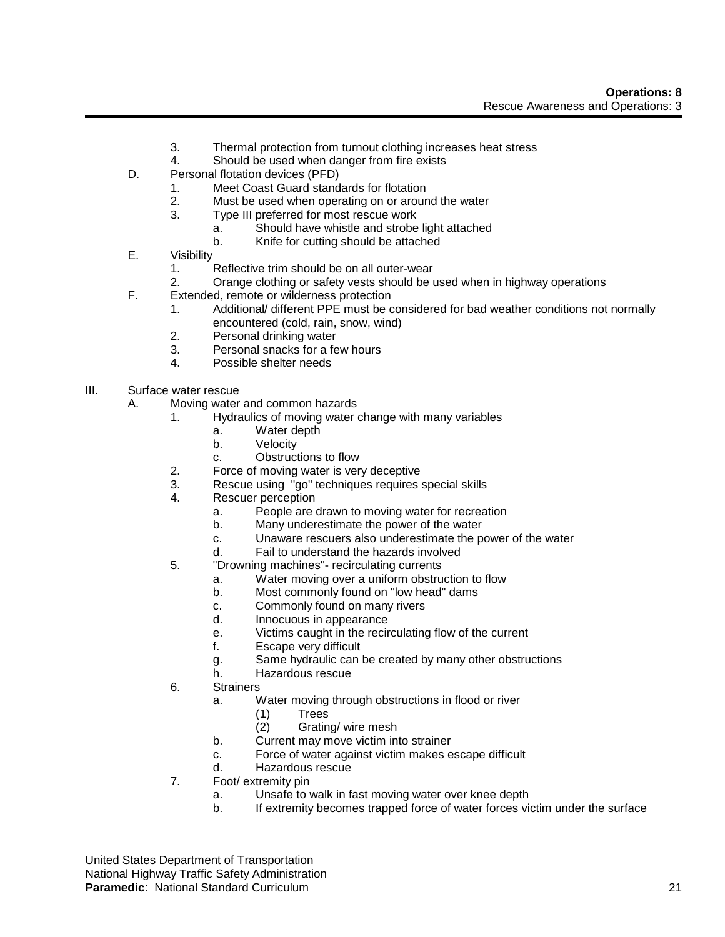- 3. Thermal protection from turnout clothing increases heat stress
- 4. Should be used when danger from fire exists
- D. Personal flotation devices (PFD)
	- 1. Meet Coast Guard standards for flotation
	- 2. Must be used when operating on or around the water
	- 3. Type III preferred for most rescue work
		- a. Should have whistle and strobe light attached
		- b. Knife for cutting should be attached
- E. Visibility
	- 1. Reflective trim should be on all outer-wear
	- 2. Orange clothing or safety vests should be used when in highway operations
- F. Extended, remote or wilderness protection
	- 1. Additional/ different PPE must be considered for bad weather conditions not normally encountered (cold, rain, snow, wind)
	- 2. Personal drinking water
	- 3. Personal snacks for a few hours
	- 4. Possible shelter needs
- III. Surface water rescue
	- A. Moving water and common hazards
		- 1. Hydraulics of moving water change with many variables
			- a. Water depth
			- b. Velocity
			- c. Obstructions to flow
		- 2. Force of moving water is very deceptive
		- 3. Rescue using "go" techniques requires special skills
		- 4. Rescuer perception
			- a. People are drawn to moving water for recreation
			- b. Many underestimate the power of the water
			- c. Unaware rescuers also underestimate the power of the water
			- d. Fail to understand the hazards involved
		- 5. "Drowning machines"- recirculating currents
			- a. Water moving over a uniform obstruction to flow
			- b. Most commonly found on "low head" dams
			- c. Commonly found on many rivers
			- d. Innocuous in appearance
			- e. Victims caught in the recirculating flow of the current
			- f. Escape very difficult
			- g. Same hydraulic can be created by many other obstructions
			- h. Hazardous rescue
		- 6. Strainers
			- a. Water moving through obstructions in flood or river
				- (1) Trees
				- (2) Grating/ wire mesh
			- b. Current may move victim into strainer
			- c. Force of water against victim makes escape difficult
			- d. Hazardous rescue
		- 7. Foot/ extremity pin
			- a. Unsafe to walk in fast moving water over knee depth
			- b. If extremity becomes trapped force of water forces victim under the surface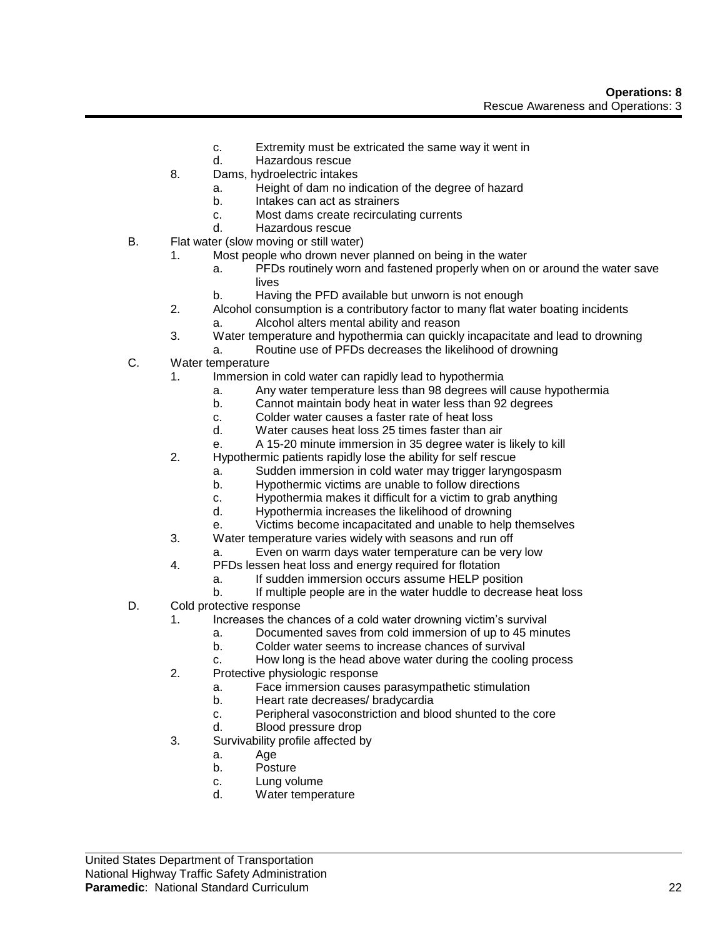- c. Extremity must be extricated the same way it went in
- d. Hazardous rescue
- 8. Dams, hydroelectric intakes
	- a. Height of dam no indication of the degree of hazard
	- b. Intakes can act as strainers
	- c. Most dams create recirculating currents
	- d. Hazardous rescue
- B. Flat water (slow moving or still water)
	- 1. Most people who drown never planned on being in the water
		- a. PFDs routinely worn and fastened properly when on or around the water save lives
		- b. Having the PFD available but unworn is not enough
	- 2. Alcohol consumption is a contributory factor to many flat water boating incidents a. Alcohol alters mental ability and reason
	- 3. Water temperature and hypothermia can quickly incapacitate and lead to drowning
	- a. Routine use of PFDs decreases the likelihood of drowning
- C. Water temperature
	- 1. Immersion in cold water can rapidly lead to hypothermia
		- a. Any water temperature less than 98 degrees will cause hypothermia
		- b. Cannot maintain body heat in water less than 92 degrees
		- c. Colder water causes a faster rate of heat loss
		- d. Water causes heat loss 25 times faster than air
		- e. A 15-20 minute immersion in 35 degree water is likely to kill
	- 2. Hypothermic patients rapidly lose the ability for self rescue
		- a. Sudden immersion in cold water may trigger laryngospasm
		- b. Hypothermic victims are unable to follow directions
		- c. Hypothermia makes it difficult for a victim to grab anything
		- d. Hypothermia increases the likelihood of drowning
		- e. Victims become incapacitated and unable to help themselves
	- 3. Water temperature varies widely with seasons and run off
		- a. Even on warm days water temperature can be very low
	- 4. PFDs lessen heat loss and energy required for flotation
		- a. If sudden immersion occurs assume HELP position
		- b. If multiple people are in the water huddle to decrease heat loss
- D. Cold protective response
	- 1. Increases the chances of a cold water drowning victim's survival
		- a. Documented saves from cold immersion of up to 45 minutes
		- b. Colder water seems to increase chances of survival
		- c. How long is the head above water during the cooling process
	- 2. Protective physiologic response
		- a. Face immersion causes parasympathetic stimulation
		- b. Heart rate decreases/ bradycardia
		- c. Peripheral vasoconstriction and blood shunted to the core
		- d. Blood pressure drop
	- 3. Survivability profile affected by
		- a. Age
			- b. Posture
			- c. Lung volume
			- d. Water temperature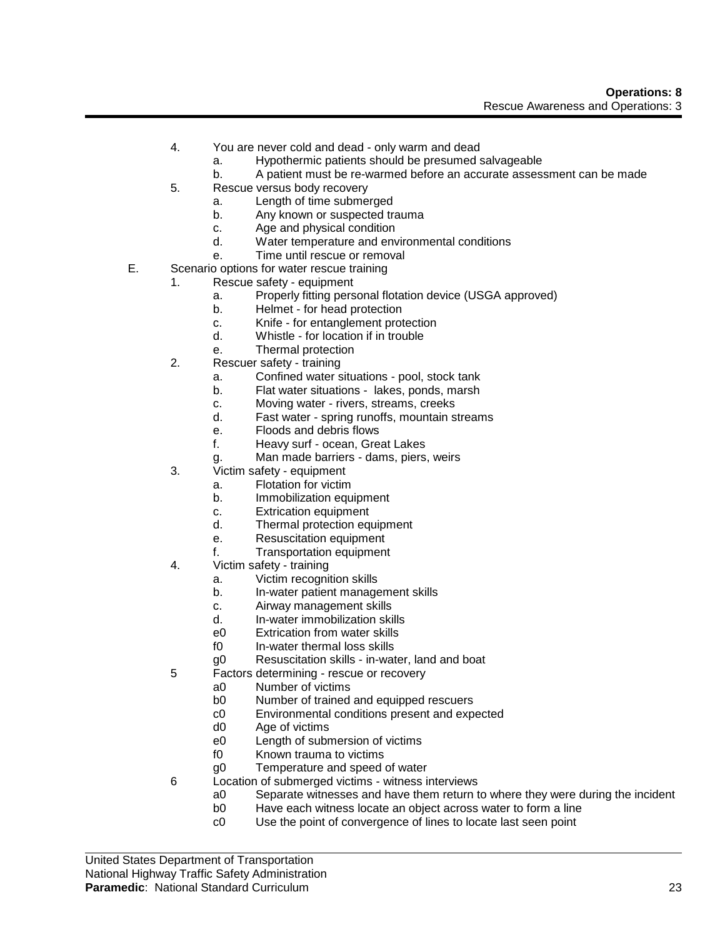- 4. You are never cold and dead only warm and dead
	- a. Hypothermic patients should be presumed salvageable
	- b. A patient must be re-warmed before an accurate assessment can be made
- 5. Rescue versus body recovery
	- a. Length of time submerged
	- b. Any known or suspected trauma
	- c. Age and physical condition
	- d. Water temperature and environmental conditions
	- e. Time until rescue or removal
- E. Scenario options for water rescue training
	- 1. Rescue safety equipment
		- a. Properly fitting personal flotation device (USGA approved)
		- b. Helmet for head protection
		- c. Knife for entanglement protection
		- d. Whistle for location if in trouble
		- e. Thermal protection
	- 2. Rescuer safety training
		- a. Confined water situations pool, stock tank
		- b. Flat water situations lakes, ponds, marsh
		- c. Moving water rivers, streams, creeks
		- d. Fast water spring runoffs, mountain streams
		- e. Floods and debris flows
		- f. Heavy surf ocean, Great Lakes
		- g. Man made barriers dams, piers, weirs
	- 3. Victim safety equipment
		- a. Flotation for victim
			- b. Immobilization equipment
			- c. Extrication equipment
			- d. Thermal protection equipment
			- e. Resuscitation equipment
			- f. Transportation equipment
	- 4. Victim safety training
		- a. Victim recognition skills
		- b. In-water patient management skills
		- c. Airway management skills
		- d. In-water immobilization skills
		- e0 Extrication from water skills
		- f0 In-water thermal loss skills
		- g0 Resuscitation skills in-water, land and boat
	- 5 Factors determining rescue or recovery
		- a0 Number of victims
		- b0 Number of trained and equipped rescuers<br>c0 Environmental conditions present and exp
		- Environmental conditions present and expected
		- d0 Age of victims
		- e0 Length of submersion of victims
		- f0 Known trauma to victims
		- g0 Temperature and speed of water
	- 6 Location of submerged victims witness interviews
		- a0 Separate witnesses and have them return to where they were during the incident
		- b0 Have each witness locate an object across water to form a line
		- c0 Use the point of convergence of lines to locate last seen point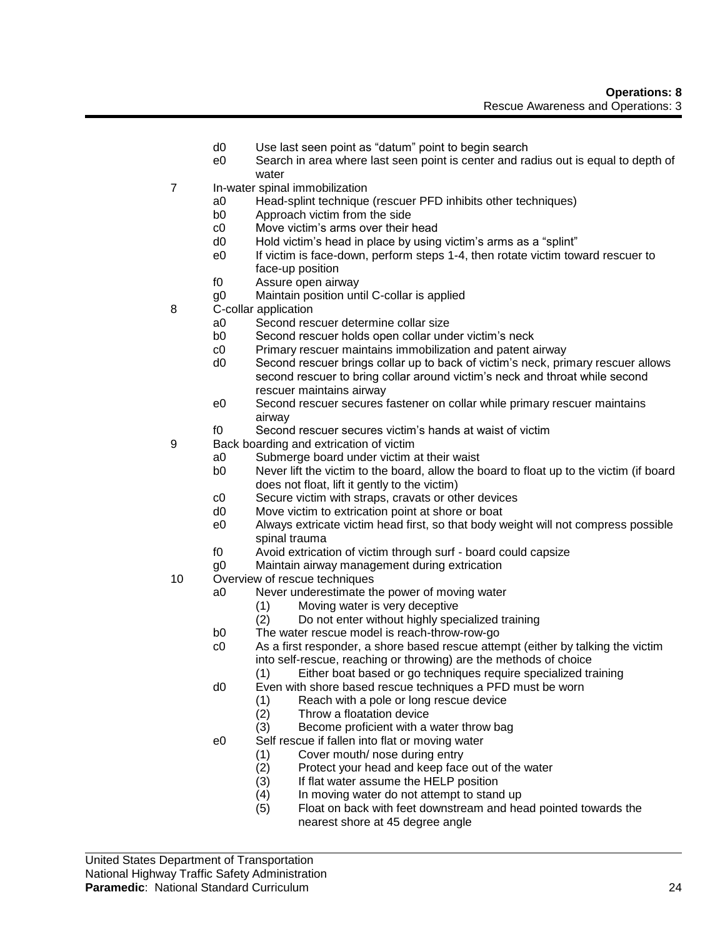- d0 Use last seen point as "datum" point to begin search
- e0 Search in area where last seen point is center and radius out is equal to depth of water
- 7 In-water spinal immobilization
	- a0 Head-splint technique (rescuer PFD inhibits other techniques)
	- b0 Approach victim from the side
	- c0 Move victim's arms over their head
	- d0 Hold victim's head in place by using victim's arms as a "splint"
	- e0 If victim is face-down, perform steps 1-4, then rotate victim toward rescuer to face-up position
	- f0 Assure open airway
	- g0 Maintain position until C-collar is applied
- 8 C-collar application
	- a0 Second rescuer determine collar size
	- b0 Second rescuer holds open collar under victim's neck
	- c0 Primary rescuer maintains immobilization and patent airway
	- d0 Second rescuer brings collar up to back of victim's neck, primary rescuer allows second rescuer to bring collar around victim's neck and throat while second rescuer maintains airway
	- e0 Second rescuer secures fastener on collar while primary rescuer maintains airway
	- f0 Second rescuer secures victim's hands at waist of victim
- 9 Back boarding and extrication of victim
	- a0 Submerge board under victim at their waist
	- b0 Never lift the victim to the board, allow the board to float up to the victim (if board does not float, lift it gently to the victim)
	- c0 Secure victim with straps, cravats or other devices
	- d0 Move victim to extrication point at shore or boat
	- e0 Always extricate victim head first, so that body weight will not compress possible spinal trauma
	- f0 Avoid extrication of victim through surf board could capsize
	- g0 Maintain airway management during extrication
- 10 Overview of rescue techniques
	- a0 Never underestimate the power of moving water
		- (1) Moving water is very deceptive
		- (2) Do not enter without highly specialized training
	- b0 The water rescue model is reach-throw-row-go
	- c0 As a first responder, a shore based rescue attempt (either by talking the victim into self-rescue, reaching or throwing) are the methods of choice
		- (1) Either boat based or go techniques require specialized training
	- d0 Even with shore based rescue techniques a PFD must be worn
		- (1) Reach with a pole or long rescue device
		- (2) Throw a floatation device
		- (3) Become proficient with a water throw bag
	- e0 Self rescue if fallen into flat or moving water
		- (1) Cover mouth/ nose during entry
		- (2) Protect your head and keep face out of the water<br>(3) If flat water assume the HELP position
		- If flat water assume the HELP position
		- (4) In moving water do not attempt to stand up
		- (5) Float on back with feet downstream and head pointed towards the nearest shore at 45 degree angle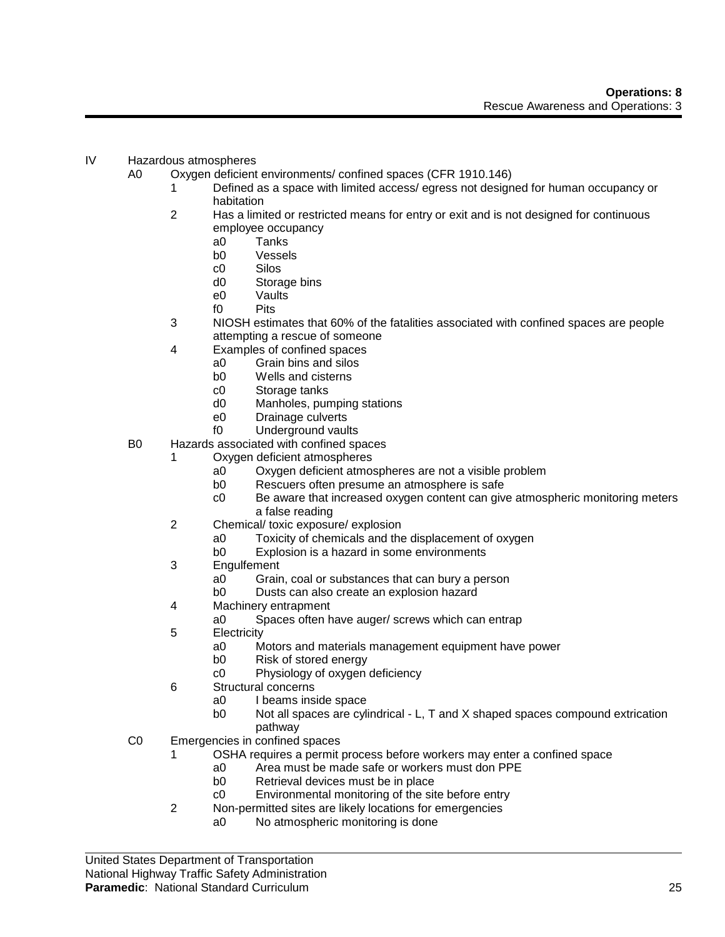## IV Hazardous atmospheres

A0 Oxygen deficient environments/ confined spaces (CFR 1910.146)

- Defined as a space with limited access/ egress not designed for human occupancy or habitation
- 2 Has a limited or restricted means for entry or exit and is not designed for continuous employee occupancy
	- a0 Tanks
	- b0 Vessels
	- c0 Silos
	- d0 Storage bins
	- e0 Vaults
	- f0 Pits
- 3 NIOSH estimates that 60% of the fatalities associated with confined spaces are people attempting a rescue of someone
- 4 Examples of confined spaces
	- a0 Grain bins and silos
		- b0 Wells and cisterns
		- c0 Storage tanks
		- d0 Manholes, pumping stations
		- e0 Drainage culverts
	- f0 Underground vaults
- B0 Hazards associated with confined spaces
	- 1 Oxygen deficient atmospheres
		- a0 Oxygen deficient atmospheres are not a visible problem
		- b0 Rescuers often presume an atmosphere is safe
		- c0 Be aware that increased oxygen content can give atmospheric monitoring meters a false reading
	- 2 Chemical/ toxic exposure/ explosion
		- a0 Toxicity of chemicals and the displacement of oxygen
		- b0 Explosion is a hazard in some environments
	- 3 Engulfement
		- a0 Grain, coal or substances that can bury a person
		- b0 Dusts can also create an explosion hazard
	- 4 Machinery entrapment
		- a0 Spaces often have auger/ screws which can entrap
	- 5 Electricity
		- a0 Motors and materials management equipment have power
		- b0 Risk of stored energy
		- c0 Physiology of oxygen deficiency
	- 6 Structural concerns
		- a0 I beams inside space
		- b0 Not all spaces are cylindrical L, T and X shaped spaces compound extrication pathway
- C0 Emergencies in confined spaces
	- 1 OSHA requires a permit process before workers may enter a confined space
		- a0 Area must be made safe or workers must don PPE
		- Retrieval devices must be in place
		- c0 Environmental monitoring of the site before entry
	- 2 Non-permitted sites are likely locations for emergencies
		- a0 No atmospheric monitoring is done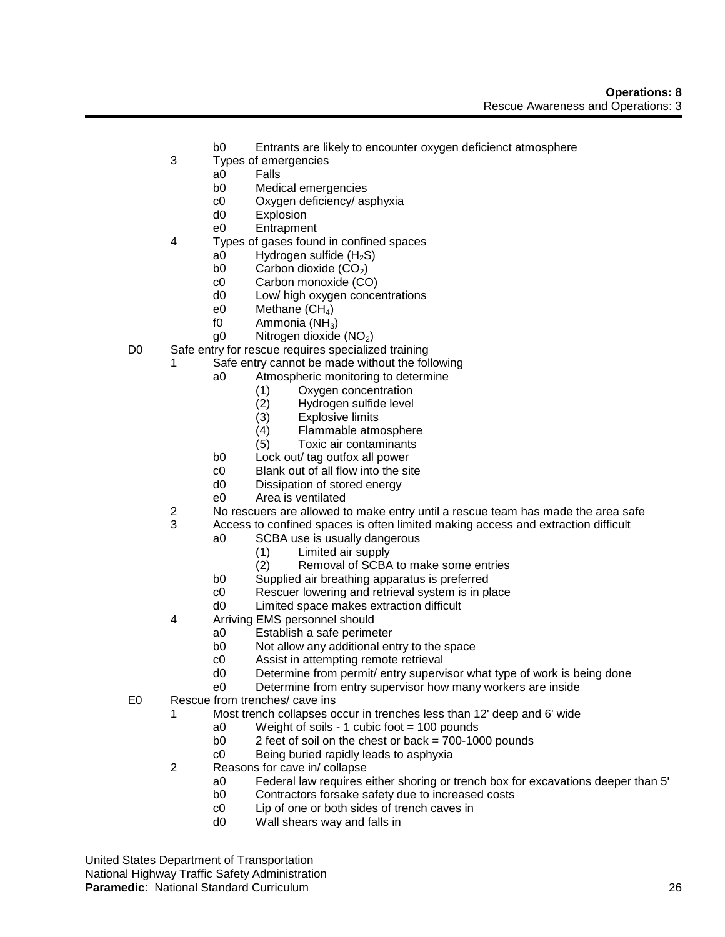- b0 Entrants are likely to encounter oxygen deficienct atmosphere
- 3 Types of emergencies
	- a0 Falls
	- b0 Medical emergencies
	- c0 Oxygen deficiency/ asphyxia
	- d0 Explosion
	- e0 Entrapment
- 4 Types of gases found in confined spaces
	- a0 Hydrogen sulfide  $(H_2S)$
	- b0 Carbon dioxide  $(CO_2)$ <br>c0 Carbon monoxide  $(CC)$
	- Carbon monoxide (CO)
	- d0 Low/ high oxygen concentrations
	- e0 Methane  $(CH_4)$
	- f0 Ammonia  $(NH_3)$
	- $q0$  Nitrogen dioxide (NO<sub>2</sub>)
- D0 Safe entry for rescue requires specialized training
	- 1 Safe entry cannot be made without the following
		- a0 Atmospheric monitoring to determine
			- (1) Oxygen concentration
			- (2) Hydrogen sulfide level
			- (3) Explosive limits
			- (4) Flammable atmosphere
			- (5) Toxic air contaminants
		- b0 Lock out/ tag outfox all power
		- c0 Blank out of all flow into the site
		- d0 Dissipation of stored energy
		- e0 Area is ventilated
	- 2 No rescuers are allowed to make entry until a rescue team has made the area safe
	- 3 Access to confined spaces is often limited making access and extraction difficult
		- a0 SCBA use is usually dangerous
			- (1) Limited air supply
			- (2) Removal of SCBA to make some entries
		- b0 Supplied air breathing apparatus is preferred
		- c0 Rescuer lowering and retrieval system is in place
		- d0 Limited space makes extraction difficult
	- 4 Arriving EMS personnel should
		- a0 Establish a safe perimeter
		- b0 Not allow any additional entry to the space
		- c0 Assist in attempting remote retrieval
		- d0 Determine from permit/ entry supervisor what type of work is being done
		- e0 Determine from entry supervisor how many workers are inside
- E0 Rescue from trenches/ cave ins
	- 1 Most trench collapses occur in trenches less than 12' deep and 6' wide
		- a0 Weight of soils 1 cubic foot = 100 pounds
		- b0 2 feet of soil on the chest or back = 700-1000 pounds
		- c0 Being buried rapidly leads to asphyxia
	- 2 Reasons for cave in/ collapse
		- a0 Federal law requires either shoring or trench box for excavations deeper than 5'
		- b0 Contractors forsake safety due to increased costs
		- c0 Lip of one or both sides of trench caves in
		- d0 Wall shears way and falls in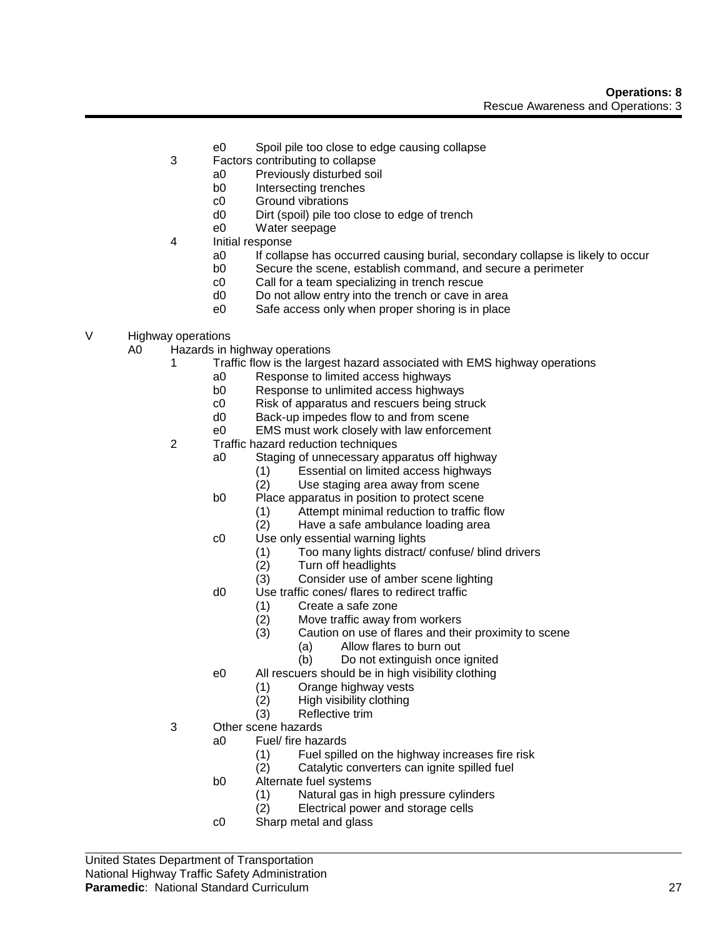- e0 Spoil pile too close to edge causing collapse
- 3 Factors contributing to collapse
	- a0 Previously disturbed soil
	- b0 Intersecting trenches
	- c0 Ground vibrations
	- d0 Dirt (spoil) pile too close to edge of trench
	- e0 Water seepage
- 4 Initial response
	- a0 If collapse has occurred causing burial, secondary collapse is likely to occur
	- b0 Secure the scene, establish command, and secure a perimeter
	- c0 Call for a team specializing in trench rescue
	- d0 Do not allow entry into the trench or cave in area
	- e0 Safe access only when proper shoring is in place
- V Highway operations
	- A0 Hazards in highway operations
		- 1 Traffic flow is the largest hazard associated with EMS highway operations<br>a0 Response to limited access highways
			- Response to limited access highways
				- b0 Response to unlimited access highways
				- c0 Risk of apparatus and rescuers being struck
				- d0 Back-up impedes flow to and from scene
			- e0 EMS must work closely with law enforcement
		- 2 Traffic hazard reduction techniques
			- a0 Staging of unnecessary apparatus off highway
				- (1) Essential on limited access highways
				- (2) Use staging area away from scene
			- b0 Place apparatus in position to protect scene
				- (1) Attempt minimal reduction to traffic flow
				- (2) Have a safe ambulance loading area
			- c0 Use only essential warning lights
				- (1) Too many lights distract/ confuse/ blind drivers
				- (2) Turn off headlights<br>(3) Consider use of am
				- Consider use of amber scene lighting
			- d0 Use traffic cones/ flares to redirect traffic
				- (1) Create a safe zone
				- (2) Move traffic away from workers
				- (3) Caution on use of flares and their proximity to scene
					- (a) Allow flares to burn out
					- (b) Do not extinguish once ignited
			- e0 All rescuers should be in high visibility clothing
				- (1) Orange highway vests
				- (2) High visibility clothing
				- (3) Reflective trim
		- 3 Other scene hazards
			- a0 Fuel/ fire hazards
				- (1) Fuel spilled on the highway increases fire risk
				- (2) Catalytic converters can ignite spilled fuel
				- b0 Alternate fuel systems
					- (1) Natural gas in high pressure cylinders<br>(2) Electrical power and storage cells
					- Electrical power and storage cells
				- c0 Sharp metal and glass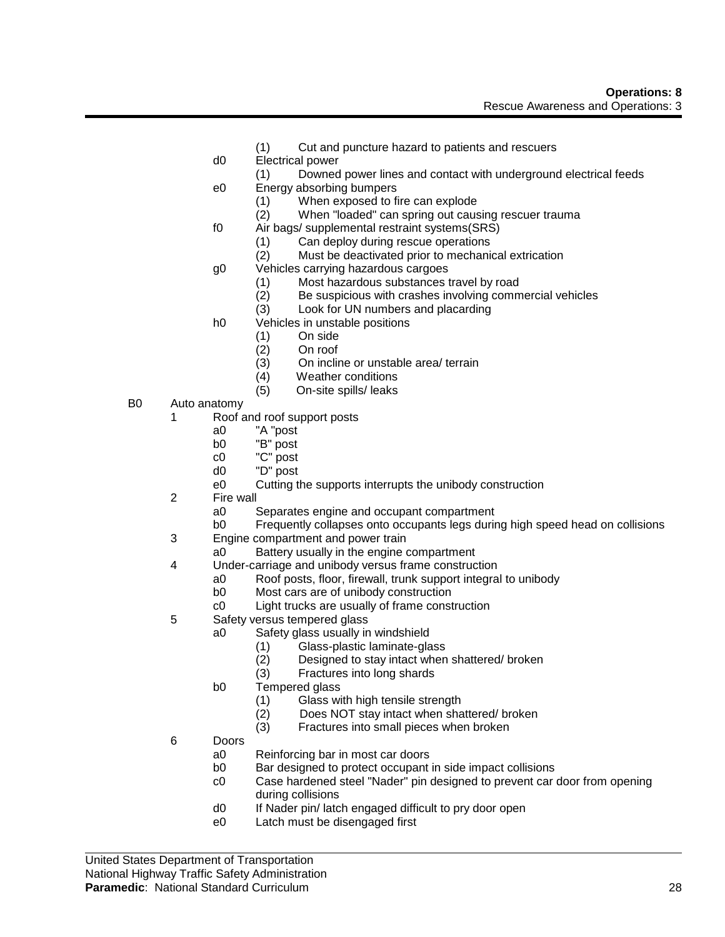- (1) Cut and puncture hazard to patients and rescuers
- d0 Electrical power
	- (1) Downed power lines and contact with underground electrical feeds
- e0 Energy absorbing bumpers
	- (1) When exposed to fire can explode
	- (2) When "loaded" can spring out causing rescuer trauma
- f0 Air bags/ supplemental restraint systems(SRS)
	- (1) Can deploy during rescue operations<br>(2) Must be deactivated prior to mechani
	- Must be deactivated prior to mechanical extrication
- g0 Vehicles carrying hazardous cargoes
	- (1) Most hazardous substances travel by road
	- (2) Be suspicious with crashes involving commercial vehicles
	- (3) Look for UN numbers and placarding
- h0 Vehicles in unstable positions
	- (1) On side
	- (2) On roof
	- (3) On incline or unstable area/ terrain
	- (4) Weather conditions
	- (5) On-site spills/ leaks
- B0 Auto anatomy
	- 1 Roof and roof support posts
		- a0 "A "post
		- b0 "B" post
		- c0 "C" post
		- d0 "D" post
		- e0 Cutting the supports interrupts the unibody construction
	- 2 Fire wall
		- a0 Separates engine and occupant compartment
		- b0 Frequently collapses onto occupants legs during high speed head on collisions
	- 3 Engine compartment and power train
		- a0 Battery usually in the engine compartment
	- 4 Under-carriage and unibody versus frame construction
		- a0 Roof posts, floor, firewall, trunk support integral to unibody
		- Most cars are of unibody construction
		- c0 Light trucks are usually of frame construction
	- 5 Safety versus tempered glass
		- a0 Safety glass usually in windshield
			- (1) Glass-plastic laminate-glass
			- (2) Designed to stay intact when shattered/ broken
			- (3) Fractures into long shards
		- b0 Tempered glass
			- (1) Glass with high tensile strength
			- (2) Does NOT stay intact when shattered/ broken
			- (3) Fractures into small pieces when broken
	- 6 Doors
		- a0 Reinforcing bar in most car doors
		- b0 Bar designed to protect occupant in side impact collisions
		- c0 Case hardened steel "Nader" pin designed to prevent car door from opening during collisions
		- d0 If Nader pin/ latch engaged difficult to pry door open
		- e0 Latch must be disengaged first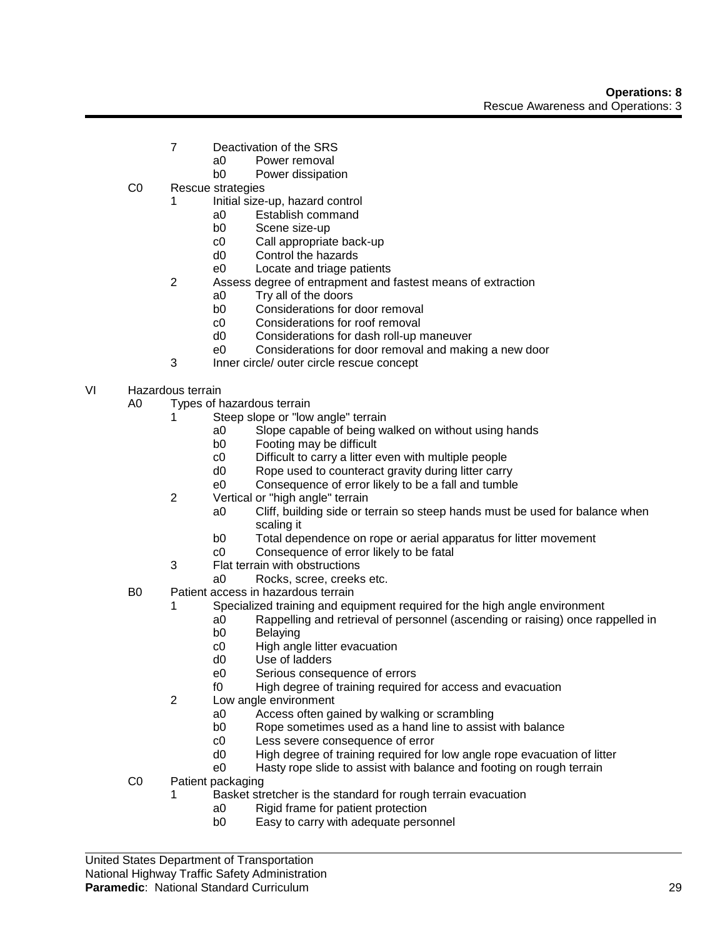- 7 Deactivation of the SRS
	- a0 Power removal
	- b0 Power dissipation
- C0 Rescue strategies
	- 1 Initial size-up, hazard control
		- a0 Establish command
		- b0 Scene size-up
		- c0 Call appropriate back-up
		- d0 Control the hazards
		- e0 Locate and triage patients
	- 2 Assess degree of entrapment and fastest means of extraction
		- a0 Try all of the doors
		- b0 Considerations for door removal
		- c0 Considerations for roof removal
		- d0 Considerations for dash roll-up maneuver
		- e0 Considerations for door removal and making a new door
	- 3 Inner circle/ outer circle rescue concept
- VI Hazardous terrain
	- A0 Types of hazardous terrain
		- 1 Steep slope or "low angle" terrain
			- a0 Slope capable of being walked on without using hands
			- b0 Footing may be difficult
			- c0 Difficult to carry a litter even with multiple people
			- d0 Rope used to counteract gravity during litter carry
			- e0 Consequence of error likely to be a fall and tumble
		- 2 Vertical or "high angle" terrain
			- a0 Cliff, building side or terrain so steep hands must be used for balance when scaling it
			- b0 Total dependence on rope or aerial apparatus for litter movement
			- c0 Consequence of error likely to be fatal
		- 3 Flat terrain with obstructions
			- a0 Rocks, scree, creeks etc.
	- B0 Patient access in hazardous terrain
		- 1 Specialized training and equipment required for the high angle environment
			- a0 Rappelling and retrieval of personnel (ascending or raising) once rappelled in
			- b0 Belaying
			- c0 High angle litter evacuation
			- d0 Use of ladders
			- e0 Serious consequence of errors
			- f0 High degree of training required for access and evacuation
		- 2 Low angle environment
			- a0 Access often gained by walking or scrambling
			- b0 Rope sometimes used as a hand line to assist with balance
			- c0 Less severe consequence of error
			- d0 High degree of training required for low angle rope evacuation of litter
			- e0 Hasty rope slide to assist with balance and footing on rough terrain
	- C0 Patient packaging
		- 1 Basket stretcher is the standard for rough terrain evacuation
			- a0 Rigid frame for patient protection
			- b0 Easy to carry with adequate personnel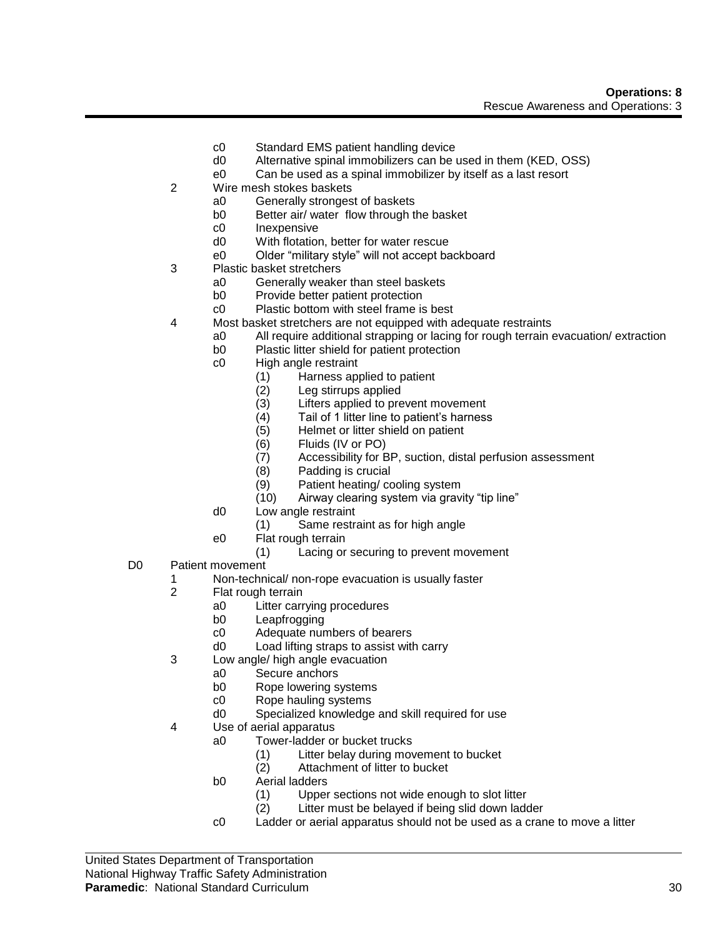- c0 Standard EMS patient handling device
- d0 Alternative spinal immobilizers can be used in them (KED, OSS)
- e0 Can be used as a spinal immobilizer by itself as a last resort
- 2 Wire mesh stokes baskets
	- a0 Generally strongest of baskets
	- b0 Better air/ water flow through the basket
	- c0 Inexpensive
	- d0 With flotation, better for water rescue<br>e0 Older "military style" will not accept ba
	- Older "military style" will not accept backboard
- 3 Plastic basket stretchers
	- a0 Generally weaker than steel baskets
	- b0 Provide better patient protection
	- c0 Plastic bottom with steel frame is best
- 4 Most basket stretchers are not equipped with adequate restraints
	- a0 All require additional strapping or lacing for rough terrain evacuation/ extraction
	- b0 Plastic litter shield for patient protection
	- c0 High angle restraint
		- (1) Harness applied to patient<br>(2) Leg stirrups applied
		- Leg stirrups applied
		- (3) Lifters applied to prevent movement
		- (4) Tail of 1 litter line to patient's harness
		- (5) Helmet or litter shield on patient
		- (6) Fluids (IV or PO)
		- (7) Accessibility for BP, suction, distal perfusion assessment
		- (8) Padding is crucial
		- (9) Patient heating/ cooling system<br>(10) Airway clearing system via gravi
		- Airway clearing system via gravity "tip line"
	- d0 Low angle restraint
		- (1) Same restraint as for high angle
	- e0 Flat rough terrain
		- (1) Lacing or securing to prevent movement
- D0 Patient movement
	- 1 Non-technical/ non-rope evacuation is usually faster
	- Flat rough terrain
		- a0 Litter carrying procedures
		- b0 Leapfrogging<br>c0 Adequate nur
		- Adequate numbers of bearers
		- d0 Load lifting straps to assist with carry
	- 3 Low angle/ high angle evacuation
		- a0 Secure anchors
		- b0 Rope lowering systems
		- c0 Rope hauling systems
		- d0 Specialized knowledge and skill required for use
	- 4 Use of aerial apparatus
		- a0 Tower-ladder or bucket trucks
			- (1) Litter belay during movement to bucket
			- (2) Attachment of litter to bucket
		- b0 Aerial ladders
			- (1) Upper sections not wide enough to slot litter
			- (2) Litter must be belayed if being slid down ladder
		- c0 Ladder or aerial apparatus should not be used as a crane to move a litter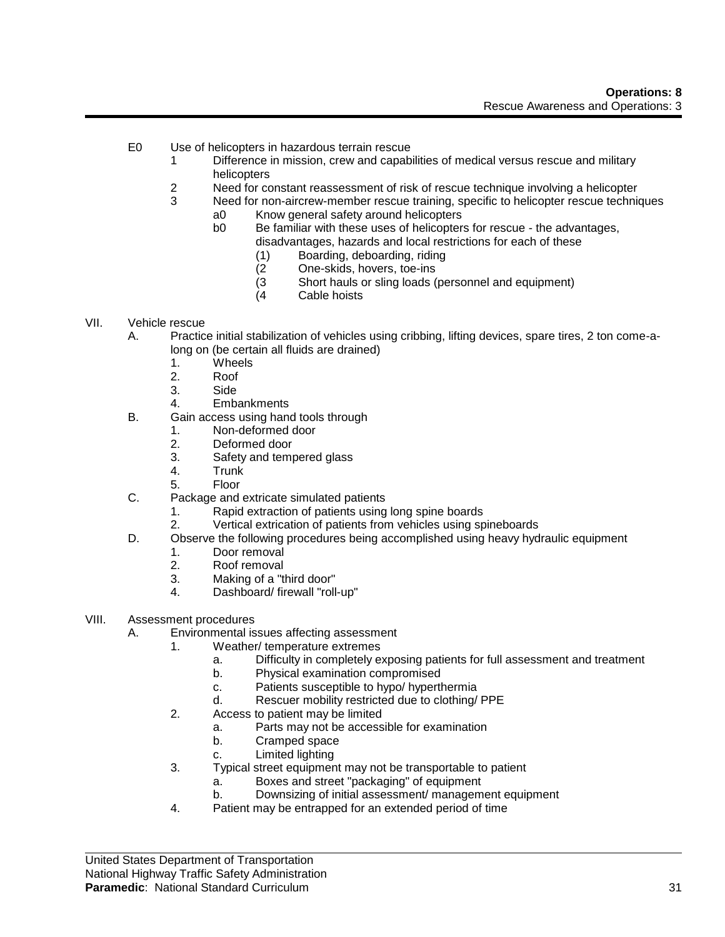- E0 Use of helicopters in hazardous terrain rescue
	- 1 Difference in mission, crew and capabilities of medical versus rescue and military helicopters
	- 2 Need for constant reassessment of risk of rescue technique involving a helicopter
	- 3 Need for non-aircrew-member rescue training, specific to helicopter rescue techniques
		- a0 Know general safety around helicopters
		- b0 Be familiar with these uses of helicopters for rescue the advantages, disadvantages, hazards and local restrictions for each of these
			- (1) Boarding, deboarding, riding
			- (2 One-skids, hovers, toe-ins
			- (3 Short hauls or sling loads (personnel and equipment)<br>(4 Cable hoists
			- Cable hoists

#### VII. Vehicle rescue

- A. Practice initial stabilization of vehicles using cribbing, lifting devices, spare tires, 2 ton come-along on (be certain all fluids are drained)
	- 1. Wheels
	- 2. Roof
	- 3. Side
	- 4. Embankments
- B. Gain access using hand tools through
	- 1. Non-deformed door
	- 2. Deformed door
	- 3. Safety and tempered glass
	- 4. Trunk
	- 5. Floor
- C. Package and extricate simulated patients
	- 1. Rapid extraction of patients using long spine boards
	- 2. Vertical extrication of patients from vehicles using spineboards
- D. Observe the following procedures being accomplished using heavy hydraulic equipment
	- 1. Door removal
	- 2. Roof removal
	- 3. Making of a "third door"<br>4 Dashboard/firewall "roll
	- Dashboard/ firewall "roll-up"
- VIII. Assessment procedures
	- A. Environmental issues affecting assessment
		- 1. Weather/ temperature extremes
			- a. Difficulty in completely exposing patients for full assessment and treatment
			- b. Physical examination compromised
			- c. Patients susceptible to hypo/ hyperthermia
			- d. Rescuer mobility restricted due to clothing/ PPE
		- 2. Access to patient may be limited
			- a. Parts may not be accessible for examination
			- b. Cramped space
			- c. Limited lighting
		- 3. Typical street equipment may not be transportable to patient
			- a. Boxes and street "packaging" of equipment
			- b. Downsizing of initial assessment/ management equipment
		- 4. Patient may be entrapped for an extended period of time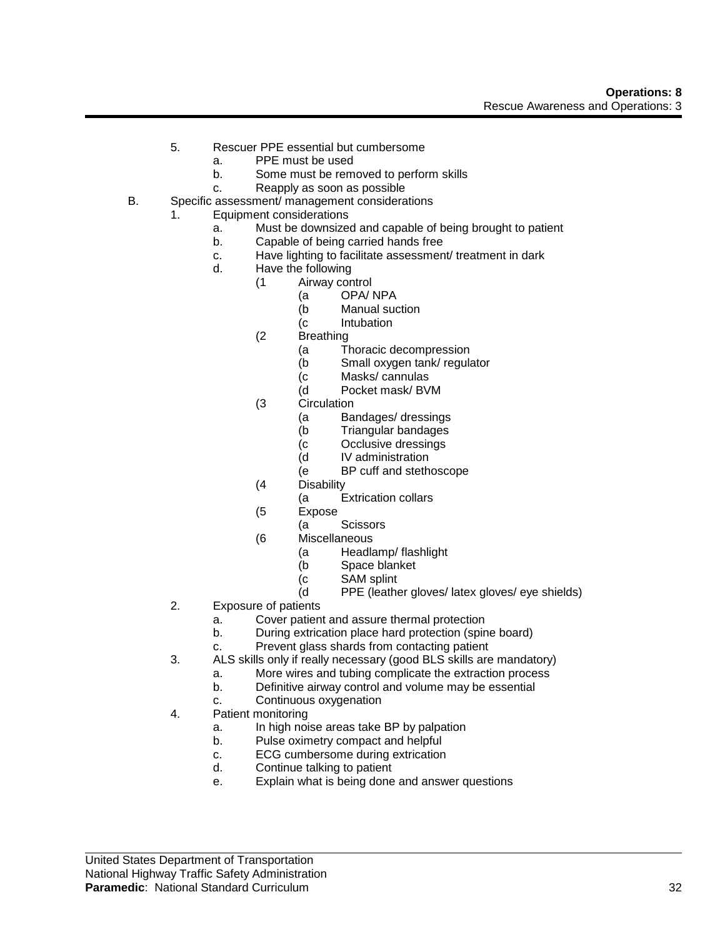- 5. Rescuer PPE essential but cumbersome
	- a. PPE must be used
	- b. Some must be removed to perform skills
	- c. Reapply as soon as possible
- B. Specific assessment/ management considerations
	- 1. Equipment considerations
		- a. Must be downsized and capable of being brought to patient
		- b. Capable of being carried hands free
		- c. Have lighting to facilitate assessment/ treatment in dark
		- d. Have the following
			- (1 Airway control
				- (a OPA/ NPA
				- (b Manual suction
				- (c Intubation
			- (2 Breathing
				- (a Thoracic decompression
				- (b Small oxygen tank/ regulator
				- (c Masks/ cannulas
				- (d Pocket mask/ BVM
			- (3 Circulation
				- (a Bandages/ dressings
				- (b Triangular bandages
				- (c Occlusive dressings
				- (d IV administration
				- (e BP cuff and stethoscope
			- (4 Disability
				- (a Extrication collars
			- (5 Expose
				- (a Scissors
			- (6 Miscellaneous
				- (a Headlamp/ flashlight
				- (b Space blanket
				- (c SAM splint<br>(d PPE (leathe
				- PPE (leather gloves/ latex gloves/ eye shields)
	- 2. Exposure of patients
		- a. Cover patient and assure thermal protection
		- b. During extrication place hard protection (spine board)
		- c. Prevent glass shards from contacting patient
	- 3. ALS skills only if really necessary (good BLS skills are mandatory)
		- a. More wires and tubing complicate the extraction process
		- b. Definitive airway control and volume may be essential
		- c. Continuous oxygenation
	- 4. Patient monitoring
		- a. In high noise areas take BP by palpation
		- b. Pulse oximetry compact and helpful
		- c. ECG cumbersome during extrication
		- d. Continue talking to patient
		- e. Explain what is being done and answer questions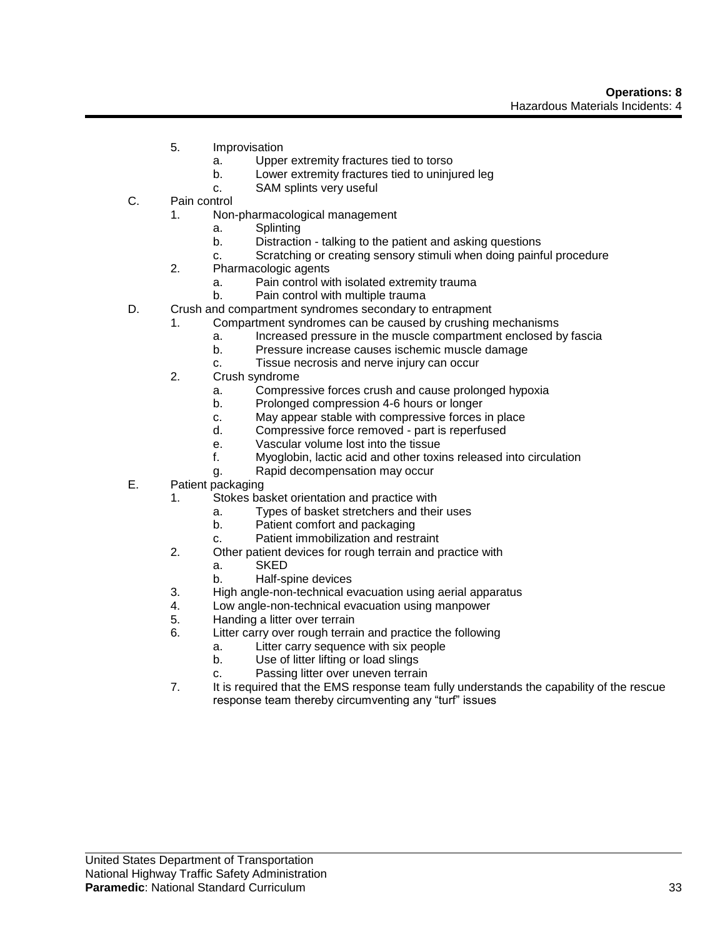- 5. Improvisation
	- a. Upper extremity fractures tied to torso
	- b. Lower extremity fractures tied to uninjured leg
	- c. SAM splints very useful
- C. Pain control
	- 1. Non-pharmacological management
		- a. Splinting
		- b. Distraction talking to the patient and asking questions
		- c. Scratching or creating sensory stimuli when doing painful procedure
	- 2. Pharmacologic agents
		- a. Pain control with isolated extremity trauma
		- b. Pain control with multiple trauma
- D. Crush and compartment syndromes secondary to entrapment
	- 1. Compartment syndromes can be caused by crushing mechanisms
		- a. Increased pressure in the muscle compartment enclosed by fascia
		- b. Pressure increase causes ischemic muscle damage
		- c. Tissue necrosis and nerve injury can occur
	- 2. Crush syndrome
		- a. Compressive forces crush and cause prolonged hypoxia
		- b. Prolonged compression 4-6 hours or longer
		- c. May appear stable with compressive forces in place
		- d. Compressive force removed part is reperfused
		- e. Vascular volume lost into the tissue
		- f. Myoglobin, lactic acid and other toxins released into circulation
		- g. Rapid decompensation may occur
- E. Patient packaging
	- 1. Stokes basket orientation and practice with
		- a. Types of basket stretchers and their uses
		- b. Patient comfort and packaging
		- c. Patient immobilization and restraint
	- 2. Other patient devices for rough terrain and practice with
		- a. SKED
		- b. Half-spine devices
	- 3. High angle-non-technical evacuation using aerial apparatus
	- 4. Low angle-non-technical evacuation using manpower
	- 5. Handing a litter over terrain
	- 6. Litter carry over rough terrain and practice the following
		- a. Litter carry sequence with six people
		- b. Use of litter lifting or load slings
		- c. Passing litter over uneven terrain
	- 7. It is required that the EMS response team fully understands the capability of the rescue response team thereby circumventing any "turf" issues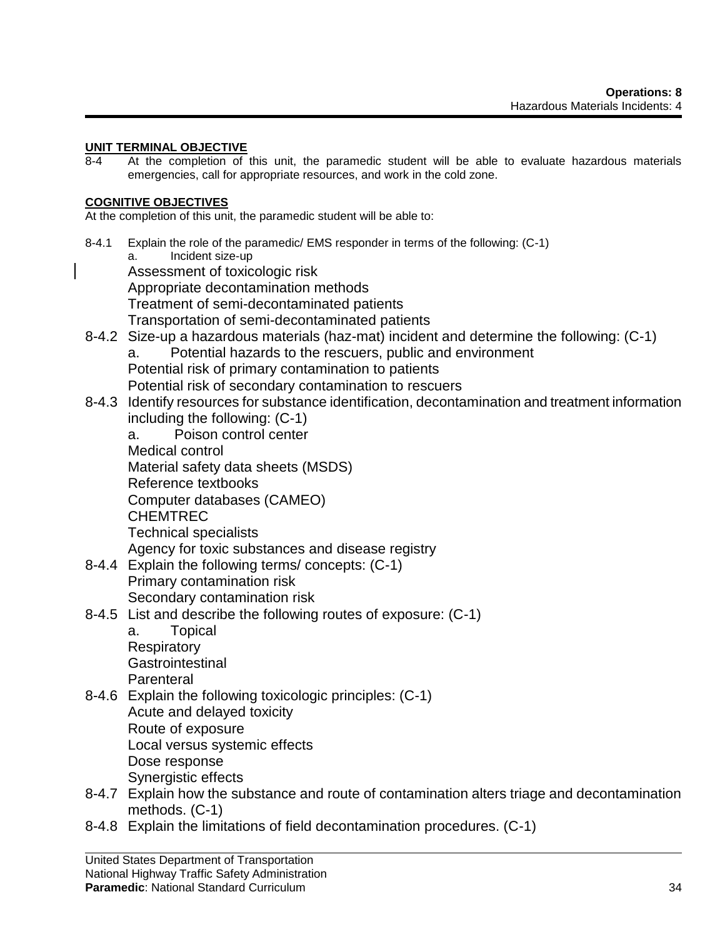# **UNIT TERMINAL OBJECTIVE**

8-4 At the completion of this unit, the paramedic student will be able to evaluate hazardous materials emergencies, call for appropriate resources, and work in the cold zone.

# **COGNITIVE OBJECTIVES**

At the completion of this unit, the paramedic student will be able to:

- 8-4.1 Explain the role of the paramedic/ EMS responder in terms of the following: (C-1) a. Incident size-up Assessment of toxicologic risk Appropriate decontamination methods Treatment of semi-decontaminated patients Transportation of semi-decontaminated patients 8-4.2 Size-up a hazardous materials (haz-mat) incident and determine the following: (C-1) a. Potential hazards to the rescuers, public and environment Potential risk of primary contamination to patients Potential risk of secondary contamination to rescuers 8-4.3 Identify resources for substance identification, decontamination and treatment information including the following: (C-1) a. Poison control center Medical control Material safety data sheets (MSDS) Reference textbooks Computer databases (CAMEO) CHEMTREC Technical specialists Agency for toxic substances and disease registry 8-4.4 Explain the following terms/ concepts: (C-1) Primary contamination risk Secondary contamination risk 8-4.5 List and describe the following routes of exposure: (C-1) a. Topical **Respiratory Gastrointestinal Parenteral** 8-4.6 Explain the following toxicologic principles: (C-1) Acute and delayed toxicity Route of exposure Local versus systemic effects Dose response Synergistic effects 8-4.7 Explain how the substance and route of contamination alters triage and decontamination methods. (C-1)
- 8-4.8 Explain the limitations of field decontamination procedures. (C-1)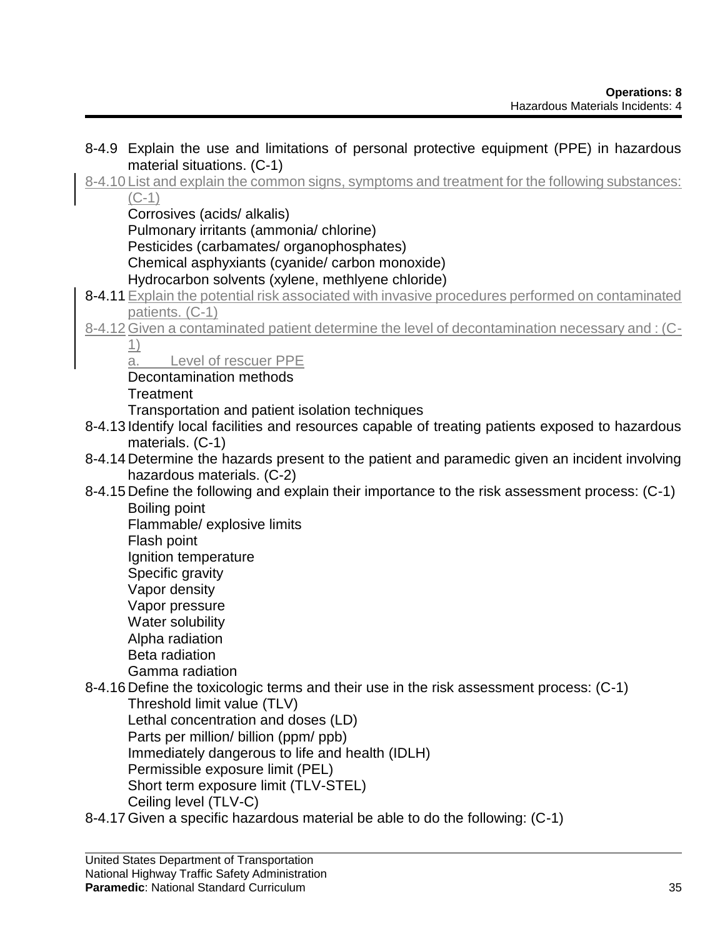- 8-4.9 Explain the use and limitations of personal protective equipment (PPE) in hazardous material situations. (C-1)
- 8-4.10 List and explain the common signs, symptoms and treatment for the following substances: (C-1)

Corrosives (acids/ alkalis)

Pulmonary irritants (ammonia/ chlorine)

Pesticides (carbamates/ organophosphates)

Chemical asphyxiants (cyanide/ carbon monoxide)

Hydrocarbon solvents (xylene, methlyene chloride)

- 8-4.11 Explain the potential risk associated with invasive procedures performed on contaminated patients. (C-1)
- 8-4.12 Given a contaminated patient determine the level of decontamination necessary and : (C-1)

a. Level of rescuer PPE

Decontamination methods

**Treatment** 

Transportation and patient isolation techniques

- 8-4.13 Identify local facilities and resources capable of treating patients exposed to hazardous materials. (C-1)
- 8-4.14 Determine the hazards present to the patient and paramedic given an incident involving hazardous materials. (C-2)
- 8-4.15 Define the following and explain their importance to the risk assessment process: (C-1) Boiling point

Flammable/ explosive limits

Flash point

Ignition temperature

Specific gravity

- Vapor density
- Vapor pressure
- Water solubility
- Alpha radiation
- Beta radiation
- Gamma radiation
- 8-4.16 Define the toxicologic terms and their use in the risk assessment process: (C-1) Threshold limit value (TLV)

Lethal concentration and doses (LD)

Parts per million/ billion (ppm/ ppb)

Immediately dangerous to life and health (IDLH)

Permissible exposure limit (PEL)

Short term exposure limit (TLV-STEL)

Ceiling level (TLV-C)

8-4.17 Given a specific hazardous material be able to do the following: (C-1)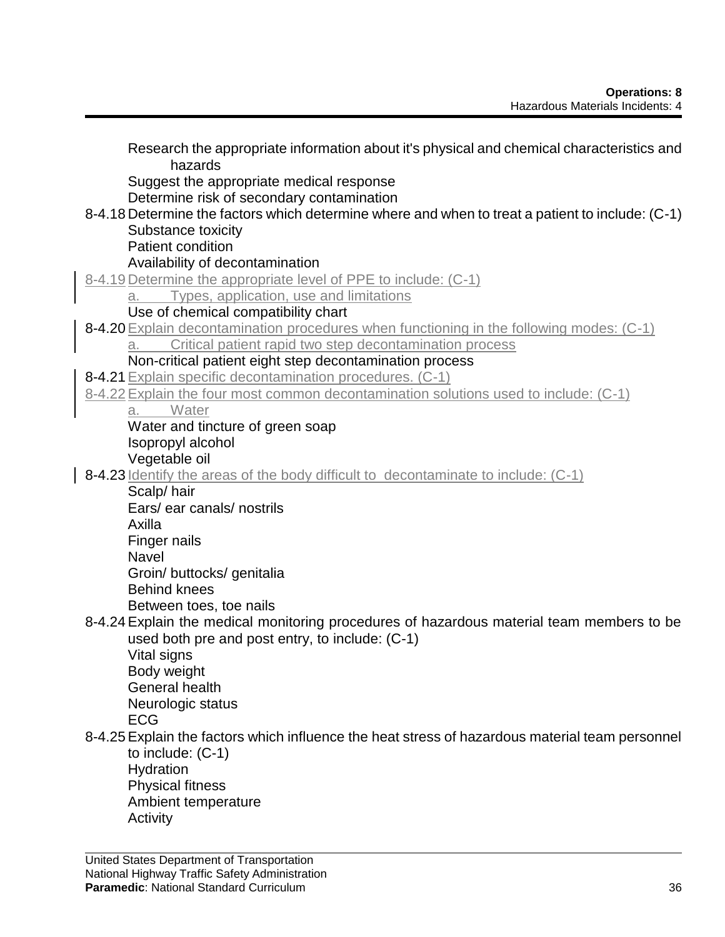| Research the appropriate information about it's physical and chemical characteristics and<br>hazards |
|------------------------------------------------------------------------------------------------------|
| Suggest the appropriate medical response<br>Determine risk of secondary contamination                |
| 8-4.18 Determine the factors which determine where and when to treat a patient to include: (C-1)     |
| Substance toxicity                                                                                   |
| <b>Patient condition</b>                                                                             |
| Availability of decontamination                                                                      |
| 8-4.19 Determine the appropriate level of PPE to include: (C-1)                                      |
| Types, application, use and limitations<br>a.                                                        |
| Use of chemical compatibility chart                                                                  |
| 8-4.20 Explain decontamination procedures when functioning in the following modes: (C-1)             |
| Critical patient rapid two step decontamination process<br>a.                                        |
| Non-critical patient eight step decontamination process                                              |
| 8-4.21 Explain specific decontamination procedures. (C-1)                                            |
| 8-4.22 Explain the four most common decontamination solutions used to include: (C-1)                 |
| Water<br>a. I                                                                                        |
| Water and tincture of green soap                                                                     |
| Isopropyl alcohol                                                                                    |
| Vegetable oil<br>8-4.23 Identify the areas of the body difficult to decontaminate to include: (C-1)  |
| Scalp/hair                                                                                           |
| Ears/ ear canals/ nostrils                                                                           |
| Axilla                                                                                               |
| Finger nails                                                                                         |
| <b>Navel</b>                                                                                         |
| Groin/ buttocks/ genitalia                                                                           |
| <b>Behind knees</b>                                                                                  |
| Between toes, toe nails                                                                              |
| 8-4.24 Explain the medical monitoring procedures of hazardous material team members to be            |
| used both pre and post entry, to include: (C-1)                                                      |
| Vital signs                                                                                          |
| Body weight                                                                                          |
| <b>General health</b>                                                                                |
| Neurologic status                                                                                    |
| <b>ECG</b>                                                                                           |
| 8-4.25 Explain the factors which influence the heat stress of hazardous material team personnel      |
| to include: $(C-1)$                                                                                  |
| Hydration                                                                                            |
| <b>Physical fitness</b>                                                                              |
| Ambient temperature                                                                                  |
| Activity                                                                                             |

 $\overline{\phantom{a}}$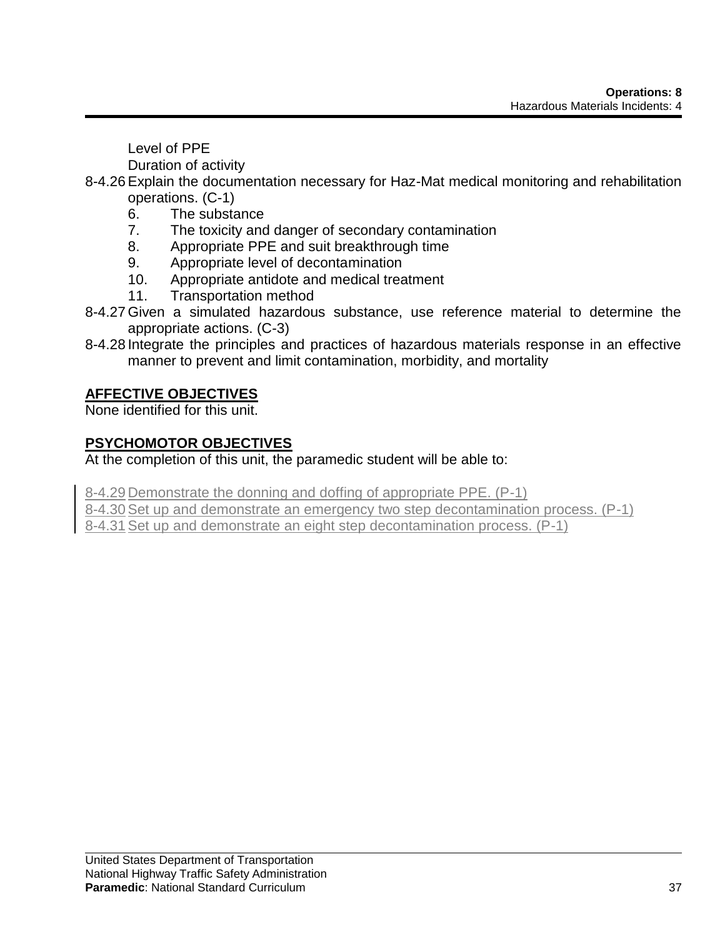Level of PPE

Duration of activity

- 8-4.26Explain the documentation necessary for Haz-Mat medical monitoring and rehabilitation operations. (C-1)
	- 6. The substance
	- 7. The toxicity and danger of secondary contamination
	- 8. Appropriate PPE and suit breakthrough time
	- 9. Appropriate level of decontamination
	- 10. Appropriate antidote and medical treatment
	- 11. Transportation method
- 8-4.27 Given a simulated hazardous substance, use reference material to determine the appropriate actions. (C-3)
- 8-4.28 Integrate the principles and practices of hazardous materials response in an effective manner to prevent and limit contamination, morbidity, and mortality

# **AFFECTIVE OBJECTIVES**

None identified for this unit.

# **PSYCHOMOTOR OBJECTIVES**

At the completion of this unit, the paramedic student will be able to:

8-4.29 Demonstrate the donning and doffing of appropriate PPE. (P-1)

8-4.30Set up and demonstrate an emergency two step decontamination process. (P-1)

8-4.31Set up and demonstrate an eight step decontamination process. (P-1)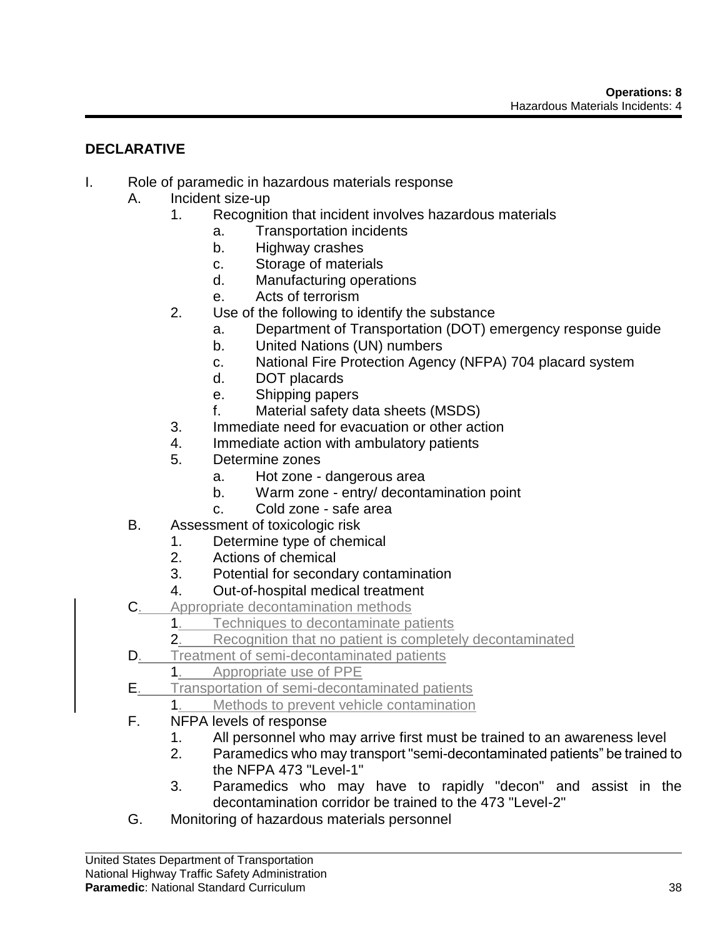# **DECLARATIVE**

- I. Role of paramedic in hazardous materials response
	- A. Incident size-up
		- 1. Recognition that incident involves hazardous materials
			- a. Transportation incidents
			- b. Highway crashes
			- c. Storage of materials
			- d. Manufacturing operations
			- e. Acts of terrorism
		- 2. Use of the following to identify the substance
			- a. Department of Transportation (DOT) emergency response guide
			- b. United Nations (UN) numbers
			- c. National Fire Protection Agency (NFPA) 704 placard system
			- d. DOT placards
			- e. Shipping papers
			- f. Material safety data sheets (MSDS)
		- 3. Immediate need for evacuation or other action
		- 4. Immediate action with ambulatory patients
		- 5. Determine zones
			- a. Hot zone dangerous area
			- b. Warm zone entry/ decontamination point
			- c. Cold zone safe area
	- B. Assessment of toxicologic risk
		- 1. Determine type of chemical
			- 2. Actions of chemical
			- 3. Potential for secondary contamination
		- 4. Out-of-hospital medical treatment
	- C. Appropriate decontamination methods
		- 1. **Techniques to decontaminate patients**
		- 2. Recognition that no patient is completely decontaminated
	- D. Treatment of semi-decontaminated patients
		- 1. Appropriate use of PPE
	- E. Transportation of semi-decontaminated patients
		- 1. Methods to prevent vehicle contamination
	- F. NFPA levels of response
		- 1. All personnel who may arrive first must be trained to an awareness level
		- 2. Paramedics who may transport "semi-decontaminated patients" be trained to the NFPA 473 "I evel-1"
		- 3. Paramedics who may have to rapidly "decon" and assist in the decontamination corridor be trained to the 473 "Level-2"
	- G. Monitoring of hazardous materials personnel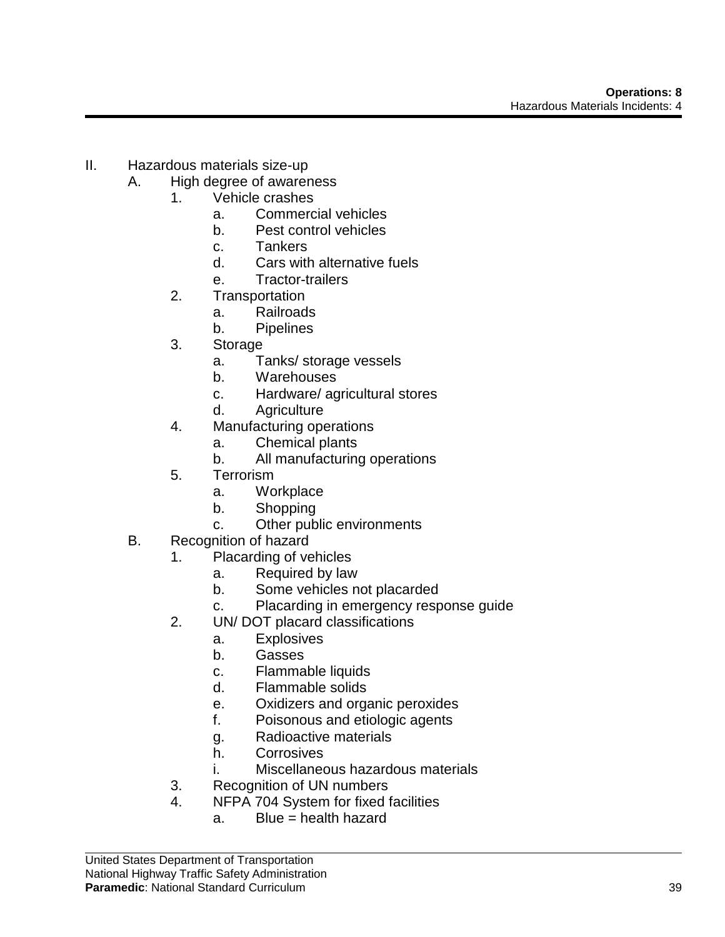- II. Hazardous materials size-up
	- A. High degree of awareness
		- 1. Vehicle crashes
			- a. Commercial vehicles
			- b. Pest control vehicles
			- c. Tankers
			- d. Cars with alternative fuels
			- e. Tractor-trailers
		- 2. Transportation
			- a. Railroads
			- b. Pipelines
		- 3. Storage
			- a. Tanks/ storage vessels
			- b. Warehouses
			- c. Hardware/ agricultural stores
			- d. Agriculture
		- 4. Manufacturing operations
			- a. Chemical plants
			- b. All manufacturing operations
		- 5. Terrorism
			- a. Workplace
			- b. Shopping
			- c. Other public environments
	- B. Recognition of hazard
		- 1. Placarding of vehicles
			- a. Required by law
			- b. Some vehicles not placarded
			- c. Placarding in emergency response guide
		- 2. UN/ DOT placard classifications
			- a. Explosives
				- b. Gasses
				- c. Flammable liquids
				- d. Flammable solids
				- e. Oxidizers and organic peroxides
				- f. Poisonous and etiologic agents
				- g. Radioactive materials
			- h. Corrosives
			- i. Miscellaneous hazardous materials
		- 3. Recognition of UN numbers
		- 4. NFPA 704 System for fixed facilities
			- a. Blue = health hazard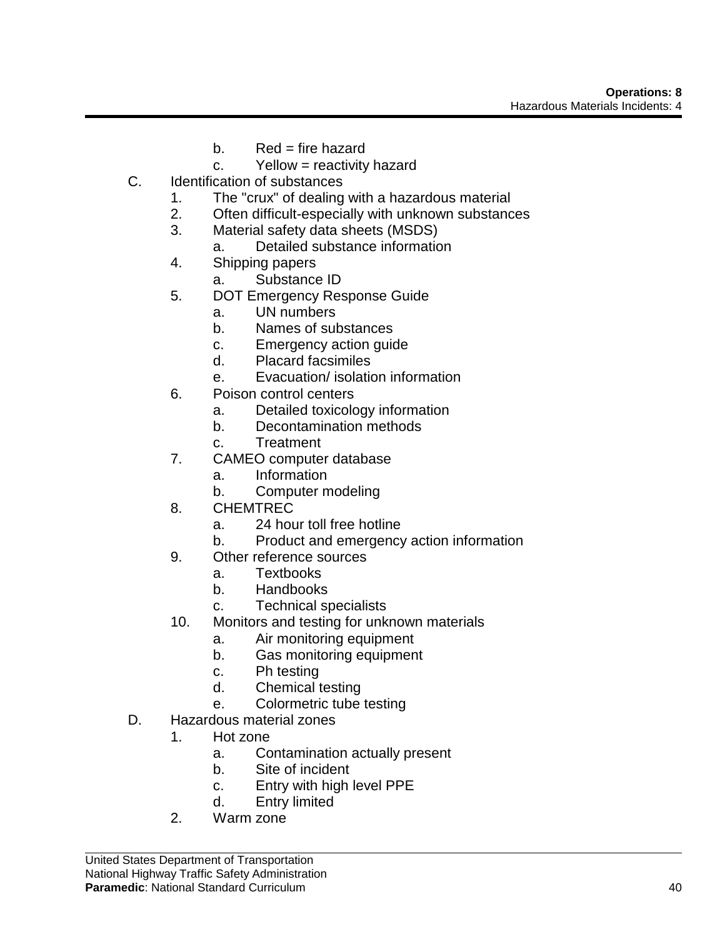- $b.$  Red = fire hazard
- c. Yellow = reactivity hazard
- C. Identification of substances
	- 1. The "crux" of dealing with a hazardous material
	- 2. Often difficult-especially with unknown substances
	- 3. Material safety data sheets (MSDS)
		- a. Detailed substance information
	- 4. Shipping papers
		- a. Substance ID
	- 5. DOT Emergency Response Guide
		- a. UN numbers
		- b. Names of substances
		- c. Emergency action guide
		- d. Placard facsimiles
		- e. Evacuation/ isolation information
	- 6. Poison control centers
		- a. Detailed toxicology information
		- b. Decontamination methods
		- c. Treatment
	- 7. CAMEO computer database
		- a. Information
		- b. Computer modeling
	- 8. CHEMTREC
		- a. 24 hour toll free hotline
		- b. Product and emergency action information
	- 9. Other reference sources
		- a. Textbooks
		- b. Handbooks
		- c. Technical specialists
	- 10. Monitors and testing for unknown materials
		- a. Air monitoring equipment
		- b. Gas monitoring equipment
		- c. Ph testing
		- d. Chemical testing
		- e. Colormetric tube testing
- D. Hazardous material zones
	- 1. Hot zone
		- a. Contamination actually present
		- b. Site of incident
		- c. Entry with high level PPE
		- d. Entry limited
	- 2. Warm zone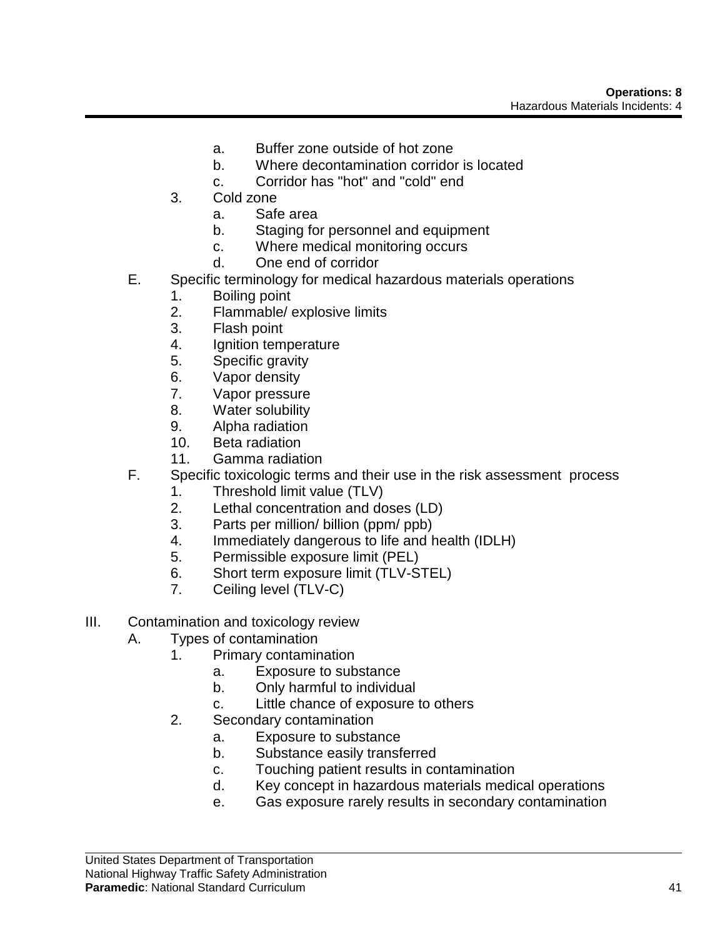- a. Buffer zone outside of hot zone
- b. Where decontamination corridor is located
- c. Corridor has "hot" and "cold" end
- 3. Cold zone
	- a. Safe area
	- b. Staging for personnel and equipment
	- c. Where medical monitoring occurs
	- d. One end of corridor
- E. Specific terminology for medical hazardous materials operations
	- 1. Boiling point
	- 2. Flammable/ explosive limits
	- 3. Flash point
	- 4. Ignition temperature
	- 5. Specific gravity
	- 6. Vapor density
	- 7. Vapor pressure
	- 8. Water solubility
	- 9. Alpha radiation
	- 10. Beta radiation
	- 11. Gamma radiation
- F. Specific toxicologic terms and their use in the risk assessment process
	- 1. Threshold limit value (TLV)
	- 2. Lethal concentration and doses (LD)
	- 3. Parts per million/ billion (ppm/ ppb)
	- 4. Immediately dangerous to life and health (IDLH)
	- 5. Permissible exposure limit (PEL)
	- 6. Short term exposure limit (TLV-STEL)
	- 7. Ceiling level (TLV-C)
- III. Contamination and toxicology review
	- A. Types of contamination
		- 1. Primary contamination
			- a. Exposure to substance
			- b. Only harmful to individual
			- c. Little chance of exposure to others
		- 2. Secondary contamination
			- a. Exposure to substance
			- b. Substance easily transferred
			- c. Touching patient results in contamination
			- d. Key concept in hazardous materials medical operations
			- e. Gas exposure rarely results in secondary contamination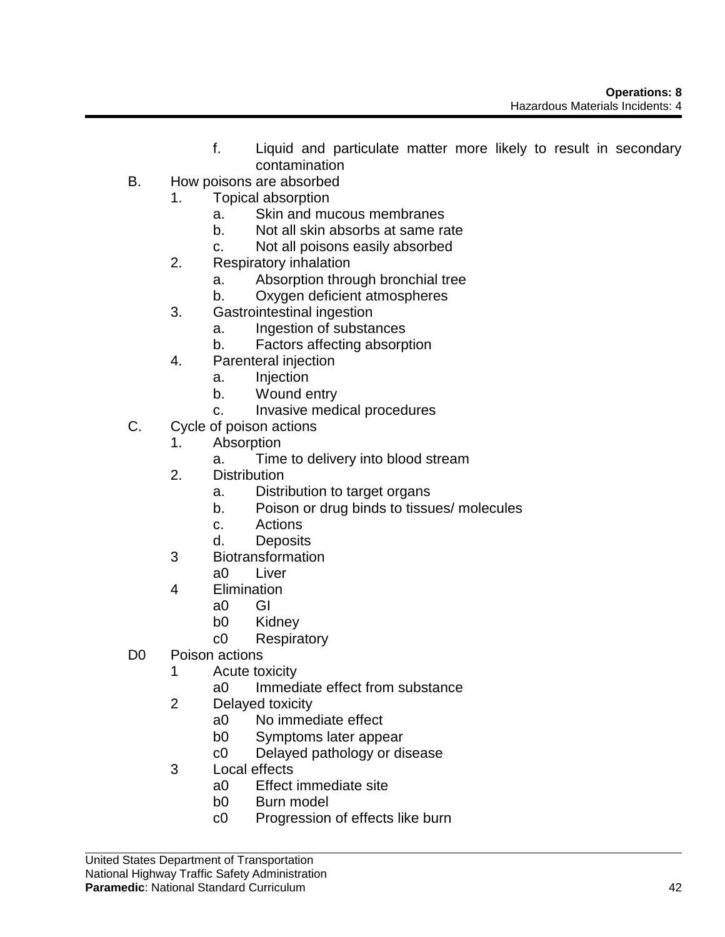- f. Liquid and particulate matter more likely to result in secondary contamination
- B. How poisons are absorbed
	- 1. Topical absorption
		- a. Skin and mucous membranes
		- b. Not all skin absorbs at same rate
		- c. Not all poisons easily absorbed
	- 2. Respiratory inhalation
		- a. Absorption through bronchial tree
		- b. Oxygen deficient atmospheres
	- 3. Gastrointestinal ingestion
		- a. Ingestion of substances
		- b. Factors affecting absorption
	- 4. Parenteral injection
		- a. Injection
		- b. Wound entry
		- c. Invasive medical procedures
- C. Cycle of poison actions
	- 1. Absorption
		- a. Time to delivery into blood stream
		- 2. Distribution
			- a. Distribution to target organs
			- b. Poison or drug binds to tissues/ molecules
			- c. Actions
			- d. Deposits
		- 3 Biotransformation
			- a0 Liver
		- 4 Elimination
			- a0 GI
			- b0 Kidney
			- c0 Respiratory
- D0 Poison actions
	- 1 Acute toxicity
		- a0 Immediate effect from substance
	- 2 Delayed toxicity
		- a0 No immediate effect
		- b0 Symptoms later appear
		- c0 Delayed pathology or disease
	- 3 Local effects
		- a0 Effect immediate site
		- b0 Burn model
		- c0 Progression of effects like burn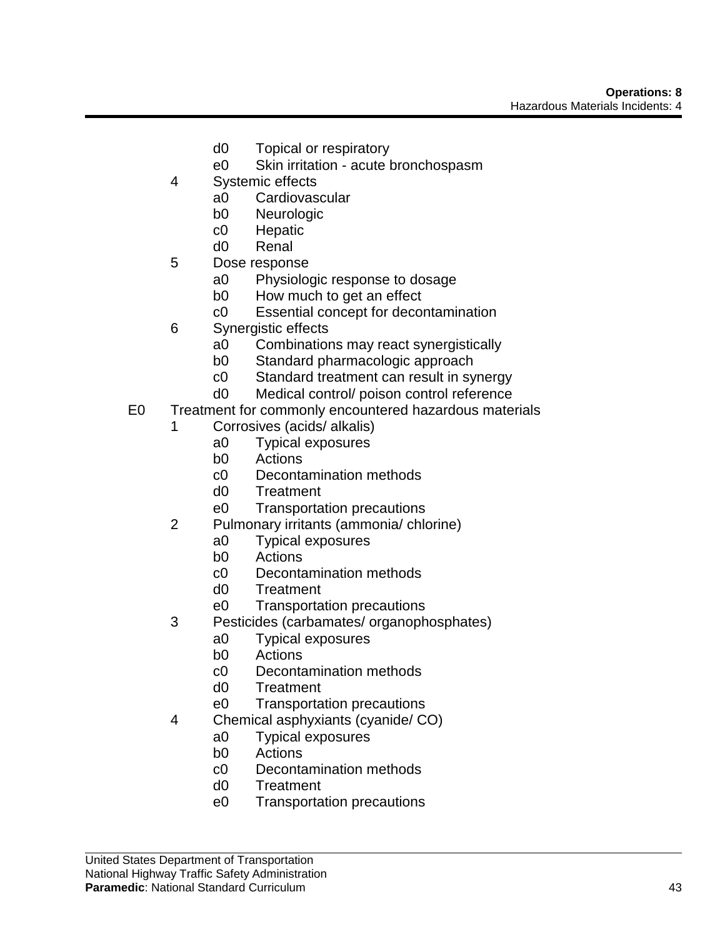- d0 Topical or respiratory
- e0 Skin irritation acute bronchospasm
- 4 Systemic effects
	- a0 Cardiovascular
	- b0 Neurologic
	- c0 Hepatic
	- d0 Renal
- 5 Dose response
	- a0 Physiologic response to dosage
	- b0 How much to get an effect
	- c0 Essential concept for decontamination
- 6 Synergistic effects
	- a0 Combinations may react synergistically
	- b0 Standard pharmacologic approach
	- c0 Standard treatment can result in synergy
	- d0 Medical control/ poison control reference
- E0 Treatment for commonly encountered hazardous materials
	- 1 Corrosives (acids/ alkalis)
		- a0 Typical exposures
		- b0 Actions
		- c0 Decontamination methods
		- d0 Treatment
		- e0 Transportation precautions
	- 2 Pulmonary irritants (ammonia/ chlorine)
		- a0 Typical exposures
		- b0 Actions
		- c0 Decontamination methods
		- d0 Treatment
		- e0 Transportation precautions
	- 3 Pesticides (carbamates/ organophosphates)
		- a0 Typical exposures
		- b0 Actions
		- c0 Decontamination methods
		- d0 Treatment
		- e0 Transportation precautions
	- 4 Chemical asphyxiants (cyanide/ CO)
		- a0 Typical exposures
		- b0 Actions
		- c0 Decontamination methods
		- d0 Treatment
		- e0 Transportation precautions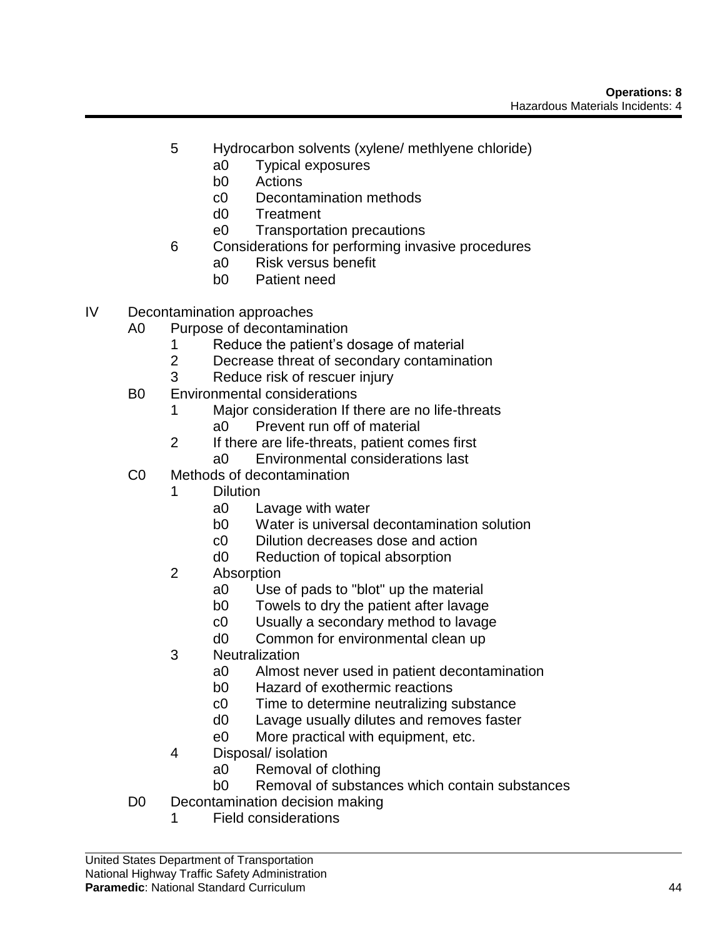- 5 Hydrocarbon solvents (xylene/ methlyene chloride)
	- a0 Typical exposures
	- b0 Actions
	- c0 Decontamination methods
	- d0 Treatment
	- e0 Transportation precautions
- 6 Considerations for performing invasive procedures
	- a0 Risk versus benefit
	- b0 Patient need
- IV Decontamination approaches
	- A0 Purpose of decontamination
		- 1 Reduce the patient's dosage of material
		- 2 Decrease threat of secondary contamination
		- 3 Reduce risk of rescuer injury
	- B0 Environmental considerations
		- 1 Major consideration If there are no life-threats a0 Prevent run off of material
		- 2 If there are life-threats, patient comes first a0 Environmental considerations last
	- C0 Methods of decontamination
		- 1 Dilution
			- a0 Lavage with water
			- b0 Water is universal decontamination solution
			- c0 Dilution decreases dose and action
			- d0 Reduction of topical absorption
		- 2 Absorption
			- a0 Use of pads to "blot" up the material
			- b0 Towels to dry the patient after lavage
			- c0 Usually a secondary method to lavage
			- d0 Common for environmental clean up
		- 3 Neutralization
			- a0 Almost never used in patient decontamination
			- b0 Hazard of exothermic reactions
			- c0 Time to determine neutralizing substance
			- d0 Lavage usually dilutes and removes faster
			- e0 More practical with equipment, etc.
		- 4 Disposal/ isolation
			- a0 Removal of clothing
			- b0 Removal of substances which contain substances
	- D0 Decontamination decision making
		- 1 Field considerations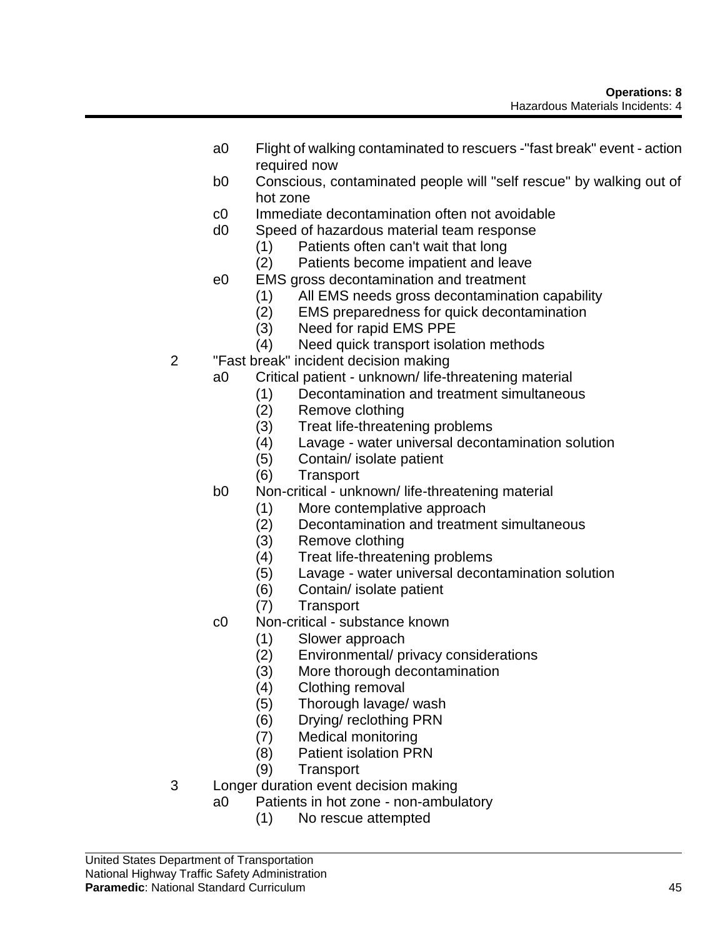- a0 Flight of walking contaminated to rescuers -"fast break" event action required now
- b0 Conscious, contaminated people will "self rescue" by walking out of hot zone
- c0 Immediate decontamination often not avoidable
- d0 Speed of hazardous material team response
	- (1) Patients often can't wait that long
	- (2) Patients become impatient and leave
- e0 EMS gross decontamination and treatment
	- (1) All EMS needs gross decontamination capability
	- (2) EMS preparedness for quick decontamination
	- (3) Need for rapid EMS PPE
	- (4) Need quick transport isolation methods
- 2 "Fast break" incident decision making
	- a0 Critical patient unknown/ life-threatening material
		- (1) Decontamination and treatment simultaneous
		- (2) Remove clothing
		- (3) Treat life-threatening problems
		- (4) Lavage water universal decontamination solution
		- (5) Contain/ isolate patient
		- (6) Transport
	- b0 Non-critical unknown/ life-threatening material
		- (1) More contemplative approach
		- (2) Decontamination and treatment simultaneous
		- (3) Remove clothing
		- (4) Treat life-threatening problems
		- (5) Lavage water universal decontamination solution
		- (6) Contain/ isolate patient
		- (7) Transport
	- c0 Non-critical substance known
		- (1) Slower approach
		- (2) Environmental/ privacy considerations
		- (3) More thorough decontamination
		- (4) Clothing removal
		- (5) Thorough lavage/ wash
		- (6) Drying/ reclothing PRN
		- (7) Medical monitoring
		- (8) Patient isolation PRN
		- (9) Transport
- 3 Longer duration event decision making
	- a0 Patients in hot zone non-ambulatory
		- (1) No rescue attempted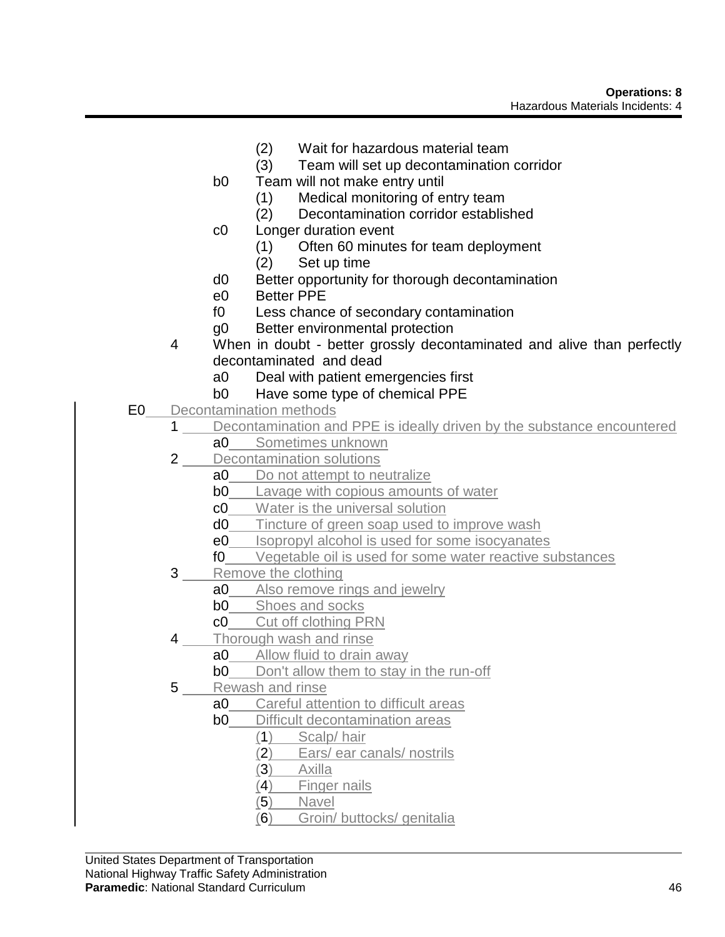- (2) Wait for hazardous material team
- (3) Team will set up decontamination corridor
- b0 Team will not make entry until
	- (1) Medical monitoring of entry team
	- (2) Decontamination corridor established
- c0 Longer duration event
	- (1) Often 60 minutes for team deployment
	- (2) Set up time
- d0 Better opportunity for thorough decontamination
- e0 Better PPE
- f0 Less chance of secondary contamination
- g0 Better environmental protection
- 4 When in doubt better grossly decontaminated and alive than perfectly decontaminated and dead
	- a0 Deal with patient emergencies first
	- b0 Have some type of chemical PPE
- E0 Decontamination methods
	- 1 Decontamination and PPE is ideally driven by the substance encountered
		- a0 Sometimes unknown
	- 2 Decontamination solutions
		- a0 Do not attempt to neutralize
		- **b0** Lavage with copious amounts of water
		- c0 Water is the universal solution
		- d0 Tincture of green soap used to improve wash
		- e0 Isopropyl alcohol is used for some isocyanates
		- f0 Vegetable oil is used for some water reactive substances
	- 3 Remove the clothing
		- a0 Also remove rings and jewelry
		- **b0** Shoes and socks
		- c0 Cut off clothing PRN
	- 4 Thorough wash and rinse
		- a0 Allow fluid to drain away
			- **b0** Don't allow them to stay in the run-off
	- 5 Rewash and rinse
		- a0 Careful attention to difficult areas
		- **b0** Difficult decontamination areas
			- (1) Scalp/ hair
				- (2) Ears/ ear canals/ nostrils
				- (3) Axilla
				- (4) Finger nails
				- (5) Navel
				- (6) Groin/ buttocks/ genitalia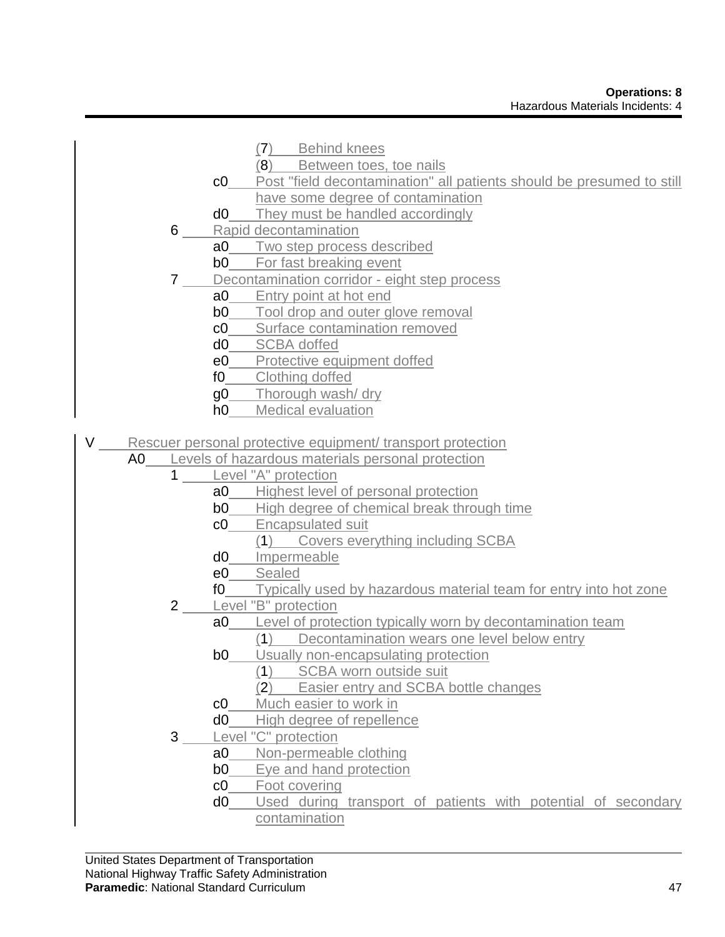- (7) Behind knees
- (8) Between toes, toe nails
- c0 Post "field decontamination" all patients should be presumed to still have some degree of contamination
- d0 They must be handled accordingly
- 6 Rapid decontamination
	- a0 Two step process described
	- **b0** For fast breaking event
- 7 Decontamination corridor eight step process
	- a0 Entry point at hot end
	- **b0** Tool drop and outer glove removal
	- c0 Surface contamination removed
	- d0 SCBA doffed
	- e0 Protective equipment doffed
	- f0 Clothing doffed
	- g0 Thorough wash/ dry
	- h0 Medical evaluation
- V Rescuer personal protective equipment/ transport protection
	- A0 Levels of hazardous materials personal protection
		- 1 Level "A" protection
			- a0 Highest level of personal protection
			- **b0** High degree of chemical break through time
			- c0 Encapsulated suit
				- (1) Covers everything including SCBA
			- d0 Impermeable
			- e0 Sealed
			- fo Typically used by hazardous material team for entry into hot zone
		- 2 Level "B" protection
			- a0 Level of protection typically worn by decontamination team
				- (1) Decontamination wears one level below entry
			- **b0** Usually non-encapsulating protection
				- (1) SCBA worn outside suit
				- (2) Easier entry and SCBA bottle changes
			- c0 Much easier to work in
			- d0 High degree of repellence
		- 3 Level "C" protection
			- a0 Non-permeable clothing
			- **b0** Eye and hand protection
			- c0 Foot covering
			- d0 Used during transport of patients with potential of secondary contamination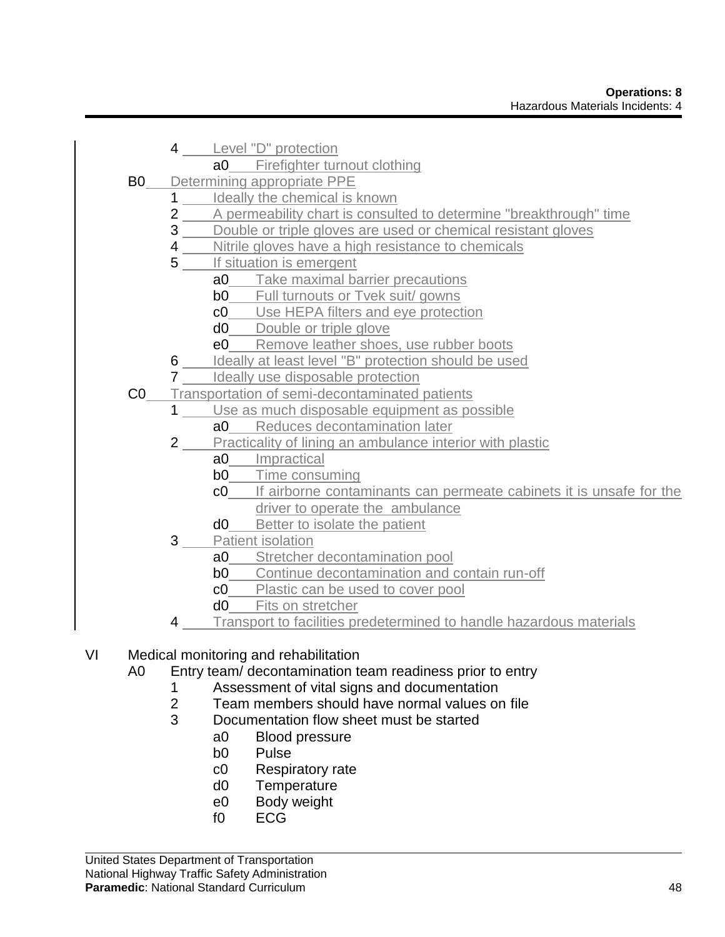4 Level "D" protection a0 Firefighter turnout clothing B0 Determining appropriate PPE 1 Ideally the chemical is known 2 A permeability chart is consulted to determine "breakthrough" time **3** Double or triple gloves are used or chemical resistant gloves **4** Nitrile gloves have a high resistance to chemicals 5 If situation is emergent a0 Take maximal barrier precautions **b0** Full turnouts or Tvek suit/ gowns c0 Use HEPA filters and eye protection d<sup>0</sup> Double or triple glove e0 Remove leather shoes, use rubber boots 6 **Ideally at least level "B" protection should be used 7** Ideally use disposable protection C0 Transportation of semi-decontaminated patients 1 Use as much disposable equipment as possible a0 Reduces decontamination later 2 Practicality of lining an ambulance interior with plastic a0 Impractical **b0** Time consuming c0 If airborne contaminants can permeate cabinets it is unsafe for the driver to operate the ambulance d0 Better to isolate the patient 3 Patient isolation a0 Stretcher decontamination pool **b0** Continue decontamination and contain run-off c0 Plastic can be used to cover pool d0 Fits on stretcher Transport to facilities predetermined to handle hazardous materials

# VI Medical monitoring and rehabilitation

- A0 Entry team/ decontamination team readiness prior to entry
	- 1 Assessment of vital signs and documentation
	- 2 Team members should have normal values on file
	- 3 Documentation flow sheet must be started
		- a0 Blood pressure
		- b0 Pulse
		- c0 Respiratory rate
		- d0 Temperature
		- e0 Body weight
		- f0 ECG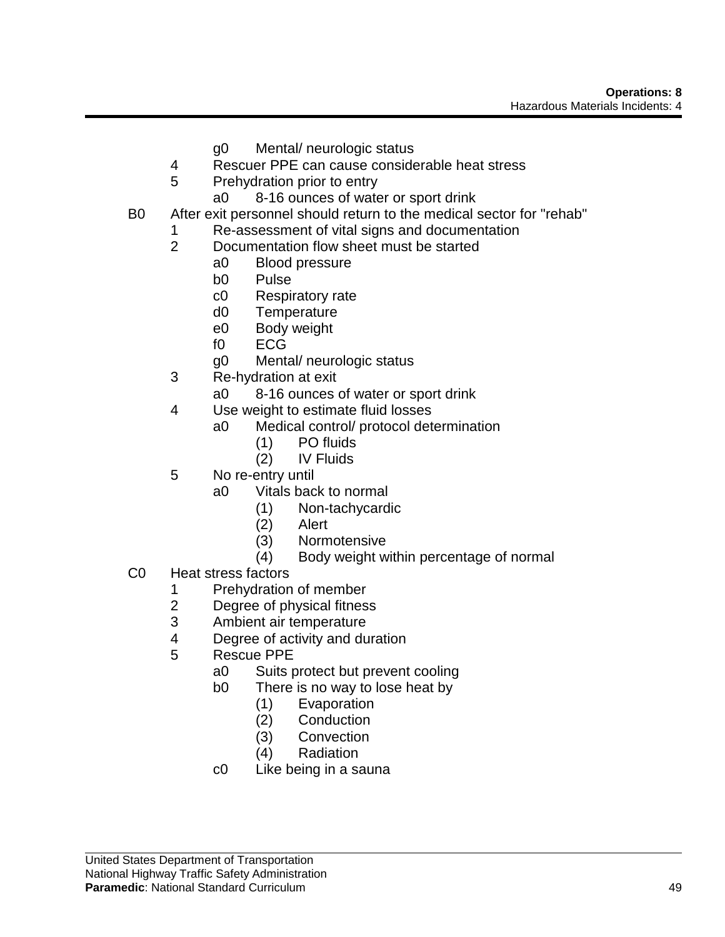- g0 Mental/ neurologic status
- 4 Rescuer PPE can cause considerable heat stress
- 5 Prehydration prior to entry
	- a0 8-16 ounces of water or sport drink
- B0 After exit personnel should return to the medical sector for "rehab"
	- 1 Re-assessment of vital signs and documentation
	- 2 Documentation flow sheet must be started
		- a0 Blood pressure
		- b0 Pulse
		- c0 Respiratory rate
		- d0 Temperature
		- e0 Body weight
		- f0 ECG
		- g0 Mental/ neurologic status
	- 3 Re-hydration at exit
		- a0 8-16 ounces of water or sport drink
	- 4 Use weight to estimate fluid losses
		- a0 Medical control/ protocol determination
			- (1) PO fluids
			- (2) IV Fluids
	- 5 No re-entry until
		- a0 Vitals back to normal
			- (1) Non-tachycardic
			- (2) Alert
			- (3) Normotensive
			- (4) Body weight within percentage of normal
- C0 Heat stress factors
	- 1 Prehydration of member<br>2 Degree of physical fitnes
	- Degree of physical fitness
	- 3 Ambient air temperature
	- 4 Degree of activity and duration
	- 5 Rescue PPE
		- a0 Suits protect but prevent cooling
		- b0 There is no way to lose heat by
			- (1) Evaporation
			- (2) Conduction
			- (3) Convection
			- (4) Radiation
		- c0 Like being in a sauna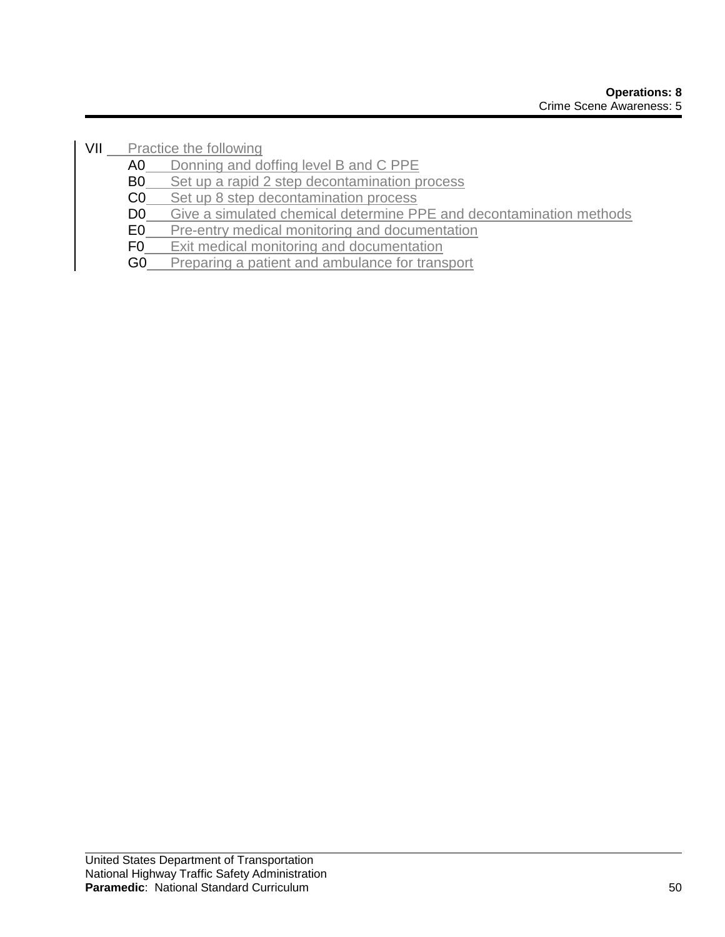VII Practice the following

- A0 Donning and doffing level B and C PPE
- B0 Set up a rapid 2 step decontamination process
- C0 Set up 8 step decontamination process

D0 Give a simulated chemical determine PPE and decontamination methods

- E0 Pre-entry medical monitoring and documentation
- F0 Exit medical monitoring and documentation
- G0 Preparing a patient and ambulance for transport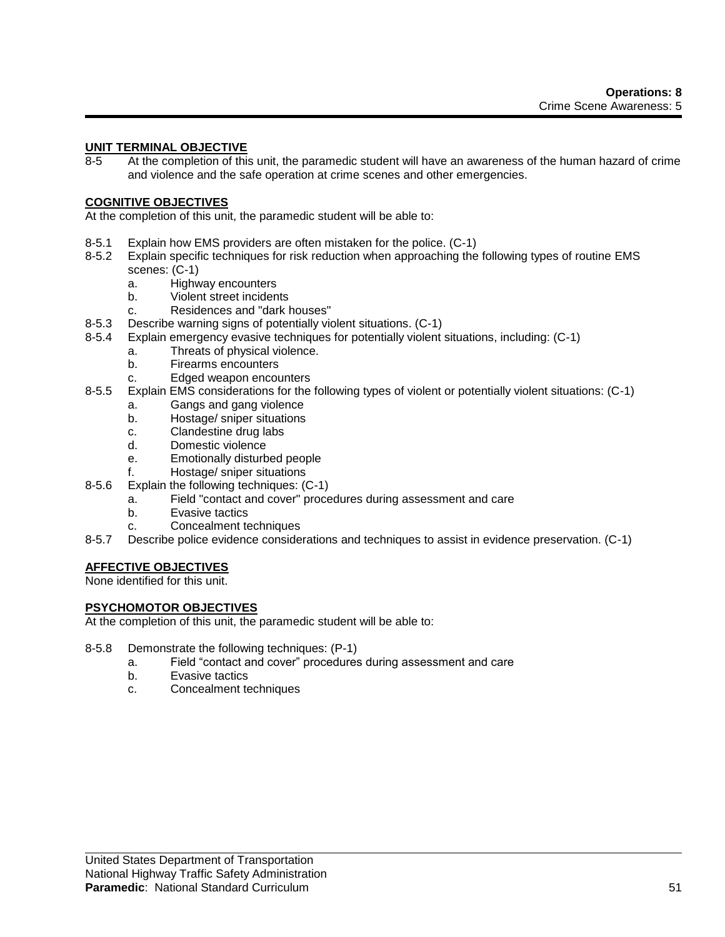## **UNIT TERMINAL OBJECTIVE**

8-5 At the completion of this unit, the paramedic student will have an awareness of the human hazard of crime and violence and the safe operation at crime scenes and other emergencies.

#### **COGNITIVE OBJECTIVES**

At the completion of this unit, the paramedic student will be able to:

- 8-5.1 Explain how EMS providers are often mistaken for the police. (C-1)
- 8-5.2 Explain specific techniques for risk reduction when approaching the following types of routine EMS scenes: (C-1)
	- a. Highway encounters
	- b. Violent street incidents
	- c. Residences and "dark houses"
- 8-5.3 Describe warning signs of potentially violent situations. (C-1)
- 8-5.4 Explain emergency evasive techniques for potentially violent situations, including: (C-1)
	- a. Threats of physical violence.
	- b. Firearms encounters
	- c. Edged weapon encounters
- 8-5.5 Explain EMS considerations for the following types of violent or potentially violent situations: (C-1)
	- a. Gangs and gang violence
	- b. Hostage/ sniper situations
	- c. Clandestine drug labs
	- d. Domestic violence
	- e. Emotionally disturbed people
	- f. Hostage/ sniper situations
- 8-5.6 Explain the following techniques: (C-1)
	- a. Field "contact and cover" procedures during assessment and care
		- b. Evasive tactics
		- c. Concealment techniques
- 8-5.7 Describe police evidence considerations and techniques to assist in evidence preservation. (C-1)

## **AFFECTIVE OBJECTIVES**

None identified for this unit.

#### **PSYCHOMOTOR OBJECTIVES**

At the completion of this unit, the paramedic student will be able to:

- 8-5.8 Demonstrate the following techniques: (P-1)
	- a. Field "contact and cover" procedures during assessment and care
	- b. Evasive tactics
	- c. Concealment techniques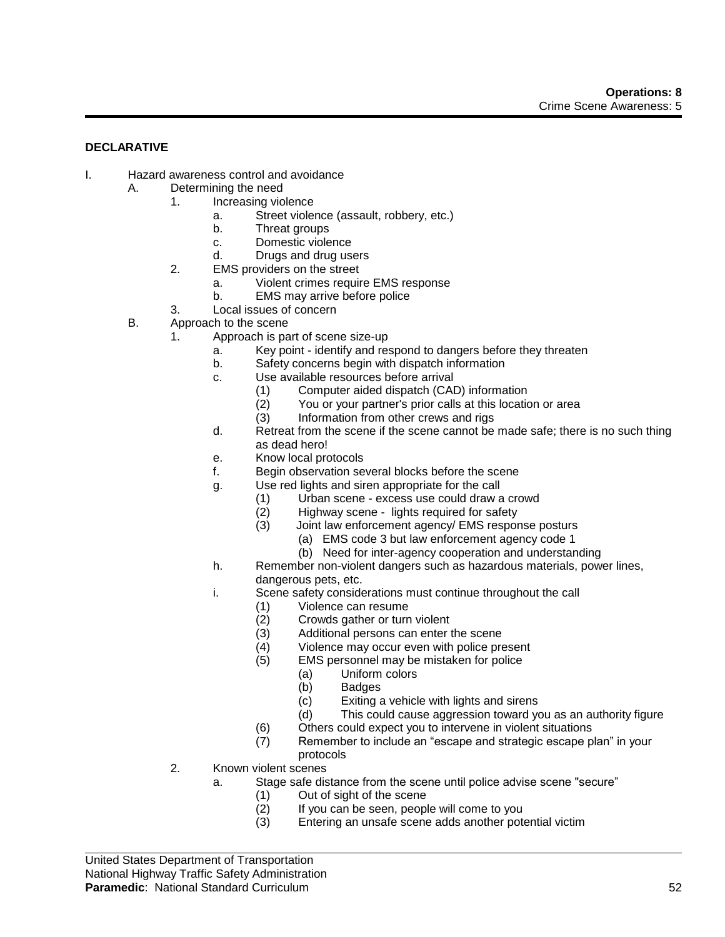#### **DECLARATIVE**

- I. Hazard awareness control and avoidance
	- A. Determining the need
		- 1. Increasing violence
			- a. Street violence (assault, robbery, etc.)
			- b. Threat groups
			- c. Domestic violence
			- d. Drugs and drug users
		- 2. EMS providers on the street
			- a. Violent crimes require EMS response
			- b. EMS may arrive before police
		- 3. Local issues of concern
	- B. Approach to the scene
		- 1. Approach is part of scene size-up
			- a. Key point identify and respond to dangers before they threaten
			- b. Safety concerns begin with dispatch information
			- c. Use available resources before arrival
				-
				- (1) Computer aided dispatch (CAD) information<br>(2) You or your partner's prior calls at this location  $(2)$  You or your partner's prior calls at this location or area  $(3)$  Information from other crews and rigs
				- Information from other crews and rigs
			- d. Retreat from the scene if the scene cannot be made safe; there is no such thing as dead hero!
			- e. Know local protocols
			- f. Begin observation several blocks before the scene
			- g. Use red lights and siren appropriate for the call
				- (1) Urban scene excess use could draw a crowd
				- (2) Highway scene lights required for safety
				- (3) Joint law enforcement agency/ EMS response posturs
					- (a) EMS code 3 but law enforcement agency code 1
					- (b) Need for inter-agency cooperation and understanding
			- h. Remember non-violent dangers such as hazardous materials, power lines, dangerous pets, etc.
			- i. Scene safety considerations must continue throughout the call
				- (1) Violence can resume<br>(2) Crowds gather or turn
				- (2) Crowds gather or turn violent<br>(3) Additional persons can enter t
				- Additional persons can enter the scene
				- (4) Violence may occur even with police present
				- (5) EMS personnel may be mistaken for police
					- (a) Uniform colors
						- (b) Badges
						- (c) Exiting a vehicle with lights and sirens
						- (d) This could cause aggression toward you as an authority figure
				- (6) Others could expect you to intervene in violent situations
				- (7) Remember to include an "escape and strategic escape plan" in your protocols
		- 2. Known violent scenes
			- a. Stage safe distance from the scene until police advise scene "secure"
				- (1) Out of sight of the scene
				- (2) If you can be seen, people will come to you
				- (3) Entering an unsafe scene adds another potential victim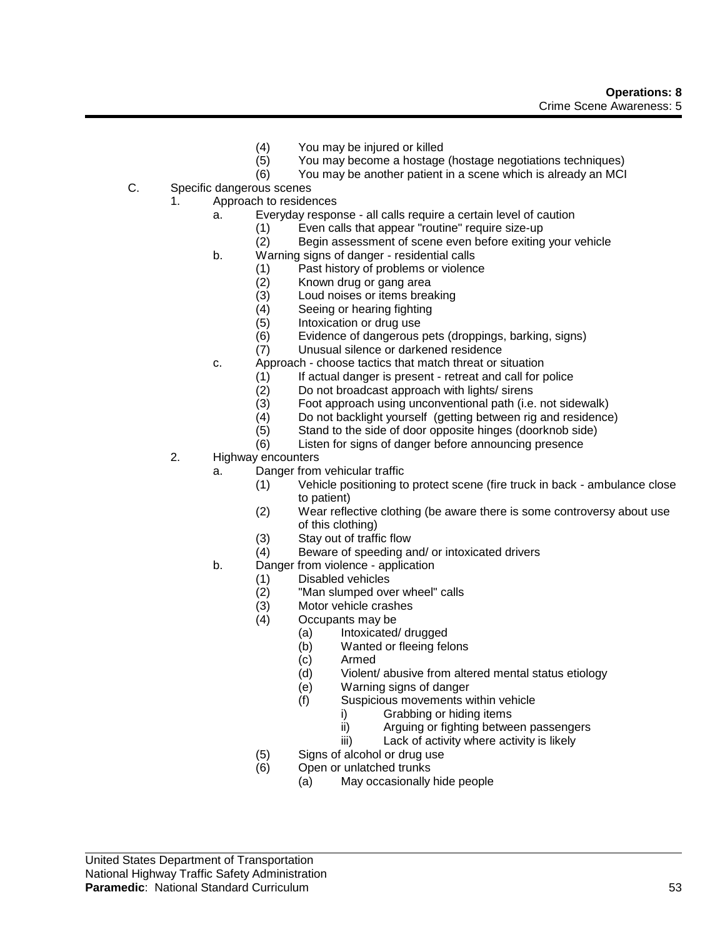- (4) You may be injured or killed
- (5) You may become a hostage (hostage negotiations techniques)
- (6) You may be another patient in a scene which is already an MCI
- C. Specific dangerous scenes
	- 1. Approach to residences
		- a. Everyday response all calls require a certain level of caution
			- (1) Even calls that appear "routine" require size-up
			- (2) Begin assessment of scene even before exiting your vehicle
		- b. Warning signs of danger residential calls
			- (1) Past history of problems or violence
				-
				- (2) Known drug or gang area<br>(3) Loud noises or items brea Loud noises or items breaking
				- (4) Seeing or hearing fighting
				- (5) Intoxication or drug use
				- (6) Evidence of dangerous pets (droppings, barking, signs)
				- (7) Unusual silence or darkened residence
		- c. Approach choose tactics that match threat or situation
			- (1) If actual danger is present retreat and call for police
			- (2) Do not broadcast approach with lights/ sirens
			- (3) Foot approach using unconventional path (i.e. not sidewalk)
			- (4) Do not backlight yourself (getting between rig and residence)
			- (5) Stand to the side of door opposite hinges (doorknob side)
			- (6) Listen for signs of danger before announcing presence
	- 2. Highway encounters
		- a. Danger from vehicular traffic
			- (1) Vehicle positioning to protect scene (fire truck in back ambulance close to patient)
			- (2) Wear reflective clothing (be aware there is some controversy about use of this clothing)
			- (3) Stay out of traffic flow
			- (4) Beware of speeding and/ or intoxicated drivers
		- b. Danger from violence application
			- (1) Disabled vehicles<br>(2) "Man slumped ove
			- $(2)$  "Man slumped over wheel" calls<br> $(3)$  Motor vehicle crashes
			- Motor vehicle crashes
			- (4) Occupants may be
				- (a) Intoxicated/ drugged
				- (b) Wanted or fleeing felons
				- (c) Armed
				- (d) Violent/ abusive from altered mental status etiology
				- (e) Warning signs of danger
				- (f) Suspicious movements within vehicle
					- i) Grabbing or hiding items
					- ii) Arguing or fighting between passengers
					- iii) Lack of activity where activity is likely
			- (5) Signs of alcohol or drug use
			- (6) Open or unlatched trunks
				- (a) May occasionally hide people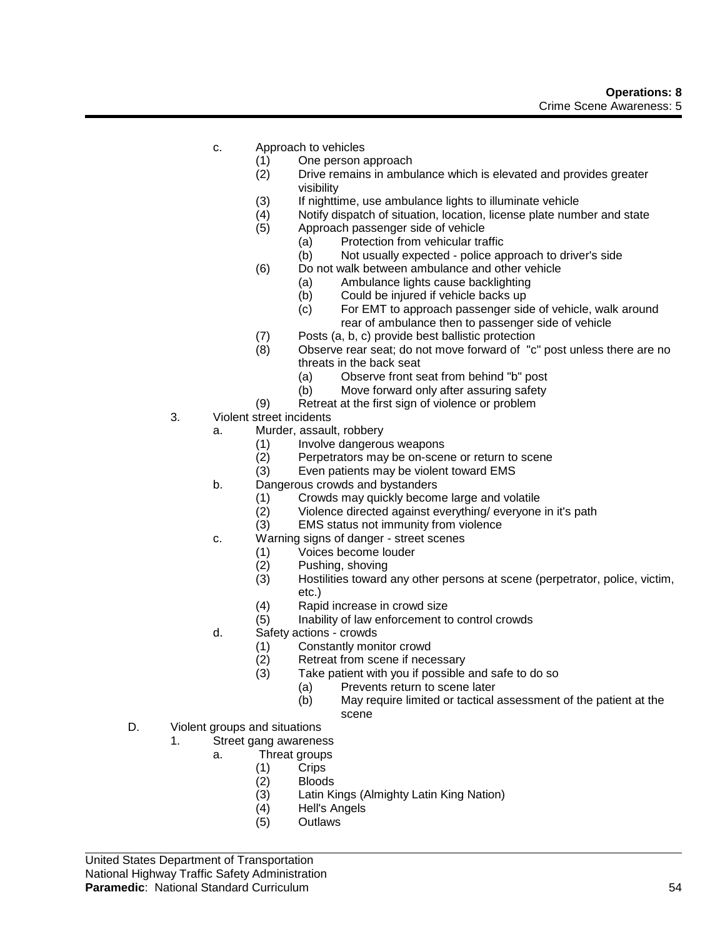- c. Approach to vehicles
	- (1) One person approach
	- (2) Drive remains in ambulance which is elevated and provides greater visibility
	- (3) If nighttime, use ambulance lights to illuminate vehicle
	- (4) Notify dispatch of situation, location, license plate number and state
	- (5) Approach passenger side of vehicle
		- (a) Protection from vehicular traffic
		- (b) Not usually expected police approach to driver's side
	- (6) Do not walk between ambulance and other vehicle
		- (a) Ambulance lights cause backlighting
		- (b) Could be injured if vehicle backs up
		- (c) For EMT to approach passenger side of vehicle, walk around rear of ambulance then to passenger side of vehicle
	- (7) Posts (a, b, c) provide best ballistic protection
	- (8) Observe rear seat; do not move forward of "c" post unless there are no threats in the back seat
		- (a) Observe front seat from behind "b" post
		- (b) Move forward only after assuring safety
	- (9) Retreat at the first sign of violence or problem
- 3. Violent street incidents
	- a. Murder, assault, robbery
		- (1) Involve dangerous weapons<br>(2) Perpetrators may be on-scer
		- Perpetrators may be on-scene or return to scene
		- (3) Even patients may be violent toward EMS
	- b. Dangerous crowds and bystanders
		- (1) Crowds may quickly become large and volatile (2) Violence directed against everything/everyone
		- Violence directed against everything/ everyone in it's path
		- (3) EMS status not immunity from violence
	- c. Warning signs of danger street scenes
		- (1) Voices become louder
		- (2) Pushing, shoving<br>(3) Hostilities toward
		- Hostilities toward any other persons at scene (perpetrator, police, victim, etc.)
		- (4) Rapid increase in crowd size
		- (5) Inability of law enforcement to control crowds
	- d. Safety actions crowds
		- (1) Constantly monitor crowd
		- (2) Retreat from scene if necessary<br>(3) Take patient with you if possible
		- Take patient with you if possible and safe to do so
			- (a) Prevents return to scene later
			- (b) May require limited or tactical assessment of the patient at the scene
- D. Violent groups and situations
	- 1. Street gang awareness
		- a. Threat groups
			- (1) Crips
			- (2) Bloods<br>(3) Latin K
			- (3) Latin Kings (Almighty Latin King Nation)
			- Hell's Angels
			- (5) Outlaws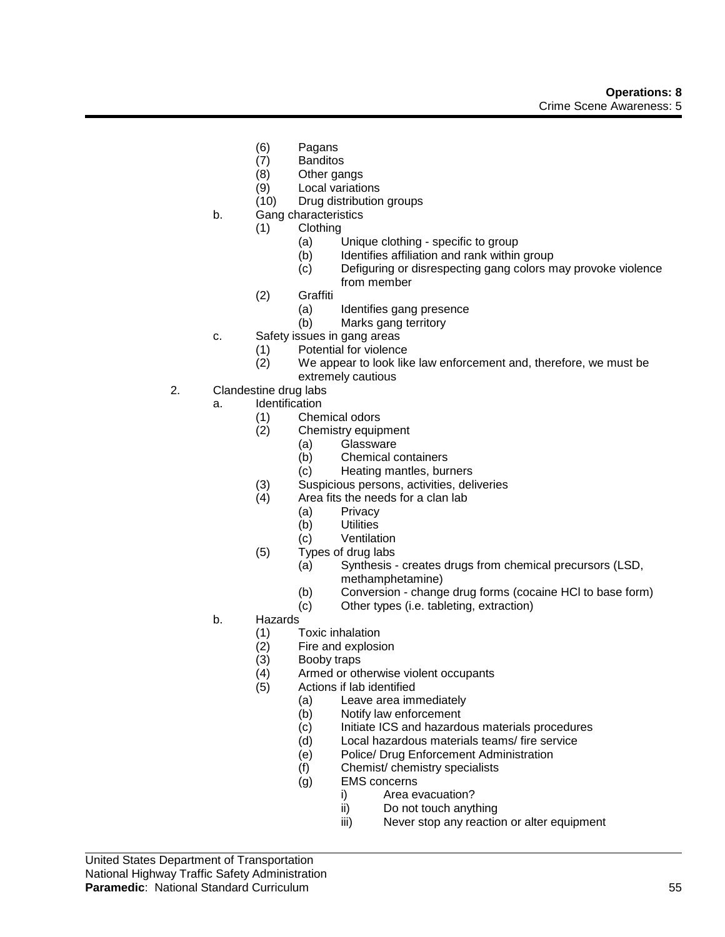- (6) Pagans
- (7) Banditos
- (8) Other gangs
- (9) Local variations
- (10) Drug distribution groups
- b. Gang characteristics
	- (1) Clothing
		- (a) Unique clothing specific to group<br>(b) Identifies affiliation and rank within
		- Identifies affiliation and rank within group
		- (c) Defiguring or disrespecting gang colors may provoke violence from member
	- (2) Graffiti
		- (a) Identifies gang presence
		- (b) Marks gang territory
- c. Safety issues in gang areas
	- (1) Potential for violence
	- (2) We appear to look like law enforcement and, therefore, we must be extremely cautious
- 2. Clandestine drug labs
	- a. Identification
		- (1) Chemical odors
		- (2) Chemistry equipment
			- (a) Glassware
			- (b) Chemical containers
			- (c) Heating mantles, burners
		- (3) Suspicious persons, activities, deliveries<br>(4) Area fits the needs for a clan lab
		- Area fits the needs for a clan lab
			- (a) Privacy
			- (b) Utilities
			- (c) Ventilation
		- (5) Types of drug labs
			- (a) Synthesis creates drugs from chemical precursors (LSD, methamphetamine)
			- (b) Conversion change drug forms (cocaine HCl to base form)
			- (c) Other types (i.e. tableting, extraction)
	- b. Hazards
		- (1) Toxic inhalation
		- (2) Fire and explosion<br>(3) Booby traps
		- (3) Booby traps<br>(4) Armed or otl
		- Armed or otherwise violent occupants
		- (5) Actions if lab identified
			- (a) Leave area immediately
				- (b) Notify law enforcement
				- (c) Initiate ICS and hazardous materials procedures
				- (d) Local hazardous materials teams/ fire service
				- (e) Police/ Drug Enforcement Administration
				- (f) Chemist/ chemistry specialists
				- (g) EMS concerns
					- i) Area evacuation?
					- ii) Do not touch anything
					- iii) Never stop any reaction or alter equipment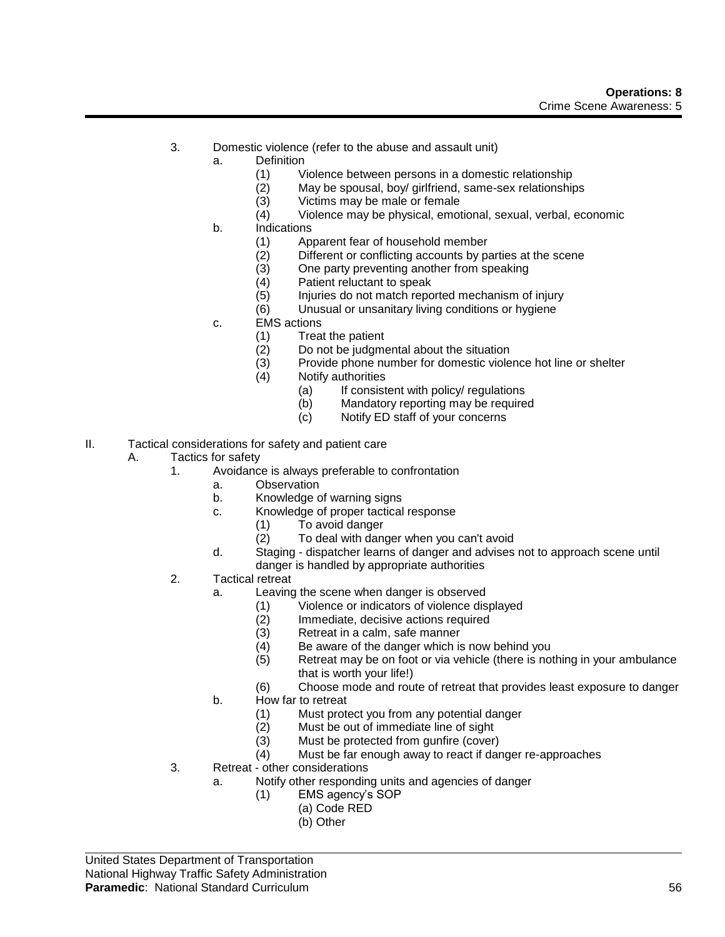- 3. Domestic violence (refer to the abuse and assault unit)
	- a. Definition
		- (1) Violence between persons in a domestic relationship
		- (2) May be spousal, boy/ girlfriend, same-sex relationships
		- (3) Victims may be male or female
		- (4) Violence may be physical, emotional, sexual, verbal, economic
		- b. Indications
			- (1) Apparent fear of household member<br>(2) Different or conflicting accounts by pa
			- (2) Different or conflicting accounts by parties at the scene<br>(3) One party preventing another from speaking
			- One party preventing another from speaking
			- (4) Patient reluctant to speak
			- (5) Injuries do not match reported mechanism of injury
			- (6) Unusual or unsanitary living conditions or hygiene
		- c. EMS actions
			- (1) Treat the patient
			- (2) Do not be judgmental about the situation
			- (3) Provide phone number for domestic violence hot line or shelter
			- (4) Notify authorities
				- (a) If consistent with policy/ regulations
				- (b) Mandatory reporting may be required
				- (c) Notify ED staff of your concerns
- II. Tactical considerations for safety and patient care
	- A. Tactics for safety
		- 1. Avoidance is always preferable to confrontation
			- a. Observation
			- b. Knowledge of warning signs
			- c. Knowledge of proper tactical response
				- (1) To avoid danger
				- (2) To deal with danger when you can't avoid
			- d. Staging dispatcher learns of danger and advises not to approach scene until danger is handled by appropriate authorities
		- 2. Tactical retreat
			- a. Leaving the scene when danger is observed
				- (1) Violence or indicators of violence displayed
				- (2) Immediate, decisive actions required<br>(3) Retreat in a calm, safe manner
				- Retreat in a calm, safe manner
				- (4) Be aware of the danger which is now behind you
				- (5) Retreat may be on foot or via vehicle (there is nothing in your ambulance that is worth your life!)
				- (6) Choose mode and route of retreat that provides least exposure to danger
			- b. How far to retreat
				- (1) Must protect you from any potential danger
				- (2) Must be out of immediate line of sight
				- (3) Must be protected from gunfire (cover)
				- (4) Must be far enough away to react if danger re-approaches
		- 3. Retreat other considerations
			- a. Notify other responding units and agencies of danger
				- (1) EMS agency's SOP
					- (a) Code RED
						- (b) Other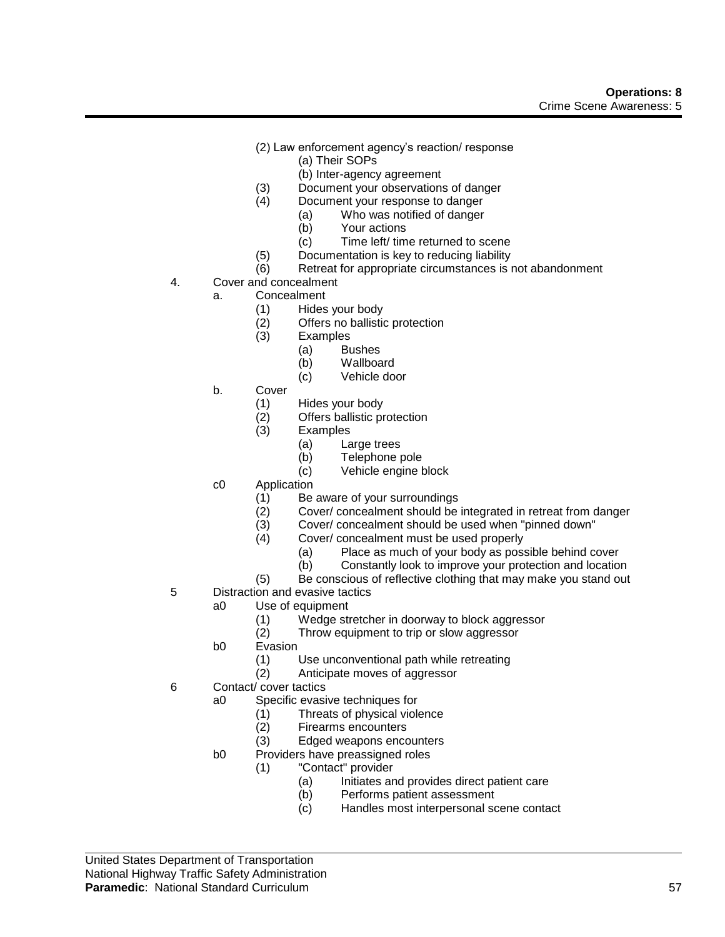- (2) Law enforcement agency's reaction/ response
	- (a) Their SOPs
	- (b) Inter-agency agreement
- (3) Document your observations of danger
- (4) Document your response to danger
	- (a) Who was notified of danger
		- (b) Your actions
	- (c) Time left/ time returned to scene
- (5) Documentation is key to reducing liability
- (6) Retreat for appropriate circumstances is not abandonment
- 4. Cover and concealment
	- a. Concealment
		- (1) Hides your body
		- (2) Offers no ballistic protection<br>(3) Examples
		- **Examples** 
			- (a) Bushes
			- (b) Wallboard
			- (c) Vehicle door
	- b. Cover
		- (1) Hides your body
		- $(2)$  Offers ballistic protection<br> $(3)$  Examples
		- **Examples** 
			- (a) Large trees
			- (b) Telephone pole
			- (c) Vehicle engine block
	- c0 Application
		- (1) Be aware of your surroundings<br>(2) Cover/ concealment should be
		- Cover/ concealment should be integrated in retreat from danger
		- (3) Cover/ concealment should be used when "pinned down"
		- (4) Cover/ concealment must be used properly
			- (a) Place as much of your body as possible behind cover
			- (b) Constantly look to improve your protection and location
		- (5) Be conscious of reflective clothing that may make you stand out
- 5 Distraction and evasive tactics
	- a0 Use of equipment
		- (1) Wedge stretcher in doorway to block aggressor<br>(2) Throw equipment to trip or slow aggressor
		- Throw equipment to trip or slow aggressor
	- b0 Evasion
		- (1) Use unconventional path while retreating
		- (2) Anticipate moves of aggressor
- 6 Contact/ cover tactics
	- a0 Specific evasive techniques for
		- (1) Threats of physical violence
		- (2) Firearms encounters
		- (3) Edged weapons encounters
	- b0 Providers have preassigned roles
		- (1) "Contact" provider
			- (a) Initiates and provides direct patient care
			- (b) Performs patient assessment
			- (c) Handles most interpersonal scene contact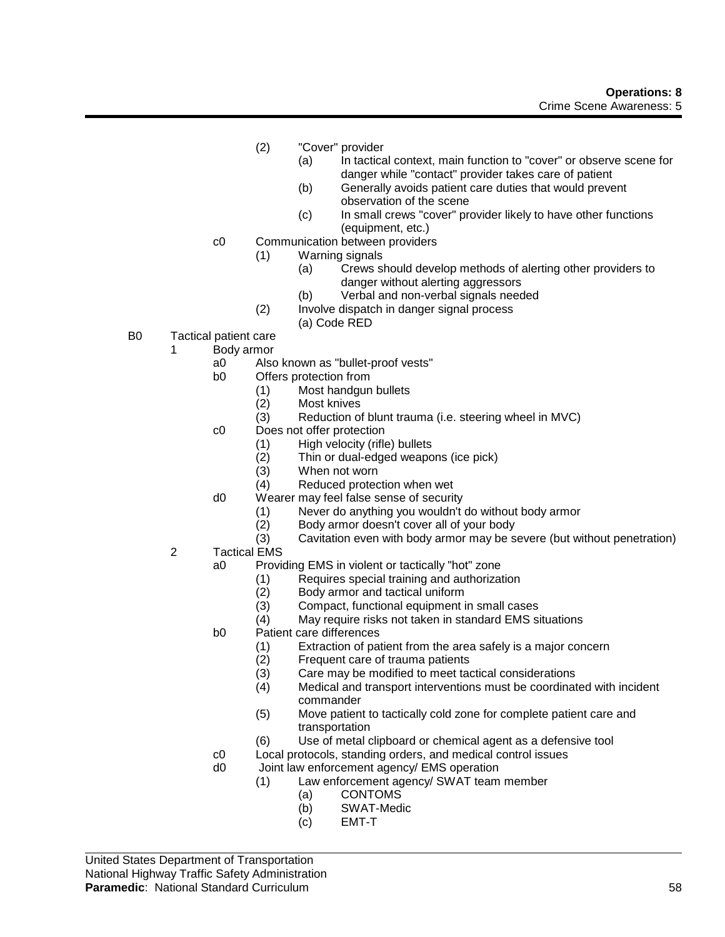- (2) "Cover" provider
	- (a) In tactical context, main function to "cover" or observe scene for danger while "contact" provider takes care of patient
	- (b) Generally avoids patient care duties that would prevent observation of the scene
	- (c) In small crews "cover" provider likely to have other functions (equipment, etc.)
- c0 Communication between providers
	- (1) Warning signals
		- (a) Crews should develop methods of alerting other providers to danger without alerting aggressors
		- (b) Verbal and non-verbal signals needed
	- (2) Involve dispatch in danger signal process
		- (a) Code RED
- B0 Tactical patient care
	- 1 Body armor
		- a0 Also known as "bullet-proof vests"
		- b0 Offers protection from
			- (1) Most handgun bullets
			- (2) Most knives
			- (3) Reduction of blunt trauma (i.e. steering wheel in MVC)
		- c0 Does not offer protection
			- (1) High velocity (rifle) bullets<br>(2) Thin or dual-edged weapc
			- (2) Thin or dual-edged weapons (ice pick)
			- When not worn
			- (4) Reduced protection when wet
		- d0 Wearer may feel false sense of security
			- (1) Never do anything you wouldn't do without body armor
			- (2) Body armor doesn't cover all of your body
			- (3) Cavitation even with body armor may be severe (but without penetration)
	- 2 Tactical EMS
		- a0 Providing EMS in violent or tactically "hot" zone
			- (1) Requires special training and authorization
			- (2) Body armor and tactical uniform<br>(3) Compact, functional equipment i
			- Compact, functional equipment in small cases
			- (4) May require risks not taken in standard EMS situations
		- b0 Patient care differences
			- (1) Extraction of patient from the area safely is a major concern
			- (2) Frequent care of trauma patients
			- (3) Care may be modified to meet tactical considerations
			- (4) Medical and transport interventions must be coordinated with incident commander
			- (5) Move patient to tactically cold zone for complete patient care and transportation
			- (6) Use of metal clipboard or chemical agent as a defensive tool
		- c0 Local protocols, standing orders, and medical control issues
		- d0 Joint law enforcement agency/ EMS operation
			- (1) Law enforcement agency/ SWAT team member
				- (a) CONTOMS
				- (b) SWAT-Medic
				- (c) EMT-T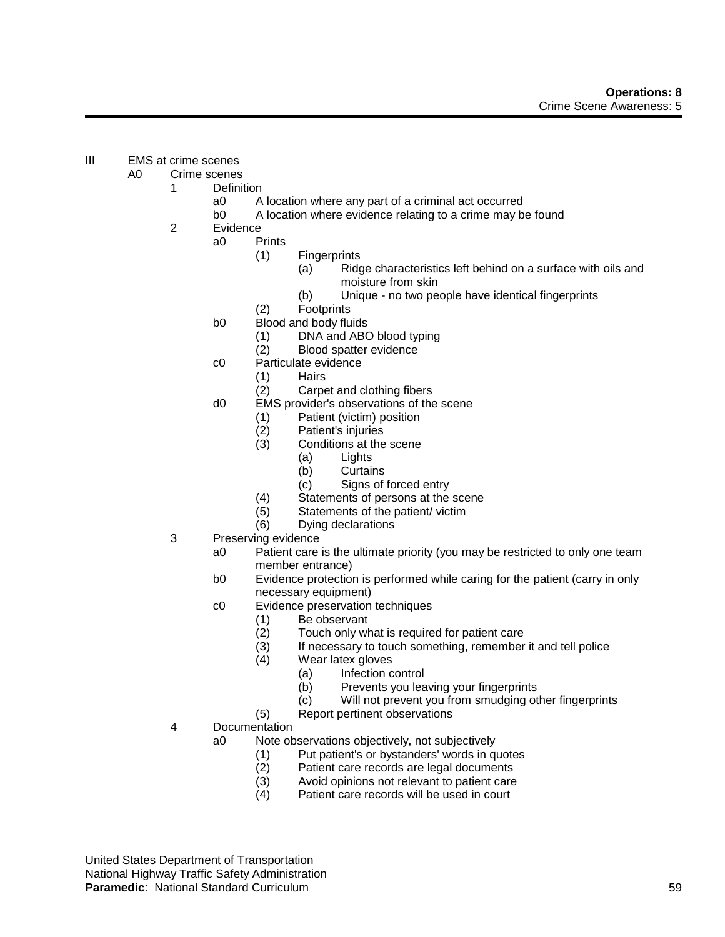- III EMS at crime scenes
	- A0 Crime scenes
		- 1 Definition
			- a0 A location where any part of a criminal act occurred
			- b0 A location where evidence relating to a crime may be found
		- 2 Evidence
			- a0 Prints
				- (1) Fingerprints
					- (a) Ridge characteristics left behind on a surface with oils and moisture from skin
					- (b) Unique no two people have identical fingerprints
				- (2) Footprints
			- b0 Blood and body fluids
				- (1) DNA and ABO blood typing
				- (2) Blood spatter evidence
			- c0 Particulate evidence
				- (1) Hairs
				- (2) Carpet and clothing fibers
			- d0 EMS provider's observations of the scene
				- (1) Patient (victim) position
				- (2) Patient's injuries
				- Conditions at the scene
					- (a) Lights
						- (b) Curtains
					- (c) Signs of forced entry
				- (4) Statements of persons at the scene
				- (5) Statements of the patient/ victim
				- (6) Dying declarations
		- 3 Preserving evidence
			- a0 Patient care is the ultimate priority (you may be restricted to only one team member entrance)
			- b0 Evidence protection is performed while caring for the patient (carry in only necessary equipment)
			- c0 Evidence preservation techniques
				- (1) Be observant<br>(2) Touch only wl
				- Touch only what is required for patient care
				- (3) If necessary to touch something, remember it and tell police
				- (4) Wear latex gloves
					- (a) Infection control
					- (b) Prevents you leaving your fingerprints
					- (c) Will not prevent you from smudging other fingerprints
				- (5) Report pertinent observations
		- 4 Documentation
			- a0 Note observations objectively, not subjectively
				- (1) Put patient's or bystanders' words in quotes
				- (2) Patient care records are legal documents
				- (3) Avoid opinions not relevant to patient care
				- (4) Patient care records will be used in court